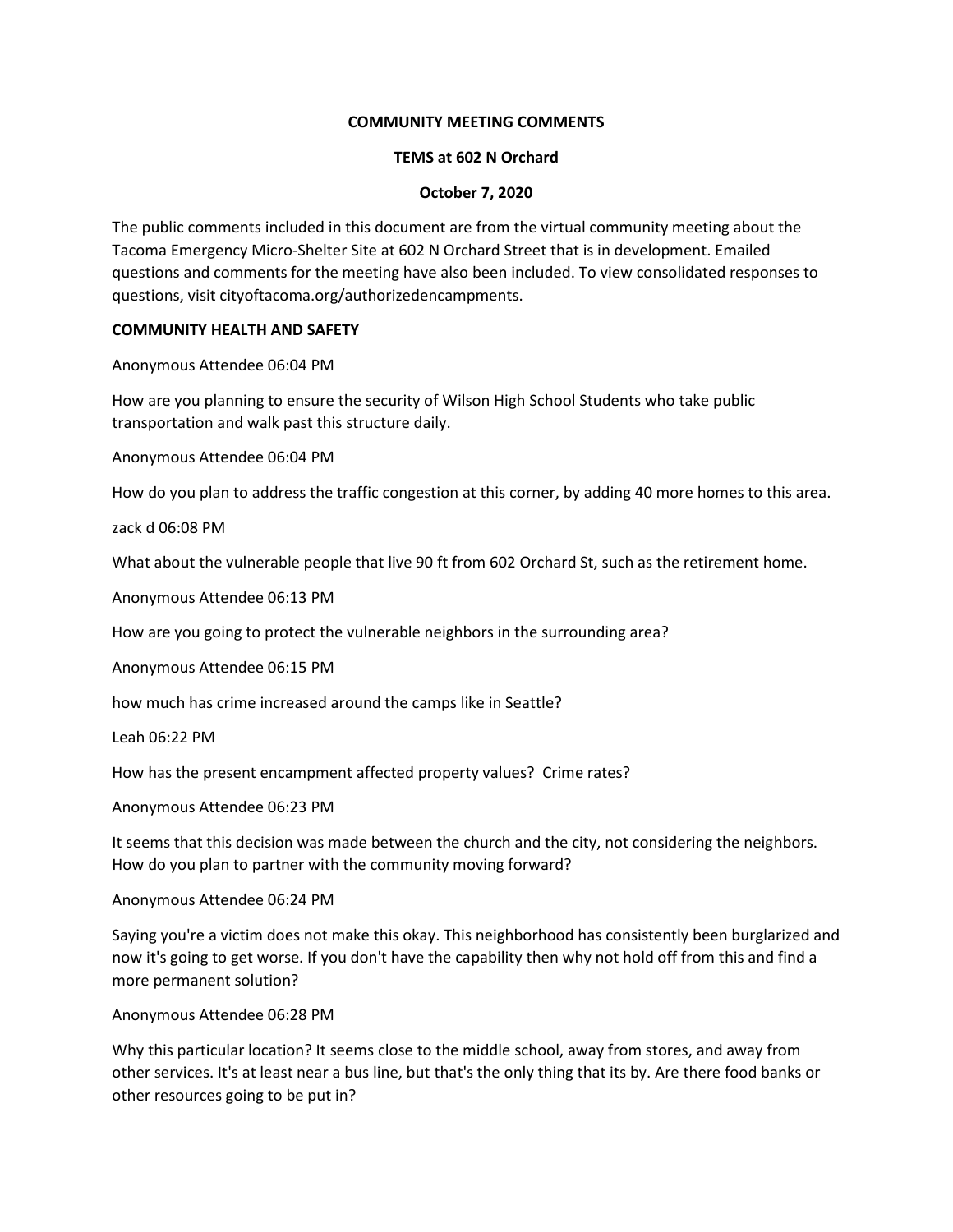# **COMMUNITY MEETING COMMENTS**

### **TEMS at 602 N Orchard**

# **October 7, 2020**

The public comments included in this document are from the virtual community meeting about the Tacoma Emergency Micro-Shelter Site at 602 N Orchard Street that is in development. Emailed questions and comments for the meeting have also been included. To view consolidated responses to questions, visit cityoftacoma.org/authorizedencampments.

### **COMMUNITY HEALTH AND SAFETY**

Anonymous Attendee 06:04 PM

How are you planning to ensure the security of Wilson High School Students who take public transportation and walk past this structure daily.

Anonymous Attendee 06:04 PM

How do you plan to address the traffic congestion at this corner, by adding 40 more homes to this area.

zack d 06:08 PM

What about the vulnerable people that live 90 ft from 602 Orchard St, such as the retirement home.

Anonymous Attendee 06:13 PM

How are you going to protect the vulnerable neighbors in the surrounding area?

Anonymous Attendee 06:15 PM

how much has crime increased around the camps like in Seattle?

Leah 06:22 PM

How has the present encampment affected property values? Crime rates?

Anonymous Attendee 06:23 PM

It seems that this decision was made between the church and the city, not considering the neighbors. How do you plan to partner with the community moving forward?

Anonymous Attendee 06:24 PM

Saying you're a victim does not make this okay. This neighborhood has consistently been burglarized and now it's going to get worse. If you don't have the capability then why not hold off from this and find a more permanent solution?

Anonymous Attendee 06:28 PM

Why this particular location? It seems close to the middle school, away from stores, and away from other services. It's at least near a bus line, but that's the only thing that its by. Are there food banks or other resources going to be put in?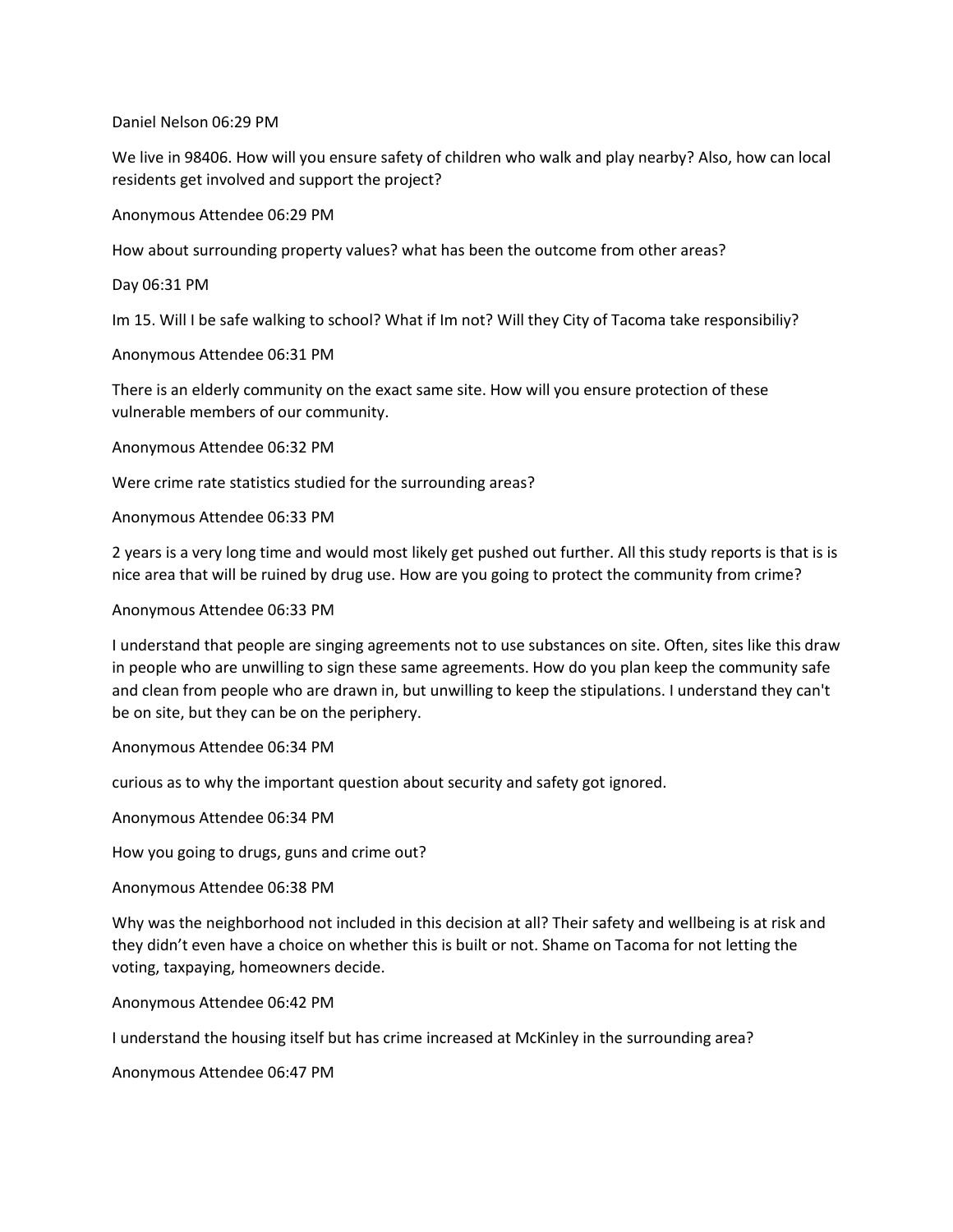Daniel Nelson 06:29 PM

We live in 98406. How will you ensure safety of children who walk and play nearby? Also, how can local residents get involved and support the project?

Anonymous Attendee 06:29 PM

How about surrounding property values? what has been the outcome from other areas?

Day 06:31 PM

Im 15. Will I be safe walking to school? What if Im not? Will they City of Tacoma take responsibiliy?

Anonymous Attendee 06:31 PM

There is an elderly community on the exact same site. How will you ensure protection of these vulnerable members of our community.

Anonymous Attendee 06:32 PM

Were crime rate statistics studied for the surrounding areas?

Anonymous Attendee 06:33 PM

2 years is a very long time and would most likely get pushed out further. All this study reports is that is is nice area that will be ruined by drug use. How are you going to protect the community from crime?

Anonymous Attendee 06:33 PM

I understand that people are singing agreements not to use substances on site. Often, sites like this draw in people who are unwilling to sign these same agreements. How do you plan keep the community safe and clean from people who are drawn in, but unwilling to keep the stipulations. I understand they can't be on site, but they can be on the periphery.

Anonymous Attendee 06:34 PM

curious as to why the important question about security and safety got ignored.

Anonymous Attendee 06:34 PM

How you going to drugs, guns and crime out?

Anonymous Attendee 06:38 PM

Why was the neighborhood not included in this decision at all? Their safety and wellbeing is at risk and they didn't even have a choice on whether this is built or not. Shame on Tacoma for not letting the voting, taxpaying, homeowners decide.

Anonymous Attendee 06:42 PM

I understand the housing itself but has crime increased at McKinley in the surrounding area?

Anonymous Attendee 06:47 PM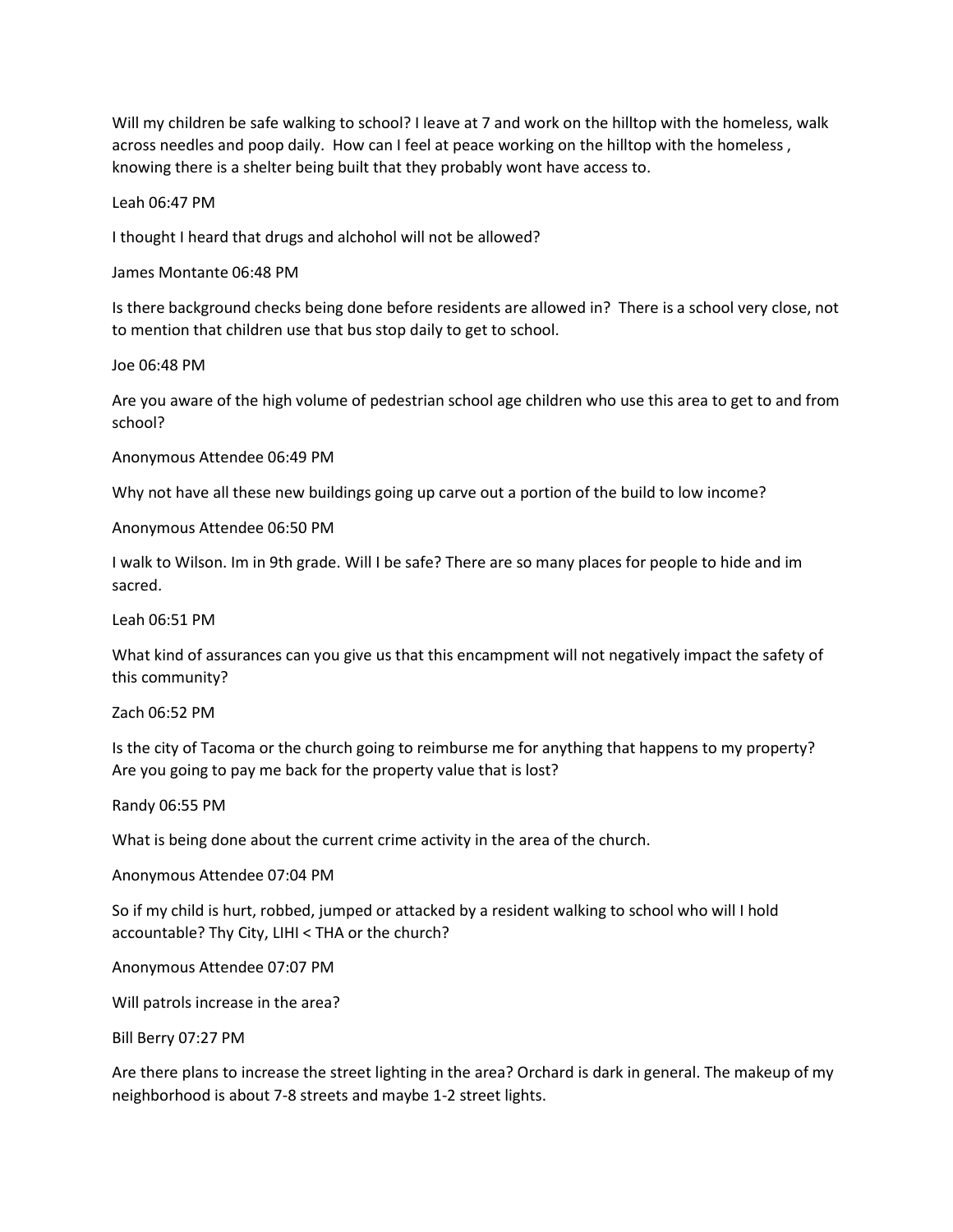Will my children be safe walking to school? I leave at 7 and work on the hilltop with the homeless, walk across needles and poop daily. How can I feel at peace working on the hilltop with the homeless, knowing there is a shelter being built that they probably wont have access to.

Leah 06:47 PM

I thought I heard that drugs and alchohol will not be allowed?

James Montante 06:48 PM

Is there background checks being done before residents are allowed in? There is a school very close, not to mention that children use that bus stop daily to get to school.

Joe 06:48 PM

Are you aware of the high volume of pedestrian school age children who use this area to get to and from school?

Anonymous Attendee 06:49 PM

Why not have all these new buildings going up carve out a portion of the build to low income?

Anonymous Attendee 06:50 PM

I walk to Wilson. Im in 9th grade. Will I be safe? There are so many places for people to hide and im sacred.

Leah 06:51 PM

What kind of assurances can you give us that this encampment will not negatively impact the safety of this community?

Zach 06:52 PM

Is the city of Tacoma or the church going to reimburse me for anything that happens to my property? Are you going to pay me back for the property value that is lost?

Randy 06:55 PM

What is being done about the current crime activity in the area of the church.

Anonymous Attendee 07:04 PM

So if my child is hurt, robbed, jumped or attacked by a resident walking to school who will I hold accountable? Thy City, LIHI < THA or the church?

Anonymous Attendee 07:07 PM

Will patrols increase in the area?

Bill Berry 07:27 PM

Are there plans to increase the street lighting in the area? Orchard is dark in general. The makeup of my neighborhood is about 7-8 streets and maybe 1-2 street lights.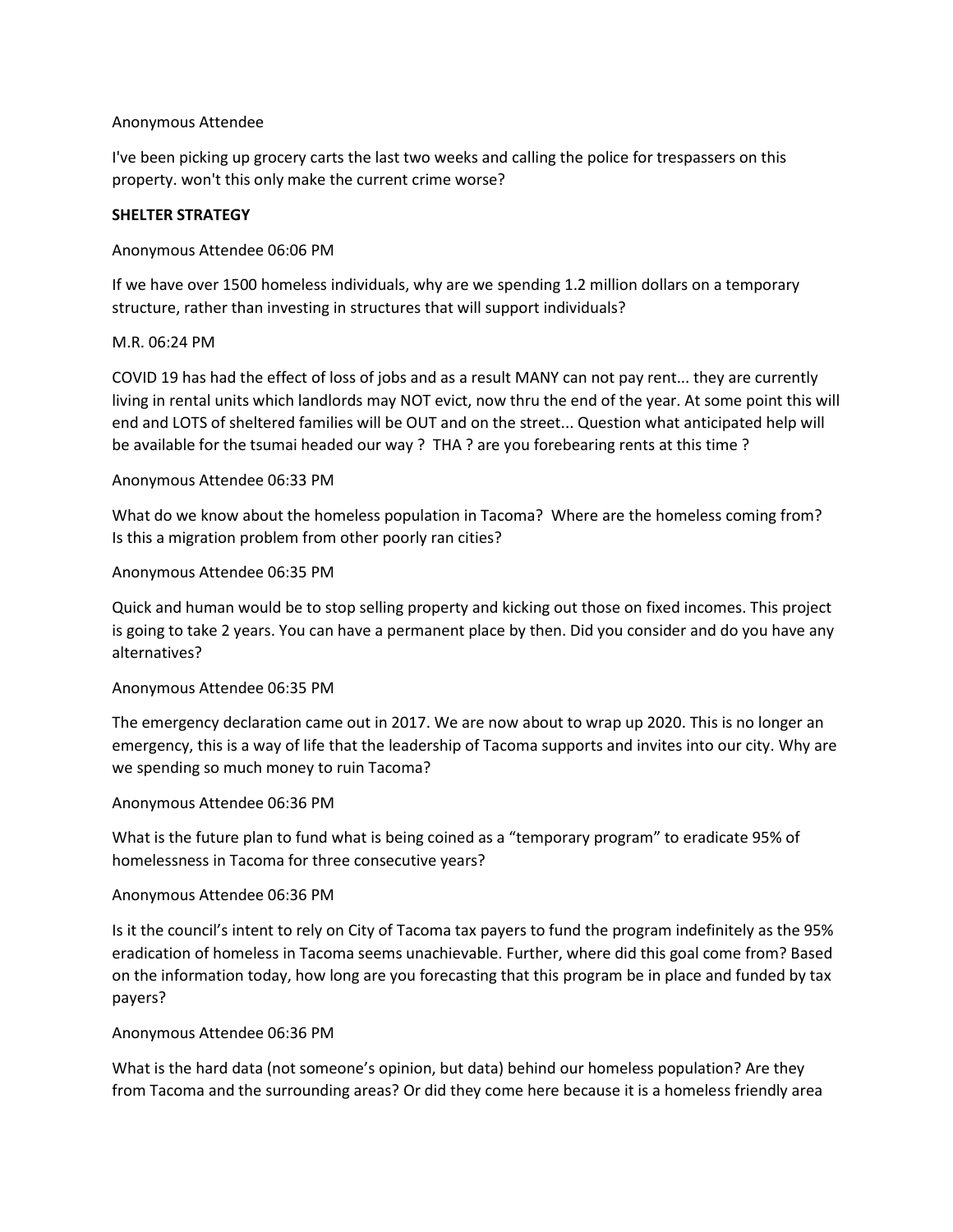# Anonymous Attendee

I've been picking up grocery carts the last two weeks and calling the police for trespassers on this property. won't this only make the current crime worse?

### **SHELTER STRATEGY**

# Anonymous Attendee 06:06 PM

If we have over 1500 homeless individuals, why are we spending 1.2 million dollars on a temporary structure, rather than investing in structures that will support individuals?

# M.R. 06:24 PM

COVID 19 has had the effect of loss of jobs and as a result MANY can not pay rent... they are currently living in rental units which landlords may NOT evict, now thru the end of the year. At some point this will end and LOTS of sheltered families will be OUT and on the street... Question what anticipated help will be available for the tsumai headed our way ? THA ? are you forebearing rents at this time ?

# Anonymous Attendee 06:33 PM

What do we know about the homeless population in Tacoma? Where are the homeless coming from? Is this a migration problem from other poorly ran cities?

# Anonymous Attendee 06:35 PM

Quick and human would be to stop selling property and kicking out those on fixed incomes. This project is going to take 2 years. You can have a permanent place by then. Did you consider and do you have any alternatives?

### Anonymous Attendee 06:35 PM

The emergency declaration came out in 2017. We are now about to wrap up 2020. This is no longer an emergency, this is a way of life that the leadership of Tacoma supports and invites into our city. Why are we spending so much money to ruin Tacoma?

### Anonymous Attendee 06:36 PM

What is the future plan to fund what is being coined as a "temporary program" to eradicate 95% of homelessness in Tacoma for three consecutive years?

### Anonymous Attendee 06:36 PM

Is it the council's intent to rely on City of Tacoma tax payers to fund the program indefinitely as the 95% eradication of homeless in Tacoma seems unachievable. Further, where did this goal come from? Based on the information today, how long are you forecasting that this program be in place and funded by tax payers?

### Anonymous Attendee 06:36 PM

What is the hard data (not someone's opinion, but data) behind our homeless population? Are they from Tacoma and the surrounding areas? Or did they come here because it is a homeless friendly area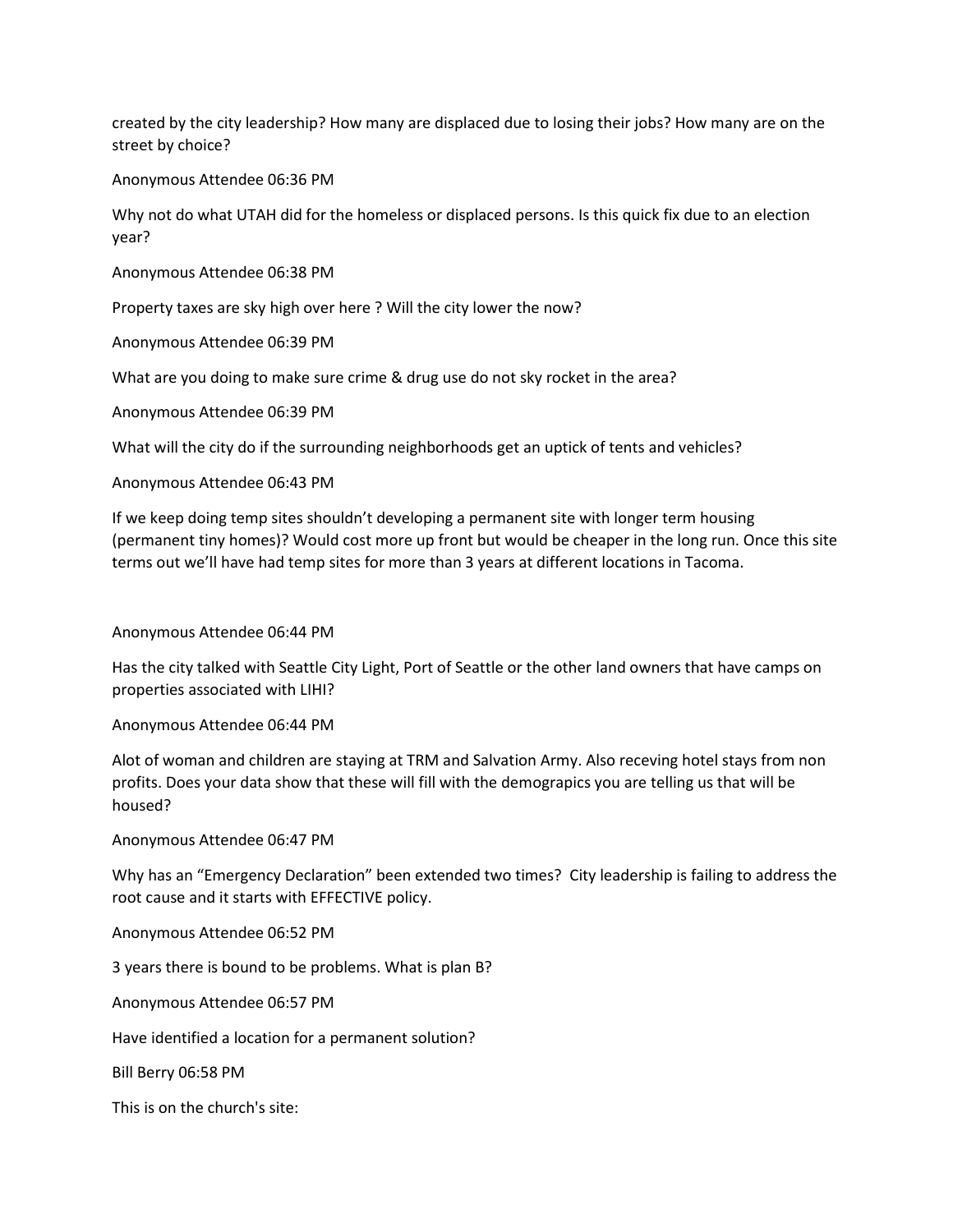created by the city leadership? How many are displaced due to losing their jobs? How many are on the street by choice?

Anonymous Attendee 06:36 PM

Why not do what UTAH did for the homeless or displaced persons. Is this quick fix due to an election year?

Anonymous Attendee 06:38 PM

Property taxes are sky high over here ? Will the city lower the now?

Anonymous Attendee 06:39 PM

What are you doing to make sure crime & drug use do not sky rocket in the area?

Anonymous Attendee 06:39 PM

What will the city do if the surrounding neighborhoods get an uptick of tents and vehicles?

Anonymous Attendee 06:43 PM

If we keep doing temp sites shouldn't developing a permanent site with longer term housing (permanent tiny homes)? Would cost more up front but would be cheaper in the long run. Once this site terms out we'll have had temp sites for more than 3 years at different locations in Tacoma.

#### Anonymous Attendee 06:44 PM

Has the city talked with Seattle City Light, Port of Seattle or the other land owners that have camps on properties associated with LIHI?

Anonymous Attendee 06:44 PM

Alot of woman and children are staying at TRM and Salvation Army. Also receving hotel stays from non profits. Does your data show that these will fill with the demograpics you are telling us that will be housed?

Anonymous Attendee 06:47 PM

Why has an "Emergency Declaration" been extended two times? City leadership is failing to address the root cause and it starts with EFFECTIVE policy.

Anonymous Attendee 06:52 PM

3 years there is bound to be problems. What is plan B?

Anonymous Attendee 06:57 PM

Have identified a location for a permanent solution?

Bill Berry 06:58 PM

This is on the church's site: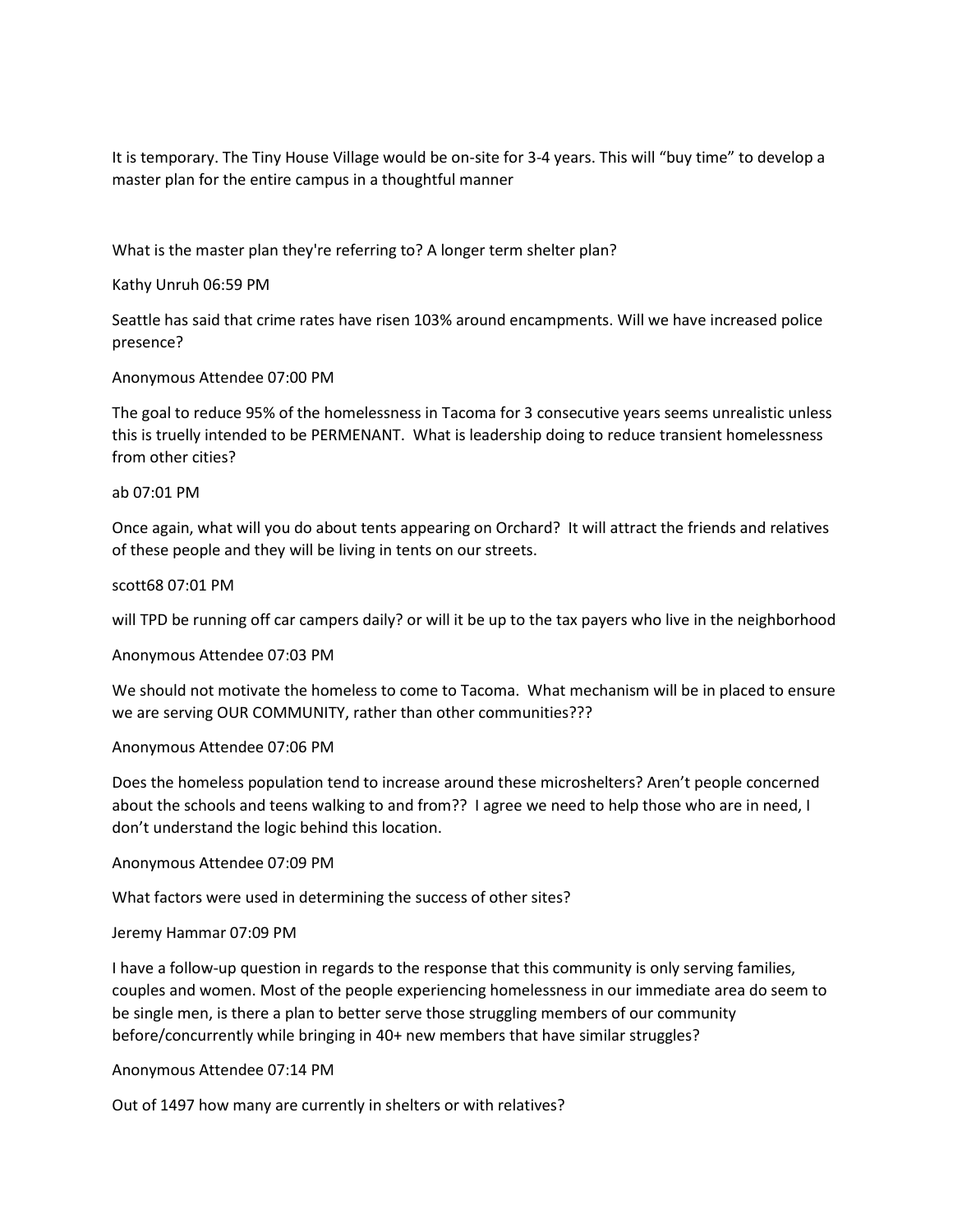It is temporary. The Tiny House Village would be on-site for 3-4 years. This will "buy time" to develop a master plan for the entire campus in a thoughtful manner

What is the master plan they're referring to? A longer term shelter plan?

Kathy Unruh 06:59 PM

Seattle has said that crime rates have risen 103% around encampments. Will we have increased police presence?

# Anonymous Attendee 07:00 PM

The goal to reduce 95% of the homelessness in Tacoma for 3 consecutive years seems unrealistic unless this is truelly intended to be PERMENANT. What is leadership doing to reduce transient homelessness from other cities?

### ab 07:01 PM

Once again, what will you do about tents appearing on Orchard? It will attract the friends and relatives of these people and they will be living in tents on our streets.

### scott68 07:01 PM

will TPD be running off car campers daily? or will it be up to the tax payers who live in the neighborhood

Anonymous Attendee 07:03 PM

We should not motivate the homeless to come to Tacoma. What mechanism will be in placed to ensure we are serving OUR COMMUNITY, rather than other communities???

### Anonymous Attendee 07:06 PM

Does the homeless population tend to increase around these microshelters? Aren't people concerned about the schools and teens walking to and from?? I agree we need to help those who are in need, I don't understand the logic behind this location.

Anonymous Attendee 07:09 PM

What factors were used in determining the success of other sites?

### Jeremy Hammar 07:09 PM

I have a follow-up question in regards to the response that this community is only serving families, couples and women. Most of the people experiencing homelessness in our immediate area do seem to be single men, is there a plan to better serve those struggling members of our community before/concurrently while bringing in 40+ new members that have similar struggles?

### Anonymous Attendee 07:14 PM

Out of 1497 how many are currently in shelters or with relatives?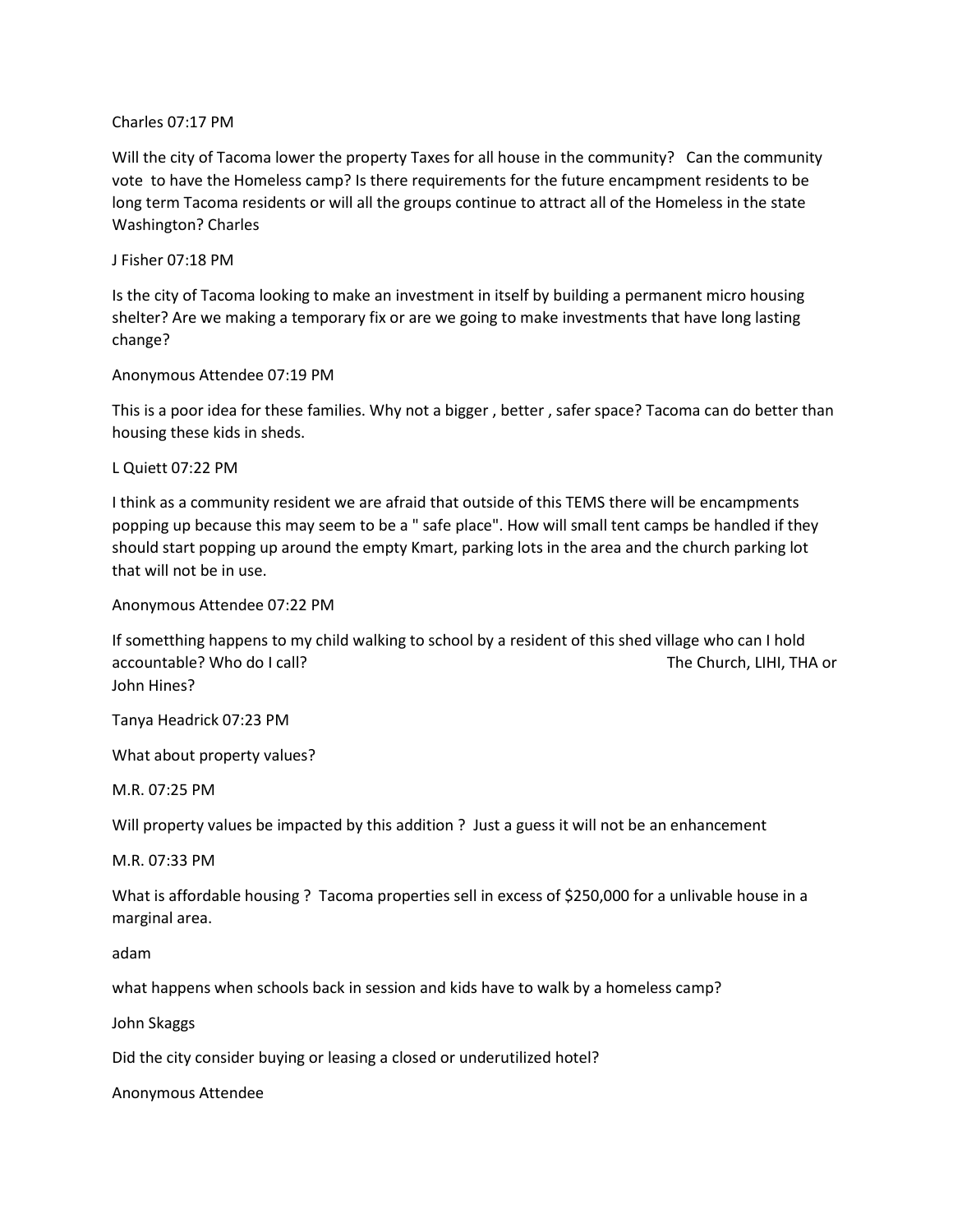### Charles 07:17 PM

Will the city of Tacoma lower the property Taxes for all house in the community? Can the community vote to have the Homeless camp? Is there requirements for the future encampment residents to be long term Tacoma residents or will all the groups continue to attract all of the Homeless in the state Washington? Charles

# J Fisher 07:18 PM

Is the city of Tacoma looking to make an investment in itself by building a permanent micro housing shelter? Are we making a temporary fix or are we going to make investments that have long lasting change?

# Anonymous Attendee 07:19 PM

This is a poor idea for these families. Why not a bigger , better , safer space? Tacoma can do better than housing these kids in sheds.

L Quiett 07:22 PM

I think as a community resident we are afraid that outside of this TEMS there will be encampments popping up because this may seem to be a " safe place". How will small tent camps be handled if they should start popping up around the empty Kmart, parking lots in the area and the church parking lot that will not be in use.

# Anonymous Attendee 07:22 PM

If sometthing happens to my child walking to school by a resident of this shed village who can I hold accountable? Who do I call? The Church, LIHI, THA or John Hines?

Tanya Headrick 07:23 PM

What about property values?

M.R. 07:25 PM

Will property values be impacted by this addition ? Just a guess it will not be an enhancement

M.R. 07:33 PM

What is affordable housing ? Tacoma properties sell in excess of \$250,000 for a unlivable house in a marginal area.

adam

what happens when schools back in session and kids have to walk by a homeless camp?

John Skaggs

Did the city consider buying or leasing a closed or underutilized hotel?

Anonymous Attendee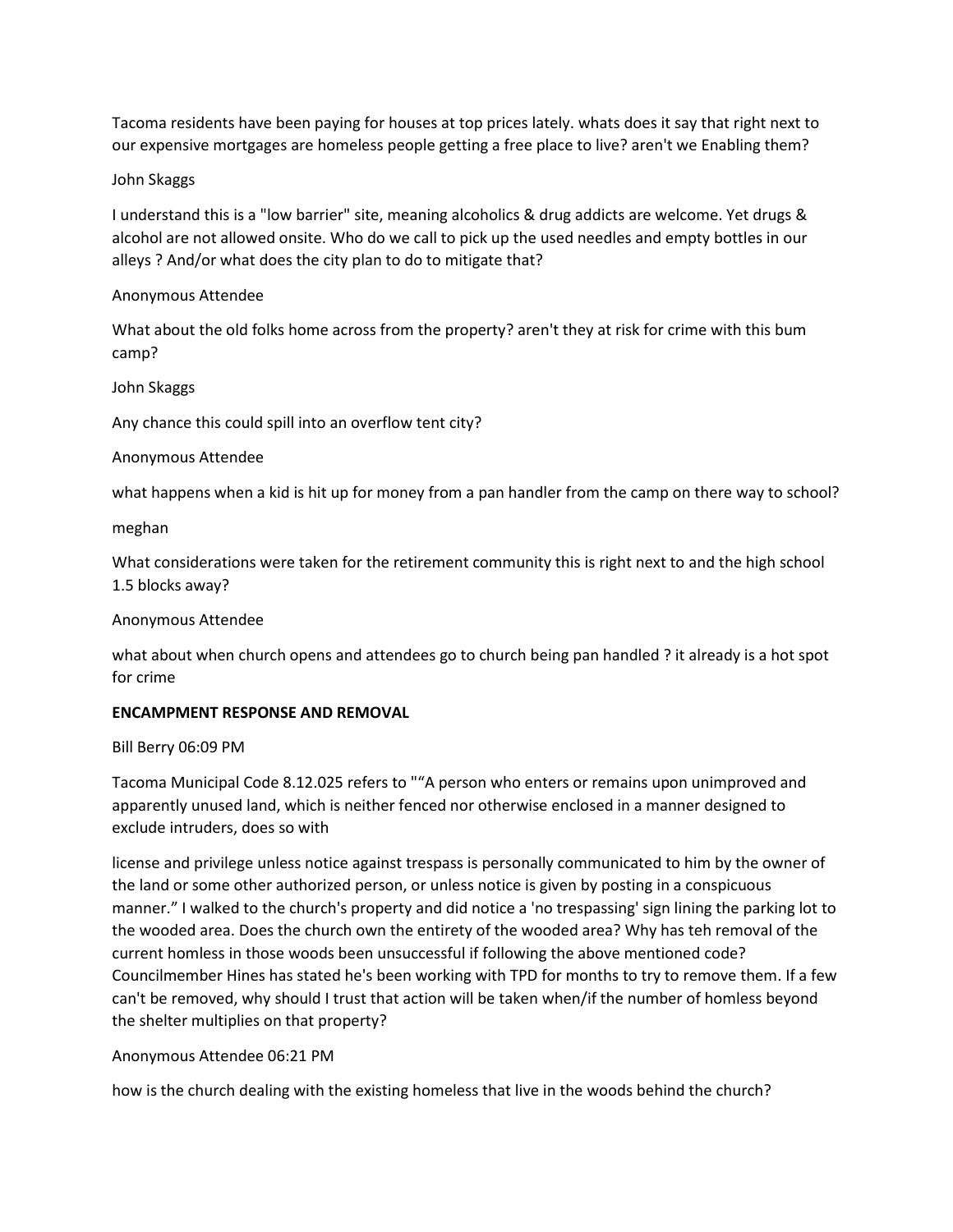Tacoma residents have been paying for houses at top prices lately. whats does it say that right next to our expensive mortgages are homeless people getting a free place to live? aren't we Enabling them?

# John Skaggs

I understand this is a "low barrier" site, meaning alcoholics & drug addicts are welcome. Yet drugs & alcohol are not allowed onsite. Who do we call to pick up the used needles and empty bottles in our alleys ? And/or what does the city plan to do to mitigate that?

# Anonymous Attendee

What about the old folks home across from the property? aren't they at risk for crime with this bum camp?

# John Skaggs

Any chance this could spill into an overflow tent city?

# Anonymous Attendee

what happens when a kid is hit up for money from a pan handler from the camp on there way to school?

# meghan

What considerations were taken for the retirement community this is right next to and the high school 1.5 blocks away?

# Anonymous Attendee

what about when church opens and attendees go to church being pan handled ? it already is a hot spot for crime

# **ENCAMPMENT RESPONSE AND REMOVAL**

# Bill Berry 06:09 PM

Tacoma Municipal Code 8.12.025 refers to ""A person who enters or remains upon unimproved and apparently unused land, which is neither fenced nor otherwise enclosed in a manner designed to exclude intruders, does so with

license and privilege unless notice against trespass is personally communicated to him by the owner of the land or some other authorized person, or unless notice is given by posting in a conspicuous manner." I walked to the church's property and did notice a 'no trespassing' sign lining the parking lot to the wooded area. Does the church own the entirety of the wooded area? Why has teh removal of the current homless in those woods been unsuccessful if following the above mentioned code? Councilmember Hines has stated he's been working with TPD for months to try to remove them. If a few can't be removed, why should I trust that action will be taken when/if the number of homless beyond the shelter multiplies on that property?

# Anonymous Attendee 06:21 PM

how is the church dealing with the existing homeless that live in the woods behind the church?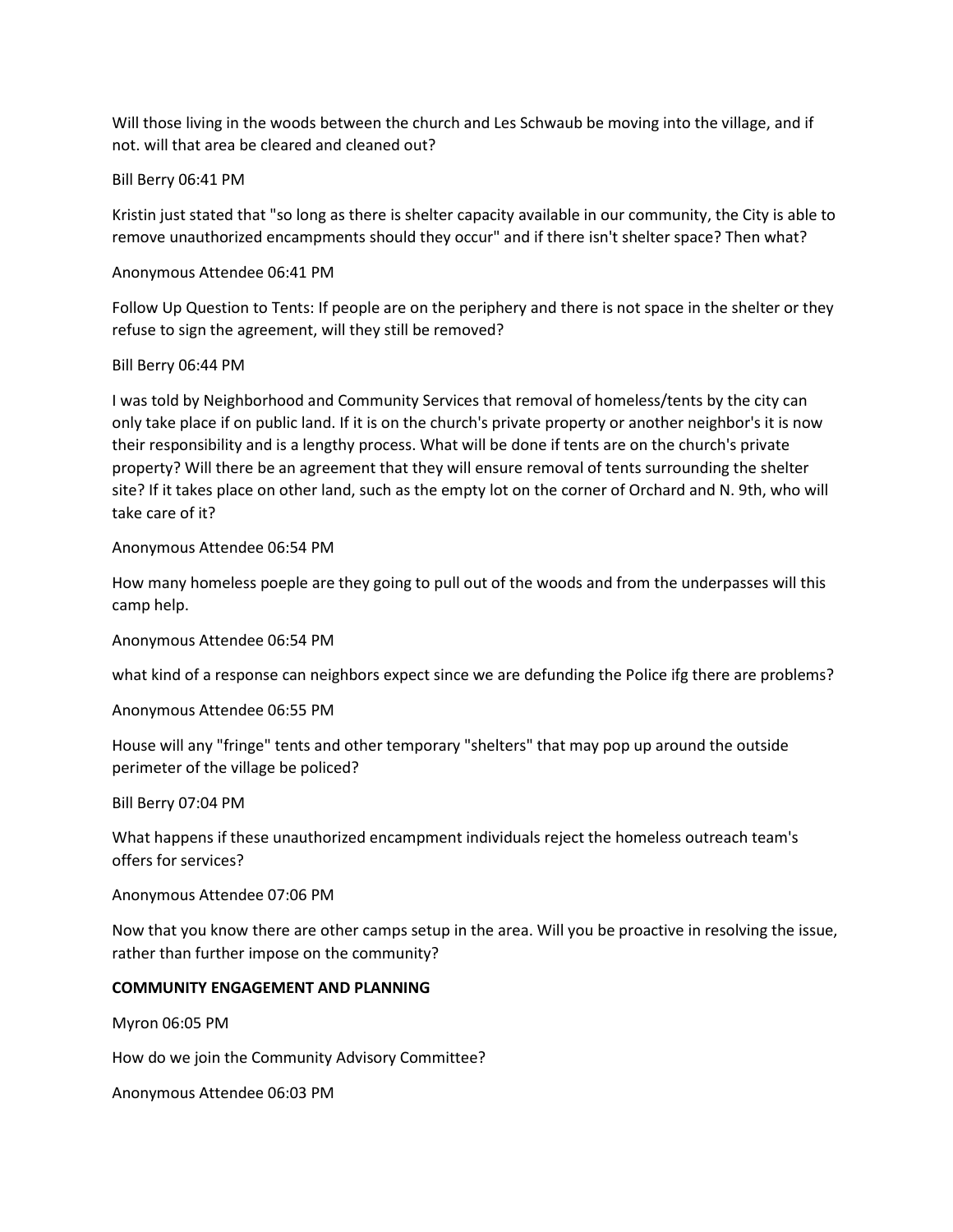Will those living in the woods between the church and Les Schwaub be moving into the village, and if not. will that area be cleared and cleaned out?

# Bill Berry 06:41 PM

Kristin just stated that "so long as there is shelter capacity available in our community, the City is able to remove unauthorized encampments should they occur" and if there isn't shelter space? Then what?

# Anonymous Attendee 06:41 PM

Follow Up Question to Tents: If people are on the periphery and there is not space in the shelter or they refuse to sign the agreement, will they still be removed?

# Bill Berry 06:44 PM

I was told by Neighborhood and Community Services that removal of homeless/tents by the city can only take place if on public land. If it is on the church's private property or another neighbor's it is now their responsibility and is a lengthy process. What will be done if tents are on the church's private property? Will there be an agreement that they will ensure removal of tents surrounding the shelter site? If it takes place on other land, such as the empty lot on the corner of Orchard and N. 9th, who will take care of it?

# Anonymous Attendee 06:54 PM

How many homeless poeple are they going to pull out of the woods and from the underpasses will this camp help.

Anonymous Attendee 06:54 PM

what kind of a response can neighbors expect since we are defunding the Police ifg there are problems?

# Anonymous Attendee 06:55 PM

House will any "fringe" tents and other temporary "shelters" that may pop up around the outside perimeter of the village be policed?

Bill Berry 07:04 PM

What happens if these unauthorized encampment individuals reject the homeless outreach team's offers for services?

### Anonymous Attendee 07:06 PM

Now that you know there are other camps setup in the area. Will you be proactive in resolving the issue, rather than further impose on the community?

# **COMMUNITY ENGAGEMENT AND PLANNING**

Myron 06:05 PM

How do we join the Community Advisory Committee?

Anonymous Attendee 06:03 PM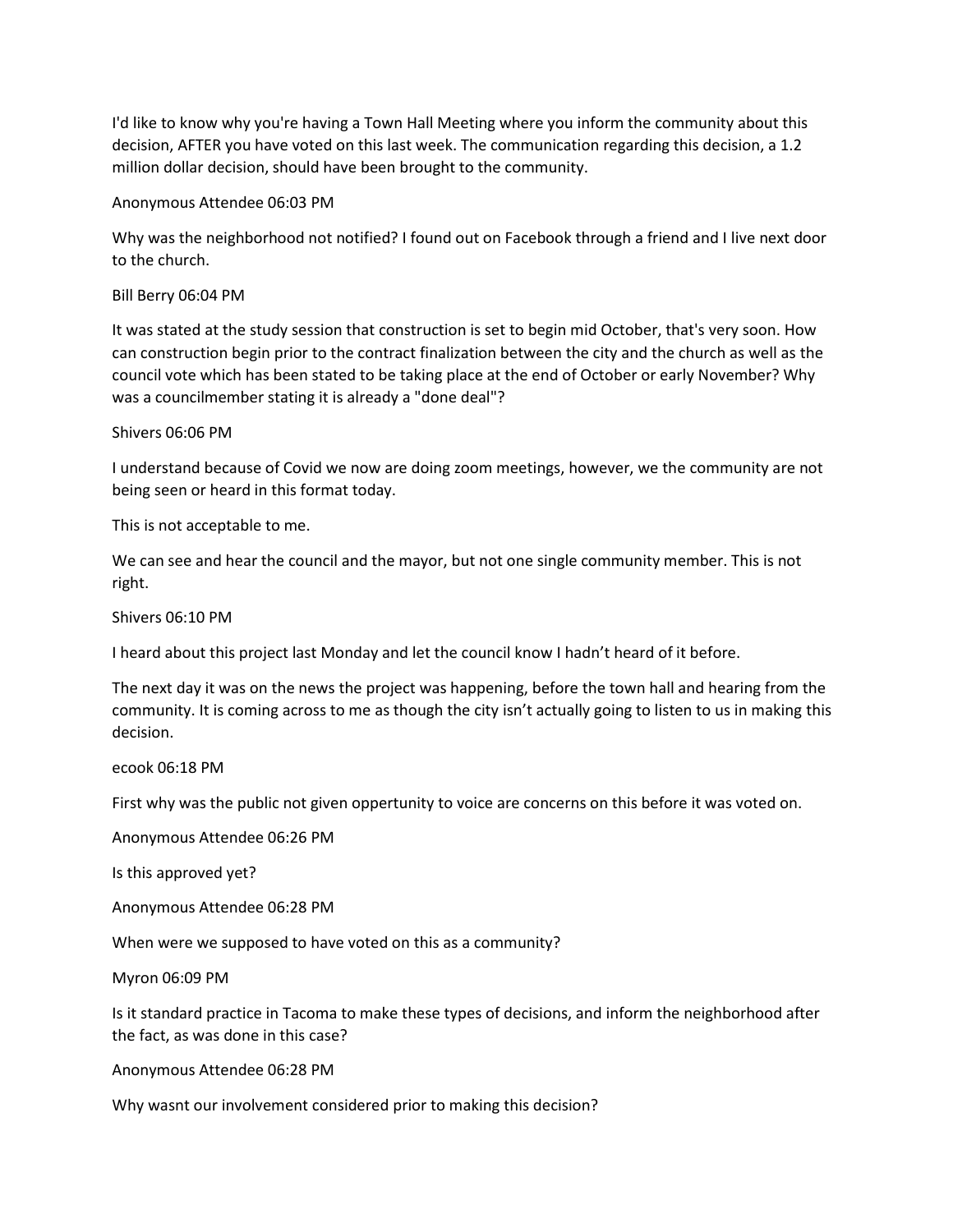I'd like to know why you're having a Town Hall Meeting where you inform the community about this decision, AFTER you have voted on this last week. The communication regarding this decision, a 1.2 million dollar decision, should have been brought to the community.

Anonymous Attendee 06:03 PM

Why was the neighborhood not notified? I found out on Facebook through a friend and I live next door to the church.

Bill Berry 06:04 PM

It was stated at the study session that construction is set to begin mid October, that's very soon. How can construction begin prior to the contract finalization between the city and the church as well as the council vote which has been stated to be taking place at the end of October or early November? Why was a councilmember stating it is already a "done deal"?

Shivers 06:06 PM

I understand because of Covid we now are doing zoom meetings, however, we the community are not being seen or heard in this format today.

This is not acceptable to me.

We can see and hear the council and the mayor, but not one single community member. This is not right.

Shivers 06:10 PM

I heard about this project last Monday and let the council know I hadn't heard of it before.

The next day it was on the news the project was happening, before the town hall and hearing from the community. It is coming across to me as though the city isn't actually going to listen to us in making this decision.

ecook 06:18 PM

First why was the public not given oppertunity to voice are concerns on this before it was voted on.

Anonymous Attendee 06:26 PM

Is this approved yet?

Anonymous Attendee 06:28 PM

When were we supposed to have voted on this as a community?

Myron 06:09 PM

Is it standard practice in Tacoma to make these types of decisions, and inform the neighborhood after the fact, as was done in this case?

Anonymous Attendee 06:28 PM

Why wasnt our involvement considered prior to making this decision?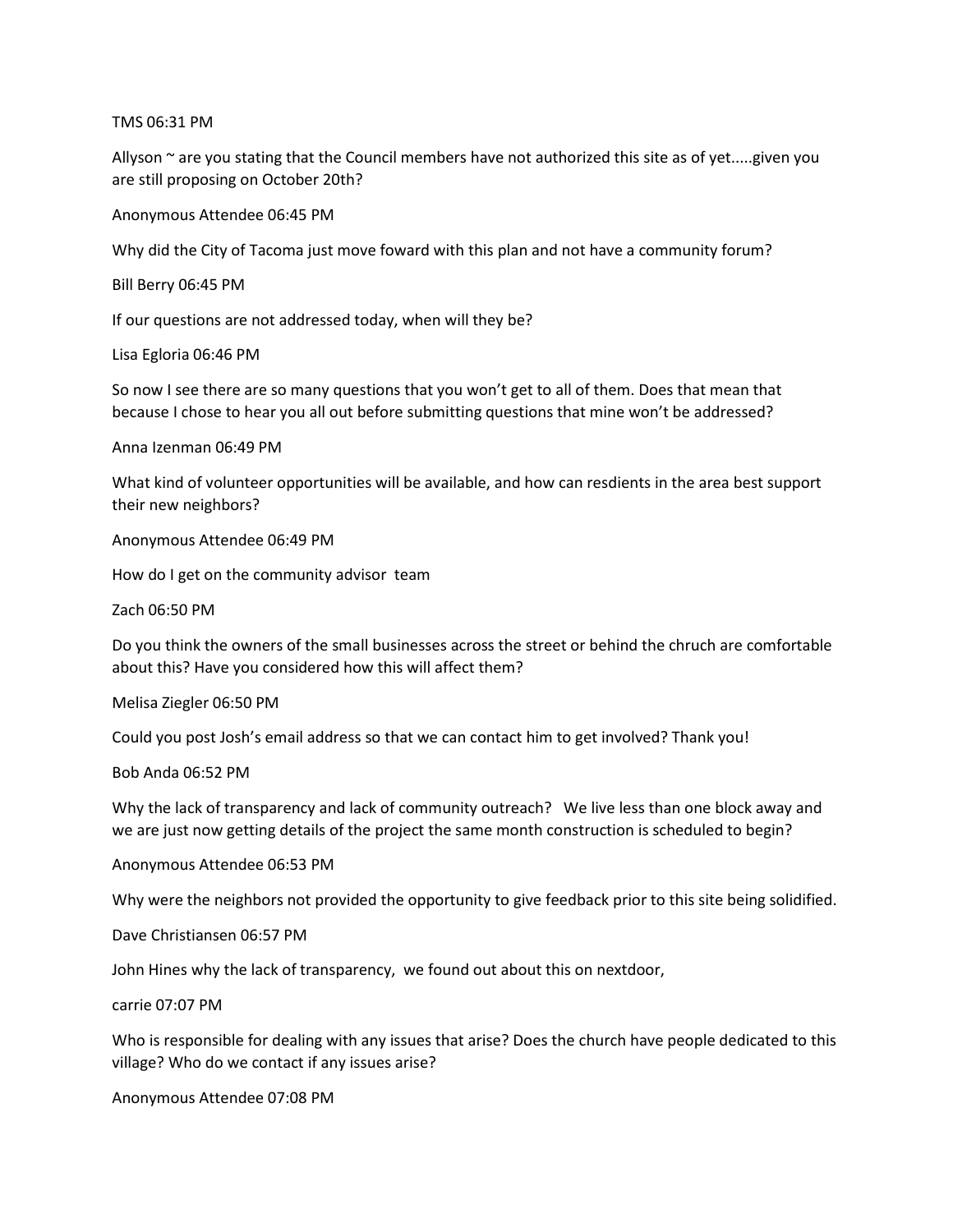TMS 06:31 PM

Allyson  $\sim$  are you stating that the Council members have not authorized this site as of yet.....given you are still proposing on October 20th?

Anonymous Attendee 06:45 PM

Why did the City of Tacoma just move foward with this plan and not have a community forum?

Bill Berry 06:45 PM

If our questions are not addressed today, when will they be?

Lisa Egloria 06:46 PM

So now I see there are so many questions that you won't get to all of them. Does that mean that because I chose to hear you all out before submitting questions that mine won't be addressed?

Anna Izenman 06:49 PM

What kind of volunteer opportunities will be available, and how can resdients in the area best support their new neighbors?

Anonymous Attendee 06:49 PM

How do I get on the community advisor team

Zach 06:50 PM

Do you think the owners of the small businesses across the street or behind the chruch are comfortable about this? Have you considered how this will affect them?

Melisa Ziegler 06:50 PM

Could you post Josh's email address so that we can contact him to get involved? Thank you!

Bob Anda 06:52 PM

Why the lack of transparency and lack of community outreach? We live less than one block away and we are just now getting details of the project the same month construction is scheduled to begin?

Anonymous Attendee 06:53 PM

Why were the neighbors not provided the opportunity to give feedback prior to this site being solidified.

Dave Christiansen 06:57 PM

John Hines why the lack of transparency, we found out about this on nextdoor,

carrie 07:07 PM

Who is responsible for dealing with any issues that arise? Does the church have people dedicated to this village? Who do we contact if any issues arise?

Anonymous Attendee 07:08 PM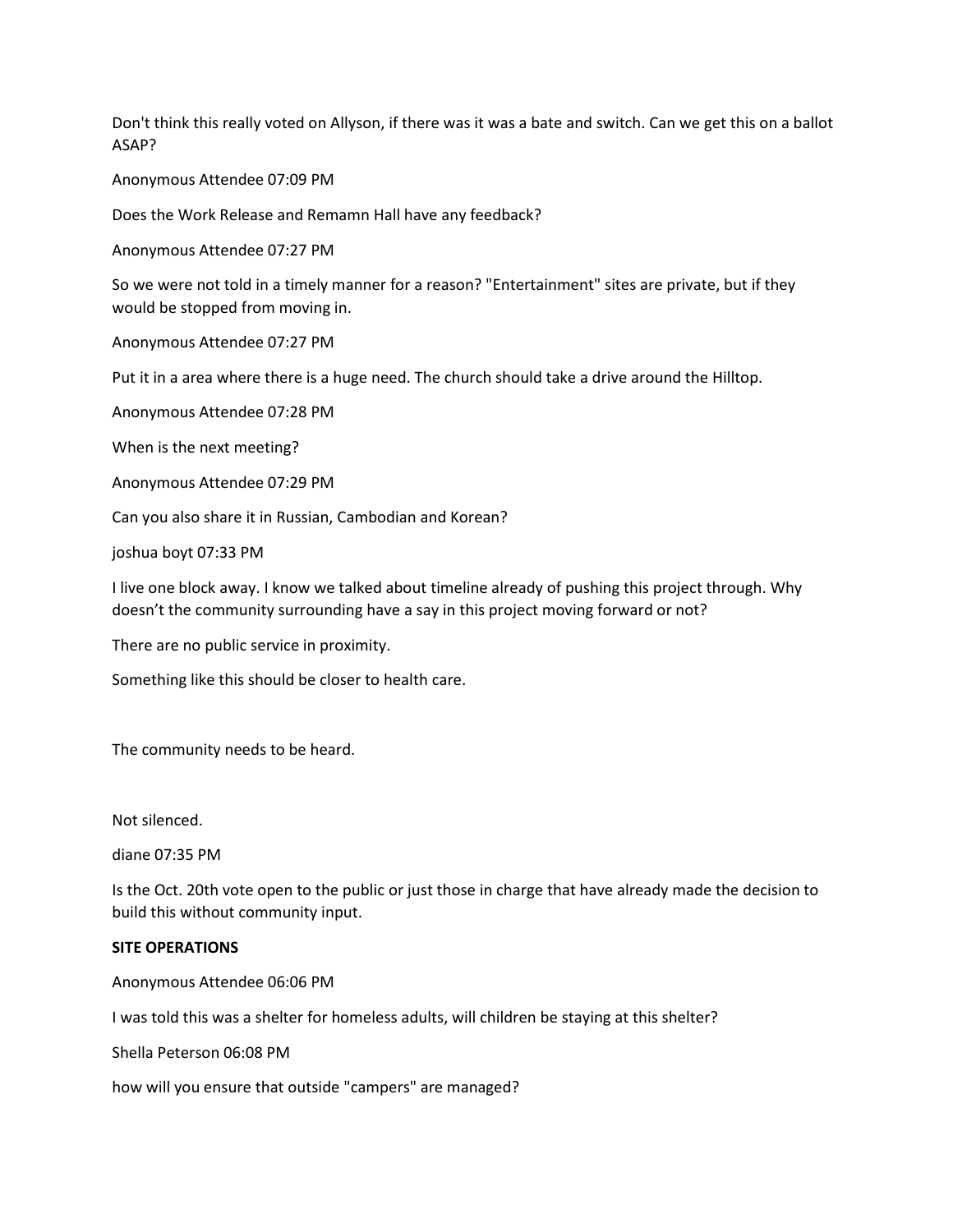Don't think this really voted on Allyson, if there was it was a bate and switch. Can we get this on a ballot ASAP?

Anonymous Attendee 07:09 PM

Does the Work Release and Remamn Hall have any feedback?

Anonymous Attendee 07:27 PM

So we were not told in a timely manner for a reason? "Entertainment" sites are private, but if they would be stopped from moving in.

Anonymous Attendee 07:27 PM

Put it in a area where there is a huge need. The church should take a drive around the Hilltop.

Anonymous Attendee 07:28 PM

When is the next meeting?

Anonymous Attendee 07:29 PM

Can you also share it in Russian, Cambodian and Korean?

joshua boyt 07:33 PM

I live one block away. I know we talked about timeline already of pushing this project through. Why doesn't the community surrounding have a say in this project moving forward or not?

There are no public service in proximity.

Something like this should be closer to health care.

The community needs to be heard.

Not silenced.

diane 07:35 PM

Is the Oct. 20th vote open to the public or just those in charge that have already made the decision to build this without community input.

#### **SITE OPERATIONS**

Anonymous Attendee 06:06 PM

I was told this was a shelter for homeless adults, will children be staying at this shelter?

Shella Peterson 06:08 PM

how will you ensure that outside "campers" are managed?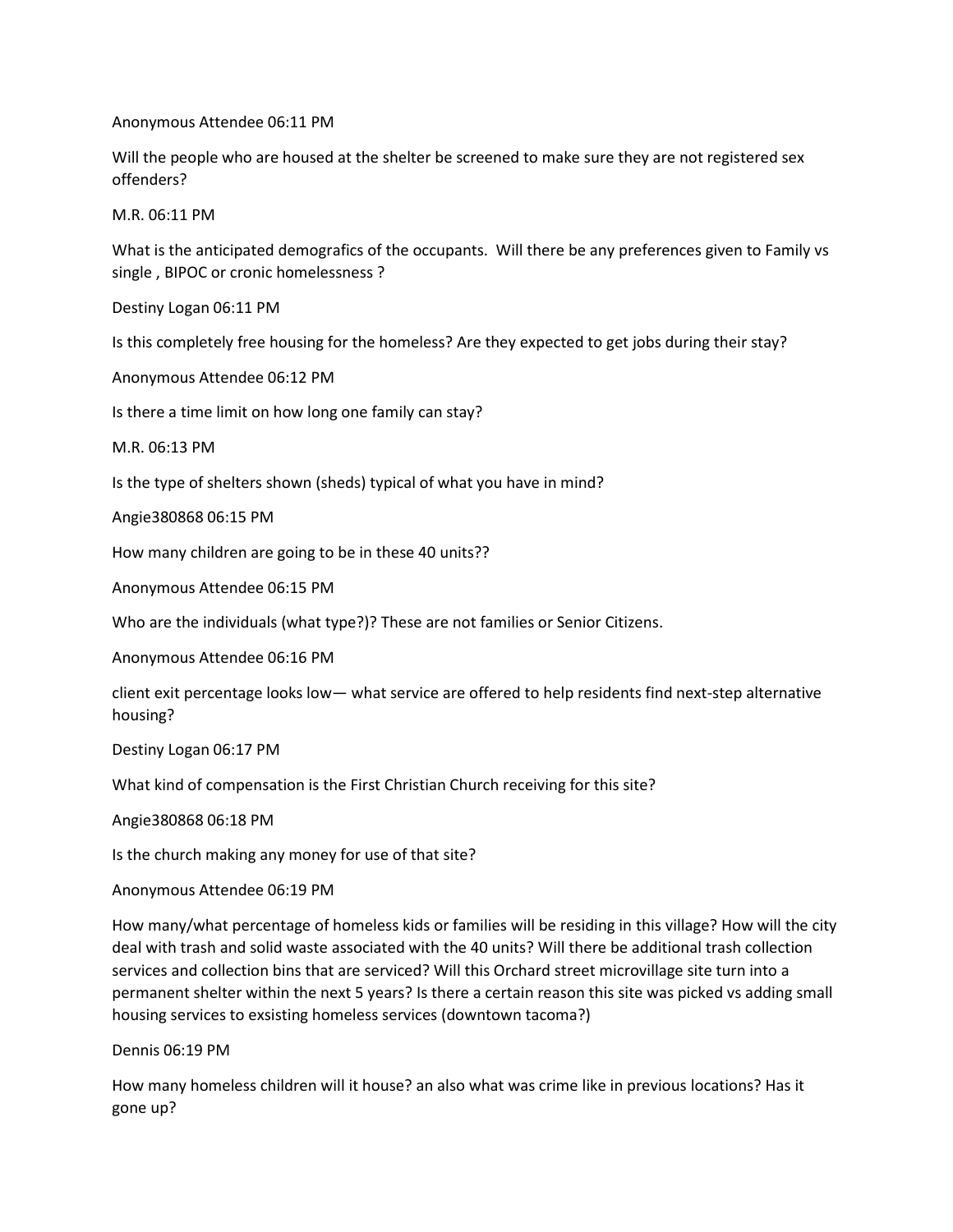Anonymous Attendee 06:11 PM

Will the people who are housed at the shelter be screened to make sure they are not registered sex offenders?

M.R. 06:11 PM

What is the anticipated demografics of the occupants. Will there be any preferences given to Family vs single , BIPOC or cronic homelessness ?

Destiny Logan 06:11 PM

Is this completely free housing for the homeless? Are they expected to get jobs during their stay?

Anonymous Attendee 06:12 PM

Is there a time limit on how long one family can stay?

M.R. 06:13 PM

Is the type of shelters shown (sheds) typical of what you have in mind?

Angie380868 06:15 PM

How many children are going to be in these 40 units??

Anonymous Attendee 06:15 PM

Who are the individuals (what type?)? These are not families or Senior Citizens.

Anonymous Attendee 06:16 PM

client exit percentage looks low— what service are offered to help residents find next-step alternative housing?

Destiny Logan 06:17 PM

What kind of compensation is the First Christian Church receiving for this site?

Angie380868 06:18 PM

Is the church making any money for use of that site?

Anonymous Attendee 06:19 PM

How many/what percentage of homeless kids or families will be residing in this village? How will the city deal with trash and solid waste associated with the 40 units? Will there be additional trash collection services and collection bins that are serviced? Will this Orchard street microvillage site turn into a permanent shelter within the next 5 years? Is there a certain reason this site was picked vs adding small housing services to exsisting homeless services (downtown tacoma?)

Dennis 06:19 PM

How many homeless children will it house? an also what was crime like in previous locations? Has it gone up?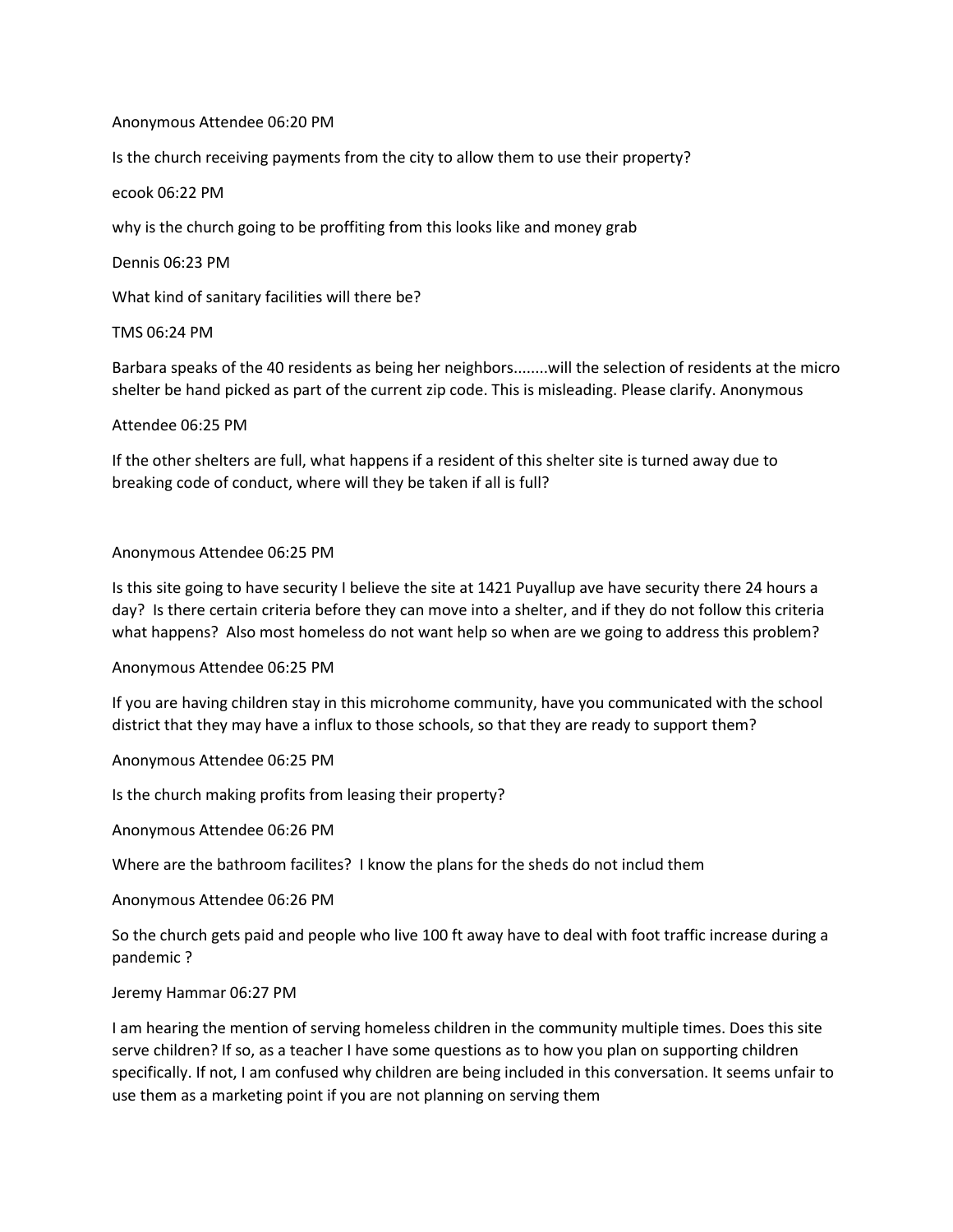### Anonymous Attendee 06:20 PM

Is the church receiving payments from the city to allow them to use their property?

ecook 06:22 PM

why is the church going to be proffiting from this looks like and money grab

Dennis 06:23 PM

What kind of sanitary facilities will there be?

# TMS 06:24 PM

Barbara speaks of the 40 residents as being her neighbors........will the selection of residents at the micro shelter be hand picked as part of the current zip code. This is misleading. Please clarify. Anonymous

# Attendee 06:25 PM

If the other shelters are full, what happens if a resident of this shelter site is turned away due to breaking code of conduct, where will they be taken if all is full?

# Anonymous Attendee 06:25 PM

Is this site going to have security I believe the site at 1421 Puyallup ave have security there 24 hours a day? Is there certain criteria before they can move into a shelter, and if they do not follow this criteria what happens? Also most homeless do not want help so when are we going to address this problem?

Anonymous Attendee 06:25 PM

If you are having children stay in this microhome community, have you communicated with the school district that they may have a influx to those schools, so that they are ready to support them?

Anonymous Attendee 06:25 PM

Is the church making profits from leasing their property?

Anonymous Attendee 06:26 PM

Where are the bathroom facilites? I know the plans for the sheds do not includ them

Anonymous Attendee 06:26 PM

So the church gets paid and people who live 100 ft away have to deal with foot traffic increase during a pandemic ?

### Jeremy Hammar 06:27 PM

I am hearing the mention of serving homeless children in the community multiple times. Does this site serve children? If so, as a teacher I have some questions as to how you plan on supporting children specifically. If not, I am confused why children are being included in this conversation. It seems unfair to use them as a marketing point if you are not planning on serving them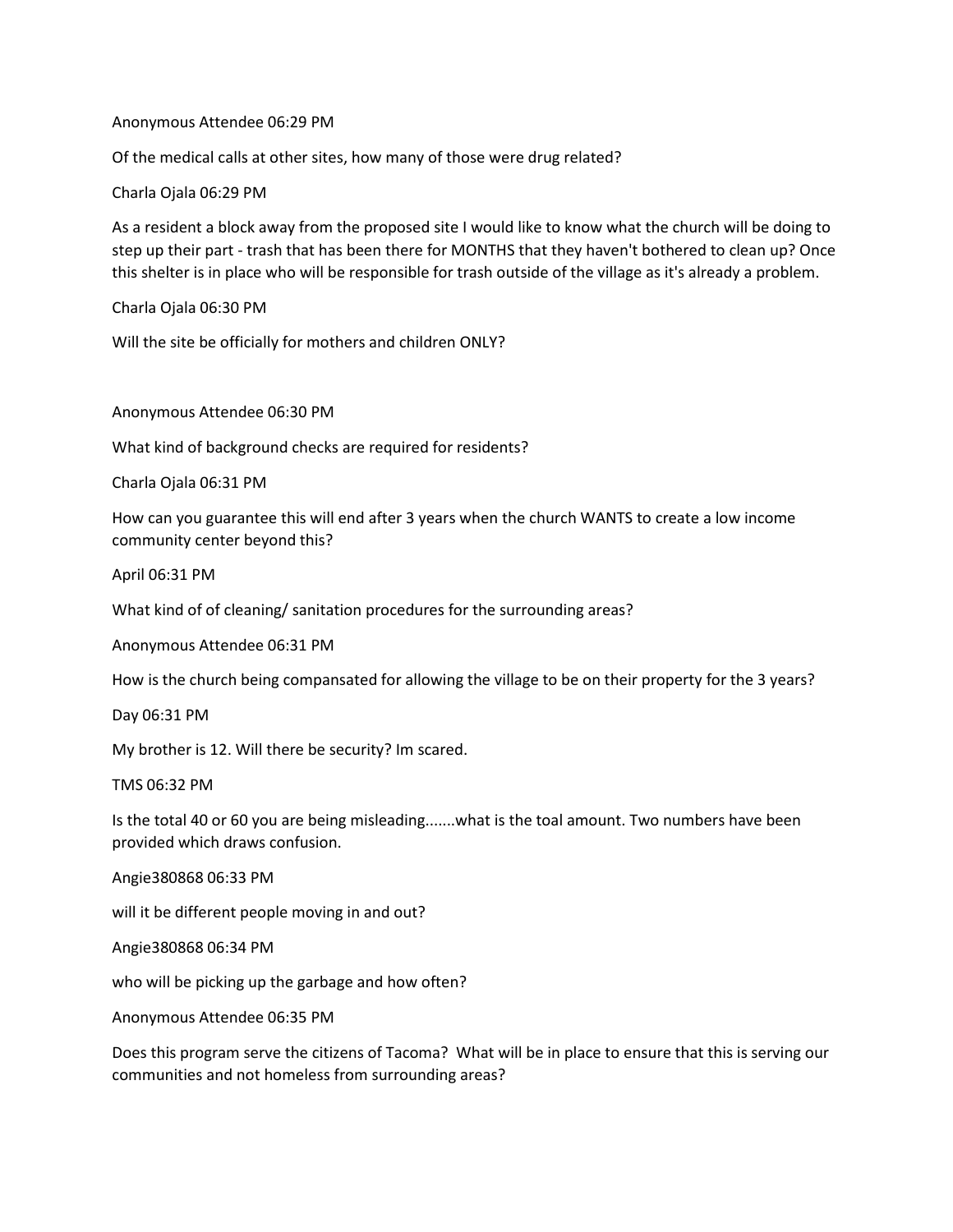Anonymous Attendee 06:29 PM

Of the medical calls at other sites, how many of those were drug related?

Charla Ojala 06:29 PM

As a resident a block away from the proposed site I would like to know what the church will be doing to step up their part - trash that has been there for MONTHS that they haven't bothered to clean up? Once this shelter is in place who will be responsible for trash outside of the village as it's already a problem.

Charla Ojala 06:30 PM

Will the site be officially for mothers and children ONLY?

Anonymous Attendee 06:30 PM

What kind of background checks are required for residents?

Charla Ojala 06:31 PM

How can you guarantee this will end after 3 years when the church WANTS to create a low income community center beyond this?

April 06:31 PM

What kind of of cleaning/ sanitation procedures for the surrounding areas?

Anonymous Attendee 06:31 PM

How is the church being compansated for allowing the village to be on their property for the 3 years?

Day 06:31 PM

My brother is 12. Will there be security? Im scared.

TMS 06:32 PM

Is the total 40 or 60 you are being misleading.......what is the toal amount. Two numbers have been provided which draws confusion.

Angie380868 06:33 PM

will it be different people moving in and out?

Angie380868 06:34 PM

who will be picking up the garbage and how often?

Anonymous Attendee 06:35 PM

Does this program serve the citizens of Tacoma? What will be in place to ensure that this is serving our communities and not homeless from surrounding areas?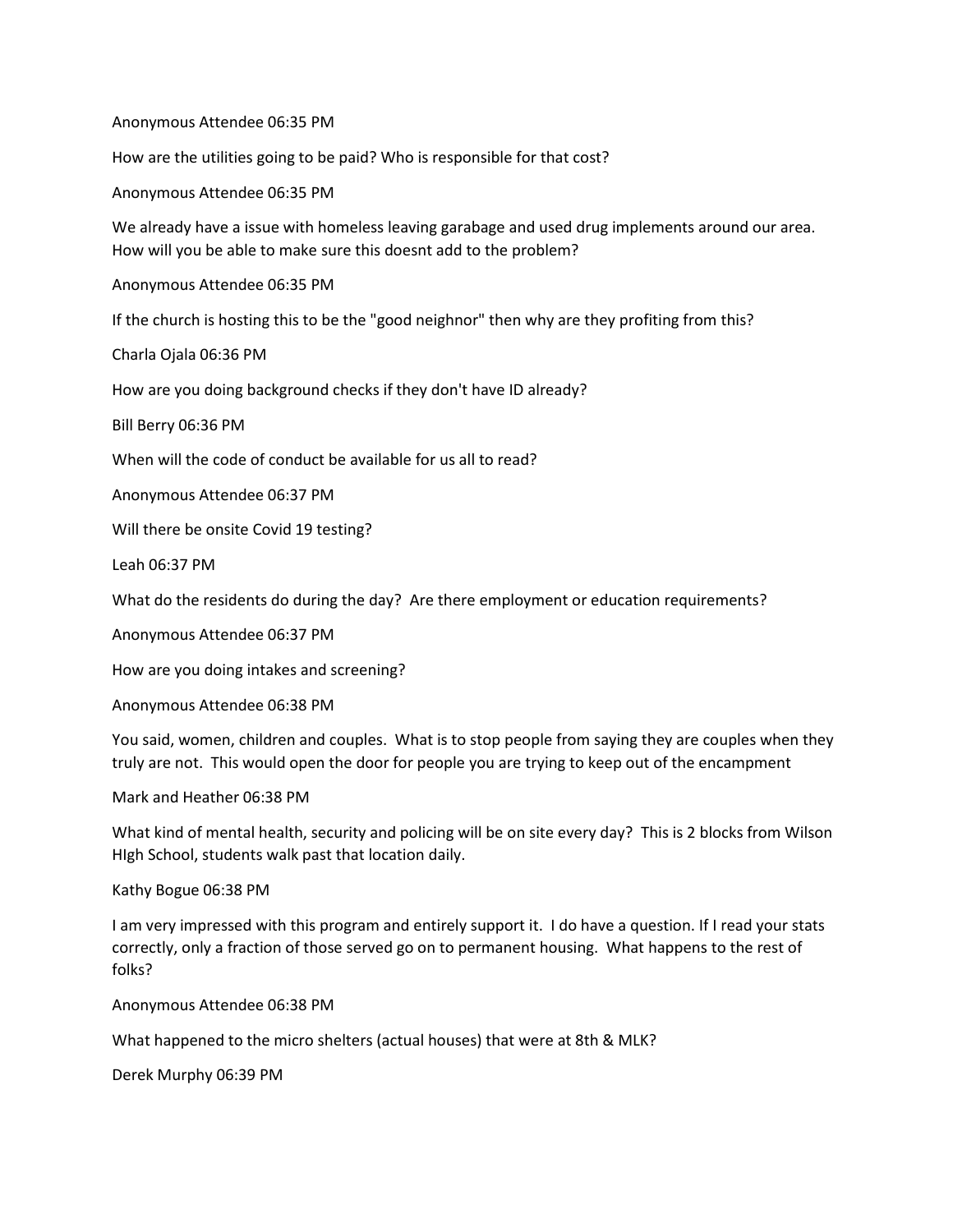Anonymous Attendee 06:35 PM

How are the utilities going to be paid? Who is responsible for that cost?

Anonymous Attendee 06:35 PM

We already have a issue with homeless leaving garabage and used drug implements around our area. How will you be able to make sure this doesnt add to the problem?

Anonymous Attendee 06:35 PM

If the church is hosting this to be the "good neighnor" then why are they profiting from this?

Charla Ojala 06:36 PM

How are you doing background checks if they don't have ID already?

Bill Berry 06:36 PM

When will the code of conduct be available for us all to read?

Anonymous Attendee 06:37 PM

Will there be onsite Covid 19 testing?

Leah 06:37 PM

What do the residents do during the day? Are there employment or education requirements?

Anonymous Attendee 06:37 PM

How are you doing intakes and screening?

Anonymous Attendee 06:38 PM

You said, women, children and couples. What is to stop people from saying they are couples when they truly are not. This would open the door for people you are trying to keep out of the encampment

Mark and Heather 06:38 PM

What kind of mental health, security and policing will be on site every day? This is 2 blocks from Wilson HIgh School, students walk past that location daily.

Kathy Bogue 06:38 PM

I am very impressed with this program and entirely support it. I do have a question. If I read your stats correctly, only a fraction of those served go on to permanent housing. What happens to the rest of folks?

Anonymous Attendee 06:38 PM

What happened to the micro shelters (actual houses) that were at 8th & MLK?

Derek Murphy 06:39 PM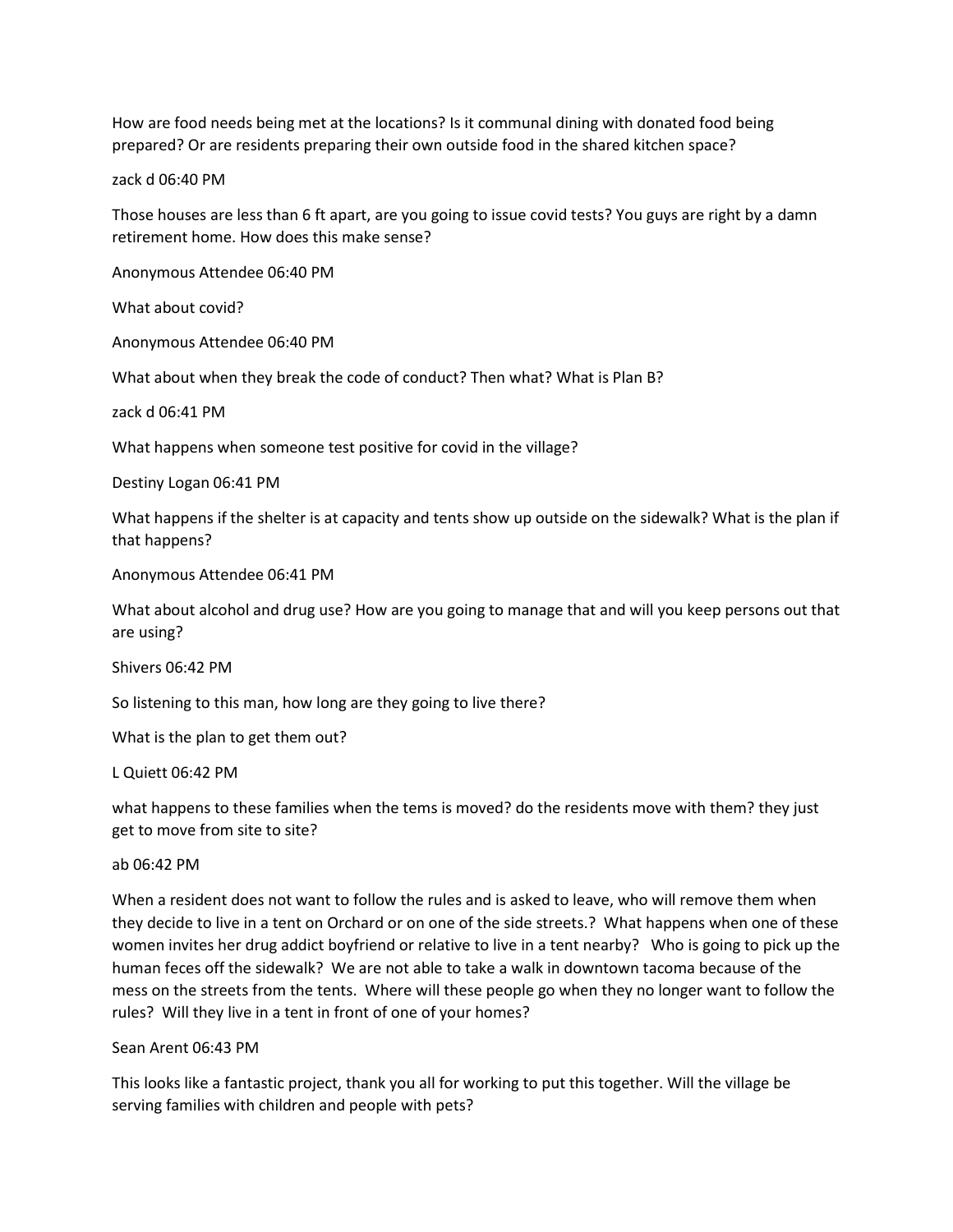How are food needs being met at the locations? Is it communal dining with donated food being prepared? Or are residents preparing their own outside food in the shared kitchen space?

zack d 06:40 PM

Those houses are less than 6 ft apart, are you going to issue covid tests? You guys are right by a damn retirement home. How does this make sense?

Anonymous Attendee 06:40 PM

What about covid?

Anonymous Attendee 06:40 PM

What about when they break the code of conduct? Then what? What is Plan B?

zack d 06:41 PM

What happens when someone test positive for covid in the village?

Destiny Logan 06:41 PM

What happens if the shelter is at capacity and tents show up outside on the sidewalk? What is the plan if that happens?

Anonymous Attendee 06:41 PM

What about alcohol and drug use? How are you going to manage that and will you keep persons out that are using?

Shivers 06:42 PM

So listening to this man, how long are they going to live there?

What is the plan to get them out?

L Quiett 06:42 PM

what happens to these families when the tems is moved? do the residents move with them? they just get to move from site to site?

ab 06:42 PM

When a resident does not want to follow the rules and is asked to leave, who will remove them when they decide to live in a tent on Orchard or on one of the side streets.? What happens when one of these women invites her drug addict boyfriend or relative to live in a tent nearby? Who is going to pick up the human feces off the sidewalk? We are not able to take a walk in downtown tacoma because of the mess on the streets from the tents. Where will these people go when they no longer want to follow the rules? Will they live in a tent in front of one of your homes?

#### Sean Arent 06:43 PM

This looks like a fantastic project, thank you all for working to put this together. Will the village be serving families with children and people with pets?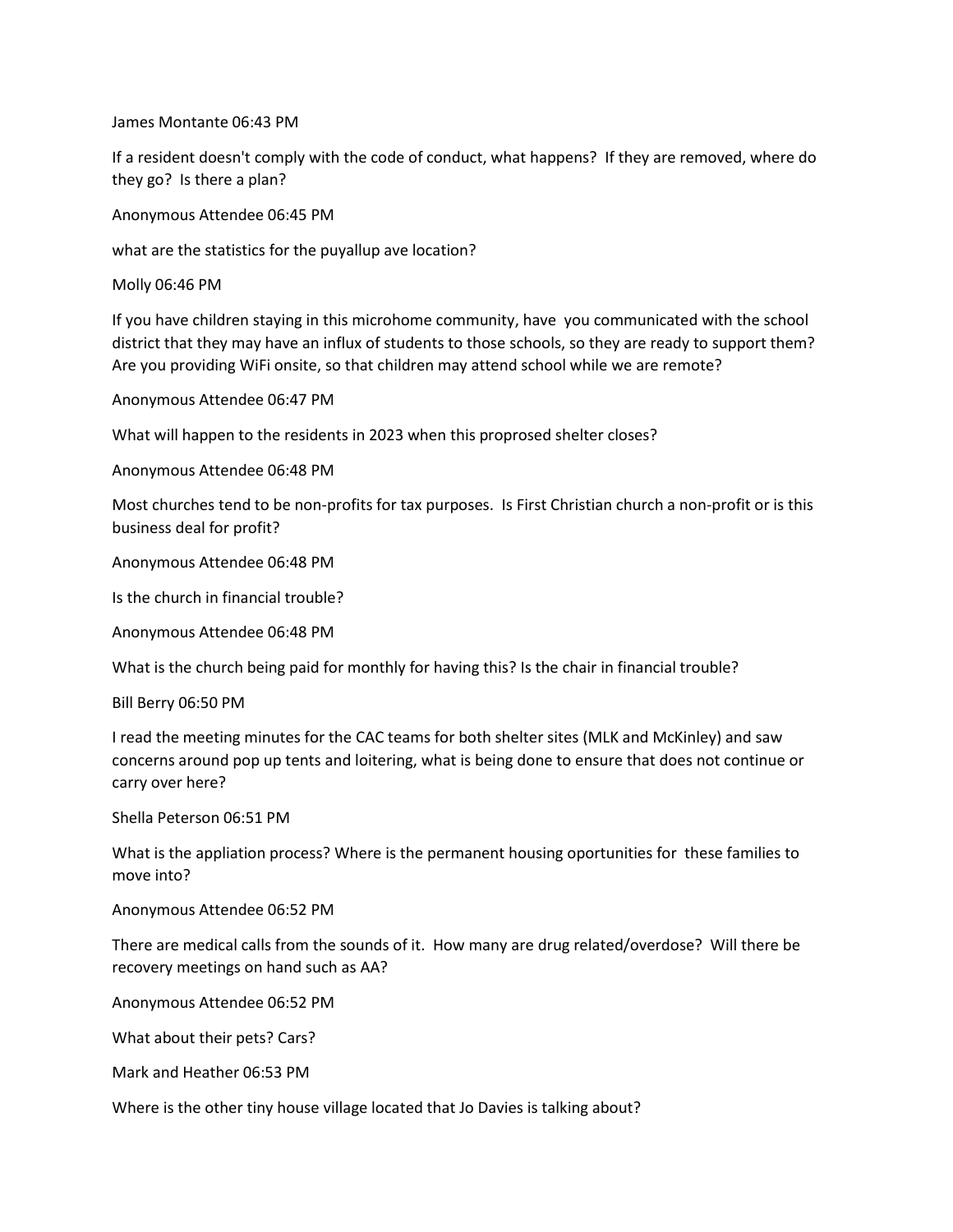James Montante 06:43 PM

If a resident doesn't comply with the code of conduct, what happens? If they are removed, where do they go? Is there a plan?

Anonymous Attendee 06:45 PM

what are the statistics for the puyallup ave location?

Molly 06:46 PM

If you have children staying in this microhome community, have you communicated with the school district that they may have an influx of students to those schools, so they are ready to support them? Are you providing WiFi onsite, so that children may attend school while we are remote?

Anonymous Attendee 06:47 PM

What will happen to the residents in 2023 when this proprosed shelter closes?

Anonymous Attendee 06:48 PM

Most churches tend to be non-profits for tax purposes. Is First Christian church a non-profit or is this business deal for profit?

Anonymous Attendee 06:48 PM

Is the church in financial trouble?

Anonymous Attendee 06:48 PM

What is the church being paid for monthly for having this? Is the chair in financial trouble?

Bill Berry 06:50 PM

I read the meeting minutes for the CAC teams for both shelter sites (MLK and McKinley) and saw concerns around pop up tents and loitering, what is being done to ensure that does not continue or carry over here?

Shella Peterson 06:51 PM

What is the appliation process? Where is the permanent housing oportunities for these families to move into?

Anonymous Attendee 06:52 PM

There are medical calls from the sounds of it. How many are drug related/overdose? Will there be recovery meetings on hand such as AA?

Anonymous Attendee 06:52 PM

What about their pets? Cars?

Mark and Heather 06:53 PM

Where is the other tiny house village located that Jo Davies is talking about?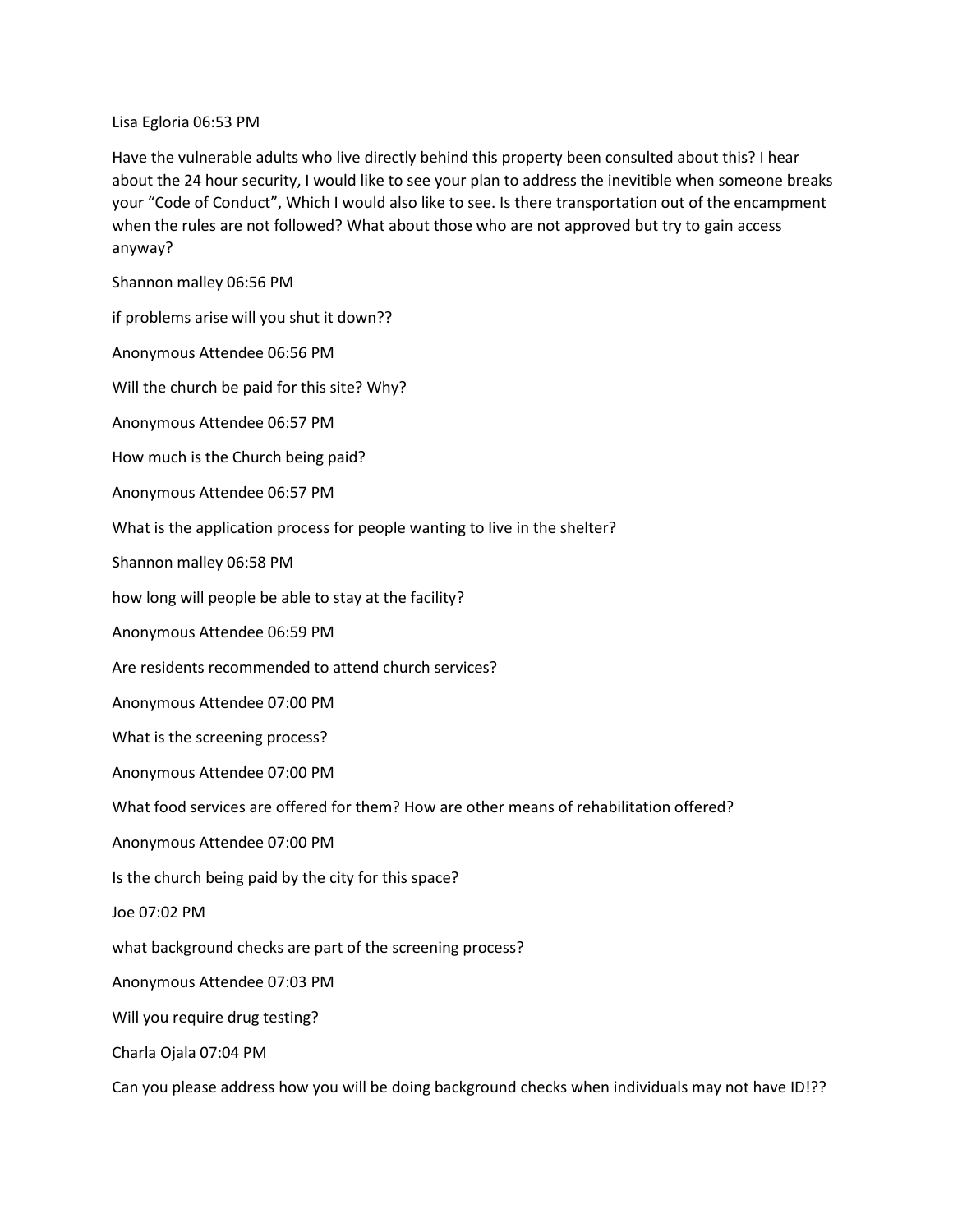Lisa Egloria 06:53 PM

Have the vulnerable adults who live directly behind this property been consulted about this? I hear about the 24 hour security, I would like to see your plan to address the inevitible when someone breaks your "Code of Conduct", Which I would also like to see. Is there transportation out of the encampment when the rules are not followed? What about those who are not approved but try to gain access anyway?

Shannon malley 06:56 PM

if problems arise will you shut it down??

Anonymous Attendee 06:56 PM

Will the church be paid for this site? Why?

Anonymous Attendee 06:57 PM

How much is the Church being paid?

Anonymous Attendee 06:57 PM

What is the application process for people wanting to live in the shelter?

Shannon malley 06:58 PM

how long will people be able to stay at the facility?

Anonymous Attendee 06:59 PM

Are residents recommended to attend church services?

Anonymous Attendee 07:00 PM

What is the screening process?

Anonymous Attendee 07:00 PM

What food services are offered for them? How are other means of rehabilitation offered?

Anonymous Attendee 07:00 PM

Is the church being paid by the city for this space?

Joe 07:02 PM

what background checks are part of the screening process?

Anonymous Attendee 07:03 PM

Will you require drug testing?

Charla Ojala 07:04 PM

Can you please address how you will be doing background checks when individuals may not have ID!??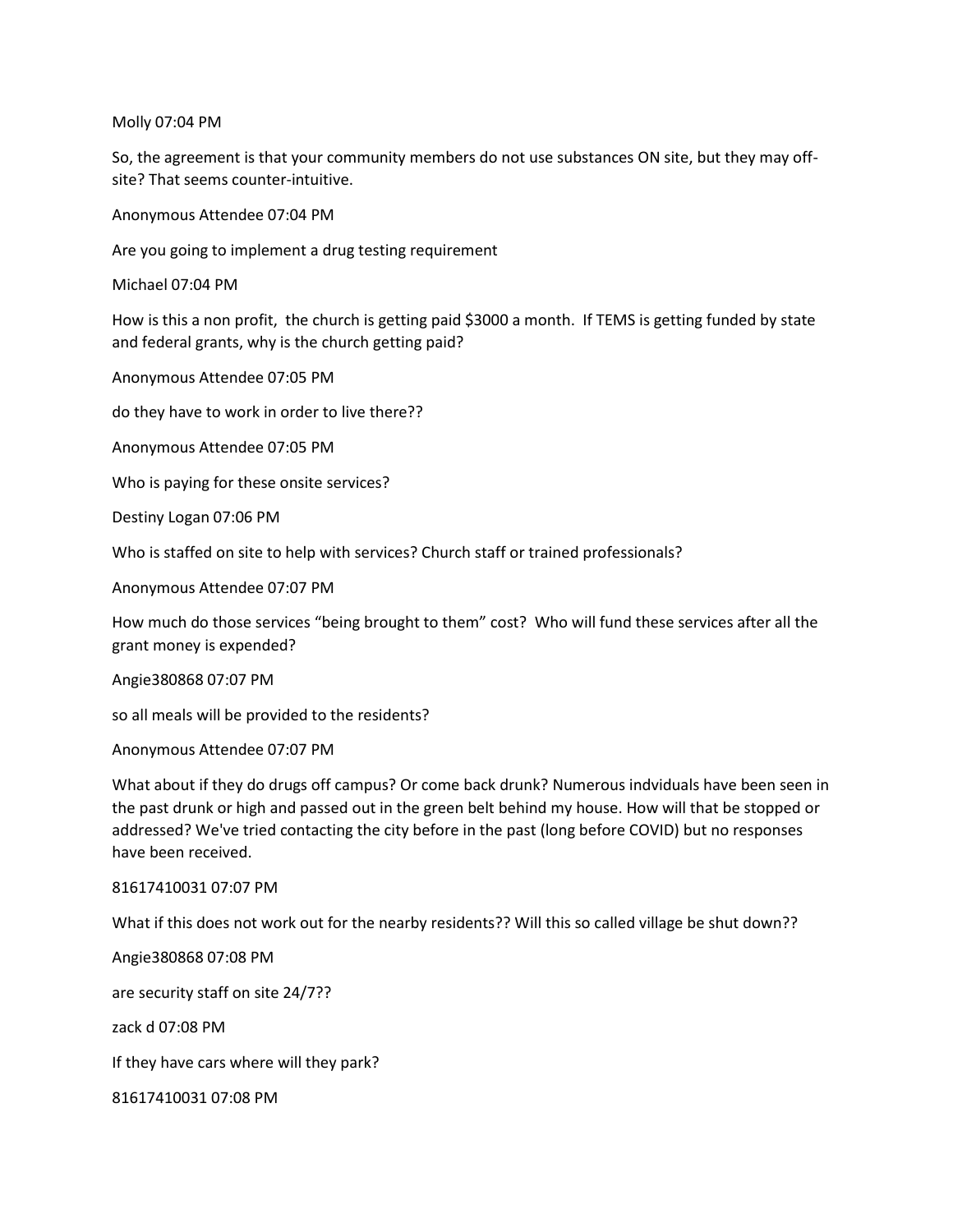Molly 07:04 PM

So, the agreement is that your community members do not use substances ON site, but they may offsite? That seems counter-intuitive.

Anonymous Attendee 07:04 PM

Are you going to implement a drug testing requirement

Michael 07:04 PM

How is this a non profit, the church is getting paid \$3000 a month. If TEMS is getting funded by state and federal grants, why is the church getting paid?

Anonymous Attendee 07:05 PM

do they have to work in order to live there??

Anonymous Attendee 07:05 PM

Who is paying for these onsite services?

Destiny Logan 07:06 PM

Who is staffed on site to help with services? Church staff or trained professionals?

Anonymous Attendee 07:07 PM

How much do those services "being brought to them" cost? Who will fund these services after all the grant money is expended?

Angie380868 07:07 PM

so all meals will be provided to the residents?

Anonymous Attendee 07:07 PM

What about if they do drugs off campus? Or come back drunk? Numerous indviduals have been seen in the past drunk or high and passed out in the green belt behind my house. How will that be stopped or addressed? We've tried contacting the city before in the past (long before COVID) but no responses have been received.

### 81617410031 07:07 PM

What if this does not work out for the nearby residents?? Will this so called village be shut down??

Angie380868 07:08 PM are security staff on site 24/7?? zack d 07:08 PM If they have cars where will they park? 81617410031 07:08 PM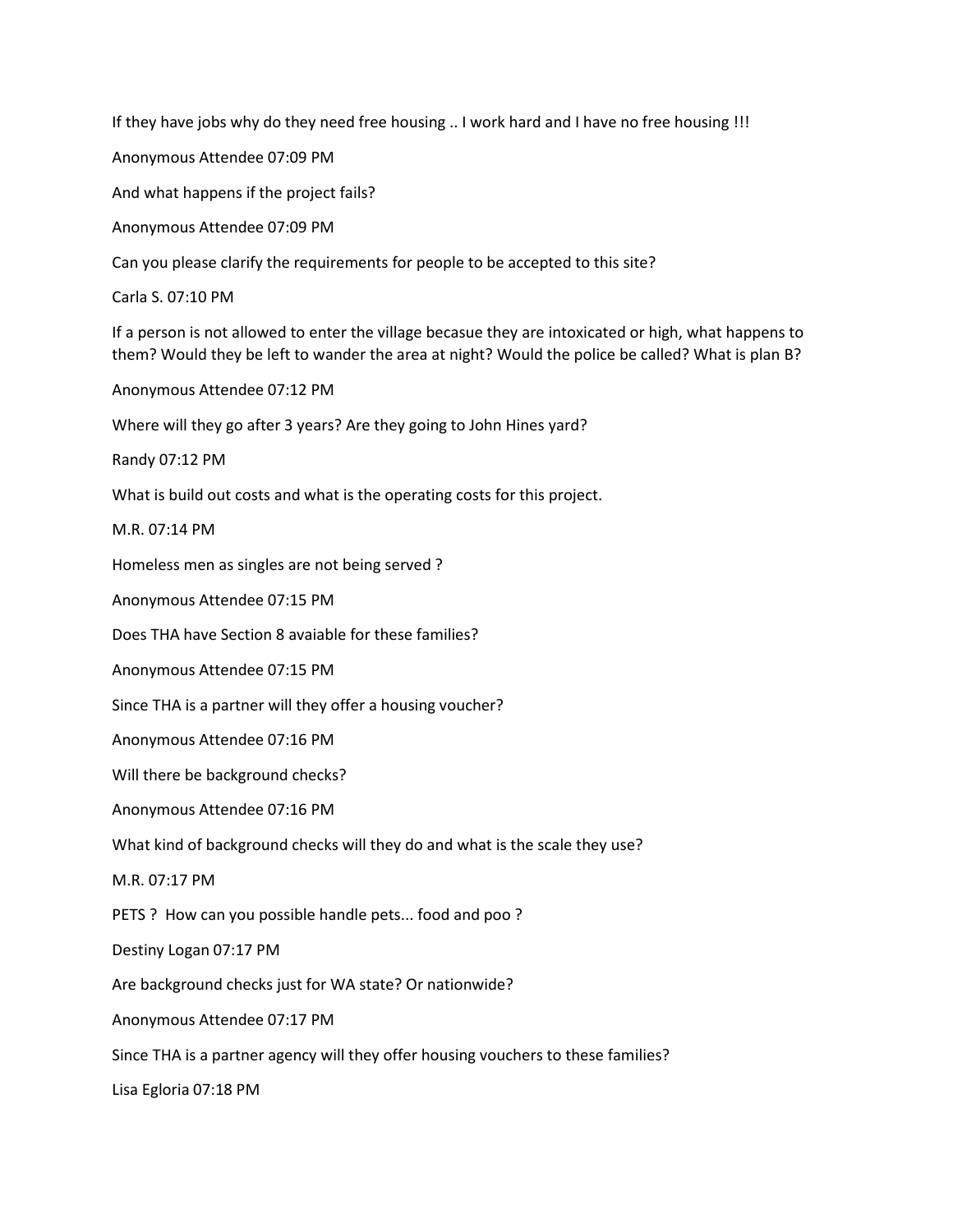If they have jobs why do they need free housing .. I work hard and I have no free housing !!!

Anonymous Attendee 07:09 PM

And what happens if the project fails?

Anonymous Attendee 07:09 PM

Can you please clarify the requirements for people to be accepted to this site?

Carla S. 07:10 PM

If a person is not allowed to enter the village becasue they are intoxicated or high, what happens to them? Would they be left to wander the area at night? Would the police be called? What is plan B?

Anonymous Attendee 07:12 PM

Where will they go after 3 years? Are they going to John Hines yard?

Randy 07:12 PM

What is build out costs and what is the operating costs for this project.

M.R. 07:14 PM

Homeless men as singles are not being served ?

Anonymous Attendee 07:15 PM

Does THA have Section 8 avaiable for these families?

Anonymous Attendee 07:15 PM

Since THA is a partner will they offer a housing voucher?

Anonymous Attendee 07:16 PM

Will there be background checks?

Anonymous Attendee 07:16 PM

What kind of background checks will they do and what is the scale they use?

M.R. 07:17 PM

PETS ? How can you possible handle pets... food and poo ?

Destiny Logan 07:17 PM

Are background checks just for WA state? Or nationwide?

Anonymous Attendee 07:17 PM

Since THA is a partner agency will they offer housing vouchers to these families?

Lisa Egloria 07:18 PM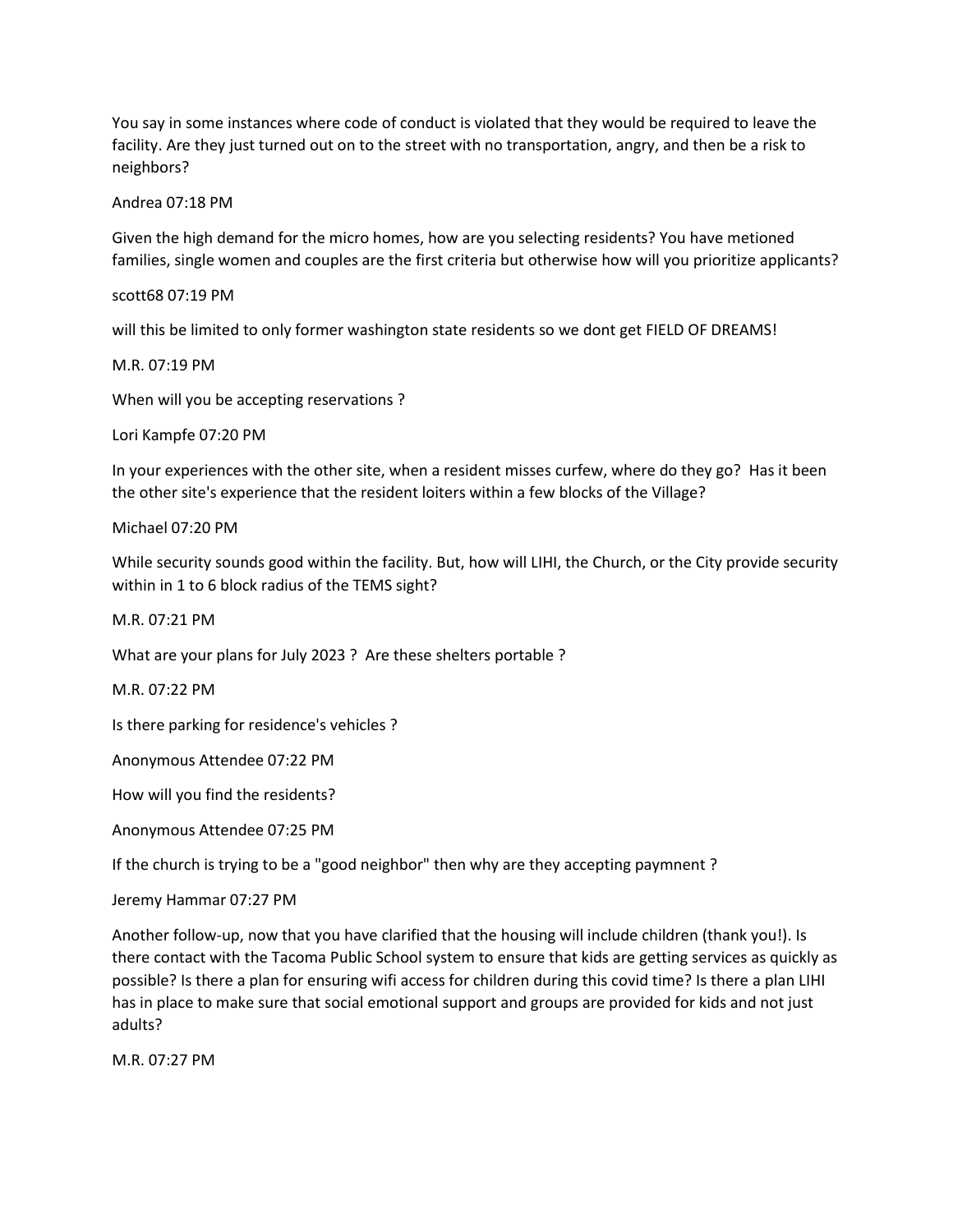You say in some instances where code of conduct is violated that they would be required to leave the facility. Are they just turned out on to the street with no transportation, angry, and then be a risk to neighbors?

### Andrea 07:18 PM

Given the high demand for the micro homes, how are you selecting residents? You have metioned families, single women and couples are the first criteria but otherwise how will you prioritize applicants?

scott68 07:19 PM

will this be limited to only former washington state residents so we dont get FIELD OF DREAMS!

M.R. 07:19 PM

When will you be accepting reservations ?

Lori Kampfe 07:20 PM

In your experiences with the other site, when a resident misses curfew, where do they go? Has it been the other site's experience that the resident loiters within a few blocks of the Village?

### Michael 07:20 PM

While security sounds good within the facility. But, how will LIHI, the Church, or the City provide security within in 1 to 6 block radius of the TEMS sight?

M.R. 07:21 PM

What are your plans for July 2023 ? Are these shelters portable ?

M.R. 07:22 PM

Is there parking for residence's vehicles ?

Anonymous Attendee 07:22 PM

How will you find the residents?

Anonymous Attendee 07:25 PM

If the church is trying to be a "good neighbor" then why are they accepting paymnent ?

Jeremy Hammar 07:27 PM

Another follow-up, now that you have clarified that the housing will include children (thank you!). Is there contact with the Tacoma Public School system to ensure that kids are getting services as quickly as possible? Is there a plan for ensuring wifi access for children during this covid time? Is there a plan LIHI has in place to make sure that social emotional support and groups are provided for kids and not just adults?

M.R. 07:27 PM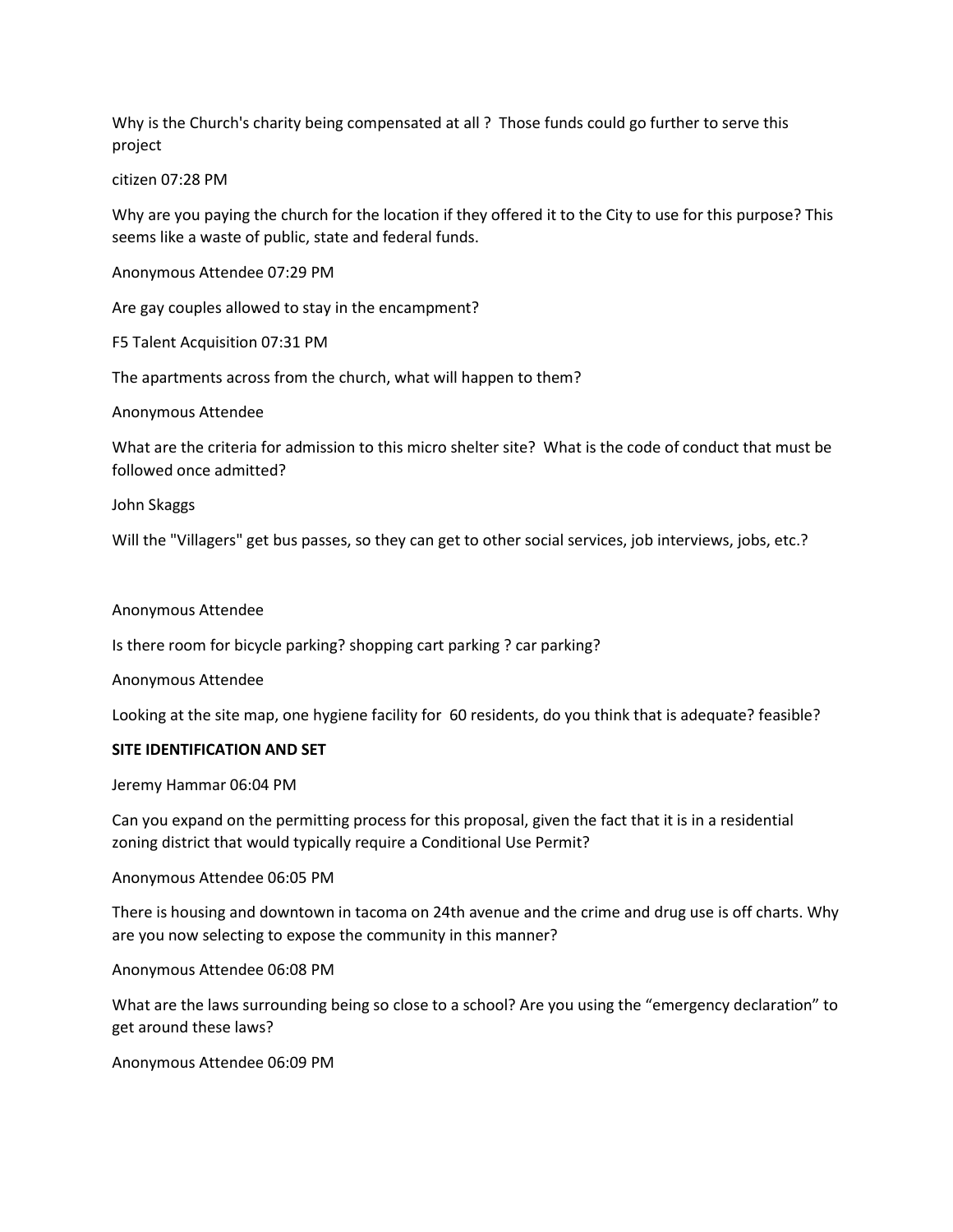Why is the Church's charity being compensated at all ? Those funds could go further to serve this project

citizen 07:28 PM

Why are you paying the church for the location if they offered it to the City to use for this purpose? This seems like a waste of public, state and federal funds.

Anonymous Attendee 07:29 PM

Are gay couples allowed to stay in the encampment?

F5 Talent Acquisition 07:31 PM

The apartments across from the church, what will happen to them?

Anonymous Attendee

What are the criteria for admission to this micro shelter site? What is the code of conduct that must be followed once admitted?

John Skaggs

Will the "Villagers" get bus passes, so they can get to other social services, job interviews, jobs, etc.?

#### Anonymous Attendee

Is there room for bicycle parking? shopping cart parking ? car parking?

Anonymous Attendee

Looking at the site map, one hygiene facility for 60 residents, do you think that is adequate? feasible?

### **SITE IDENTIFICATION AND SET**

Jeremy Hammar 06:04 PM

Can you expand on the permitting process for this proposal, given the fact that it is in a residential zoning district that would typically require a Conditional Use Permit?

Anonymous Attendee 06:05 PM

There is housing and downtown in tacoma on 24th avenue and the crime and drug use is off charts. Why are you now selecting to expose the community in this manner?

Anonymous Attendee 06:08 PM

What are the laws surrounding being so close to a school? Are you using the "emergency declaration" to get around these laws?

Anonymous Attendee 06:09 PM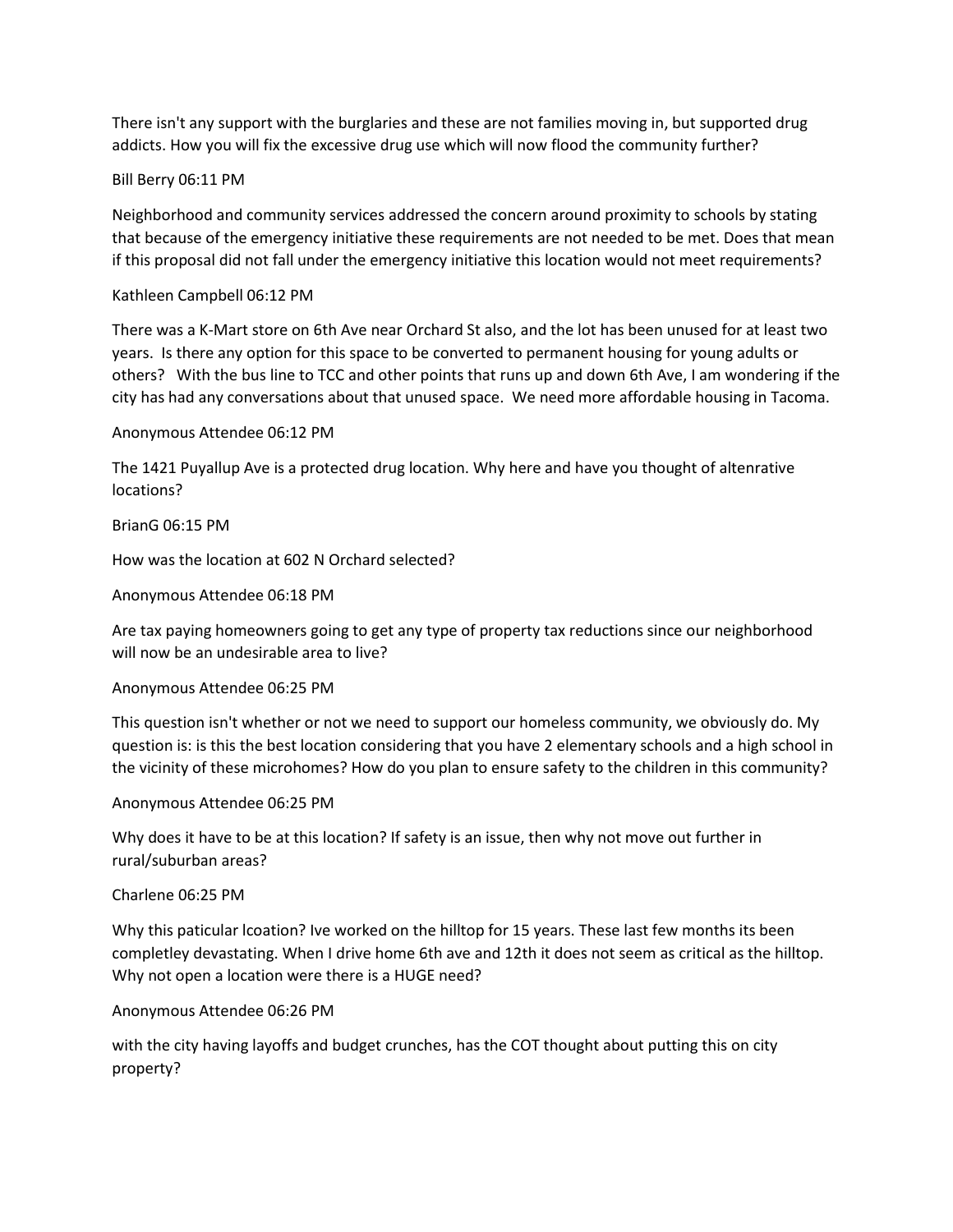There isn't any support with the burglaries and these are not families moving in, but supported drug addicts. How you will fix the excessive drug use which will now flood the community further?

# Bill Berry 06:11 PM

Neighborhood and community services addressed the concern around proximity to schools by stating that because of the emergency initiative these requirements are not needed to be met. Does that mean if this proposal did not fall under the emergency initiative this location would not meet requirements?

# Kathleen Campbell 06:12 PM

There was a K-Mart store on 6th Ave near Orchard St also, and the lot has been unused for at least two years. Is there any option for this space to be converted to permanent housing for young adults or others? With the bus line to TCC and other points that runs up and down 6th Ave, I am wondering if the city has had any conversations about that unused space. We need more affordable housing in Tacoma.

### Anonymous Attendee 06:12 PM

The 1421 Puyallup Ave is a protected drug location. Why here and have you thought of altenrative locations?

# BrianG 06:15 PM

How was the location at 602 N Orchard selected?

# Anonymous Attendee 06:18 PM

Are tax paying homeowners going to get any type of property tax reductions since our neighborhood will now be an undesirable area to live?

### Anonymous Attendee 06:25 PM

This question isn't whether or not we need to support our homeless community, we obviously do. My question is: is this the best location considering that you have 2 elementary schools and a high school in the vicinity of these microhomes? How do you plan to ensure safety to the children in this community?

### Anonymous Attendee 06:25 PM

Why does it have to be at this location? If safety is an issue, then why not move out further in rural/suburban areas?

### Charlene 06:25 PM

Why this paticular lcoation? Ive worked on the hilltop for 15 years. These last few months its been completley devastating. When I drive home 6th ave and 12th it does not seem as critical as the hilltop. Why not open a location were there is a HUGE need?

### Anonymous Attendee 06:26 PM

with the city having layoffs and budget crunches, has the COT thought about putting this on city property?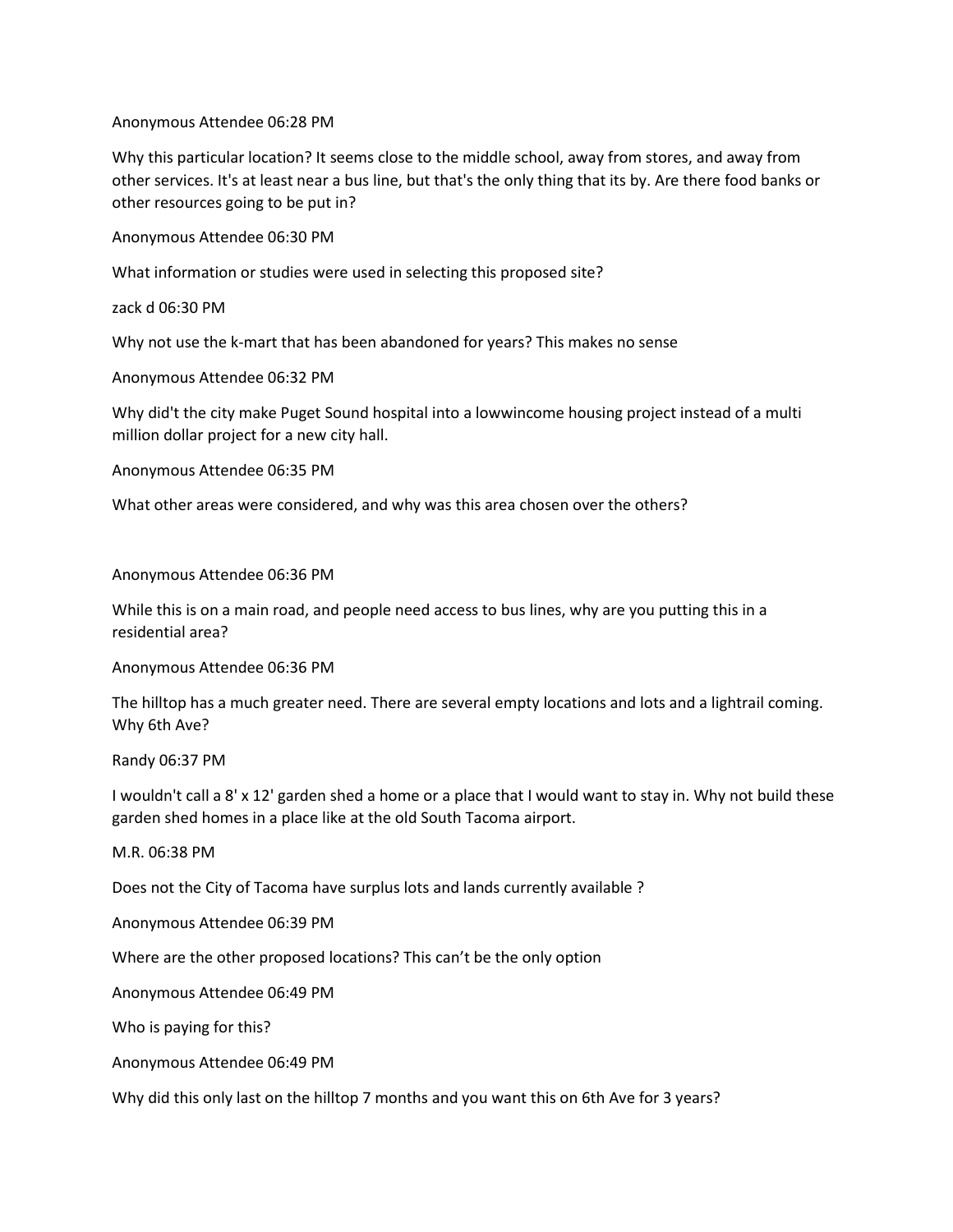Anonymous Attendee 06:28 PM

Why this particular location? It seems close to the middle school, away from stores, and away from other services. It's at least near a bus line, but that's the only thing that its by. Are there food banks or other resources going to be put in?

Anonymous Attendee 06:30 PM

What information or studies were used in selecting this proposed site?

zack d 06:30 PM

Why not use the k-mart that has been abandoned for years? This makes no sense

Anonymous Attendee 06:32 PM

Why did't the city make Puget Sound hospital into a lowwincome housing project instead of a multi million dollar project for a new city hall.

Anonymous Attendee 06:35 PM

What other areas were considered, and why was this area chosen over the others?

Anonymous Attendee 06:36 PM

While this is on a main road, and people need access to bus lines, why are you putting this in a residential area?

Anonymous Attendee 06:36 PM

The hilltop has a much greater need. There are several empty locations and lots and a lightrail coming. Why 6th Ave?

Randy 06:37 PM

I wouldn't call a 8' x 12' garden shed a home or a place that I would want to stay in. Why not build these garden shed homes in a place like at the old South Tacoma airport.

M.R. 06:38 PM

Does not the City of Tacoma have surplus lots and lands currently available ?

Anonymous Attendee 06:39 PM

Where are the other proposed locations? This can't be the only option

Anonymous Attendee 06:49 PM

Who is paying for this?

Anonymous Attendee 06:49 PM

Why did this only last on the hilltop 7 months and you want this on 6th Ave for 3 years?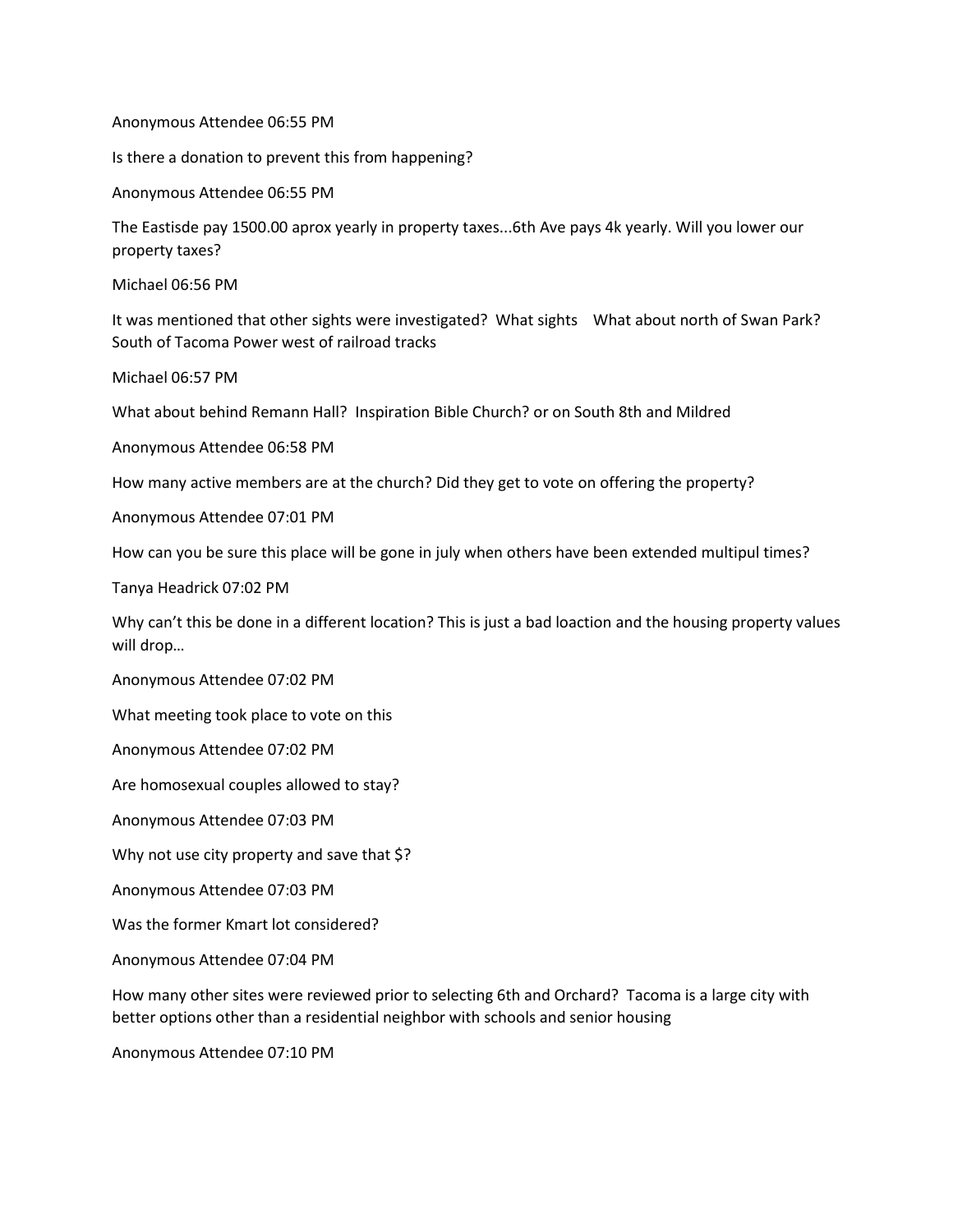Anonymous Attendee 06:55 PM

Is there a donation to prevent this from happening?

Anonymous Attendee 06:55 PM

The Eastisde pay 1500.00 aprox yearly in property taxes...6th Ave pays 4k yearly. Will you lower our property taxes?

Michael 06:56 PM

It was mentioned that other sights were investigated? What sights What about north of Swan Park? South of Tacoma Power west of railroad tracks

Michael 06:57 PM

What about behind Remann Hall? Inspiration Bible Church? or on South 8th and Mildred

Anonymous Attendee 06:58 PM

How many active members are at the church? Did they get to vote on offering the property?

Anonymous Attendee 07:01 PM

How can you be sure this place will be gone in july when others have been extended multipul times?

Tanya Headrick 07:02 PM

Why can't this be done in a different location? This is just a bad loaction and the housing property values will drop…

Anonymous Attendee 07:02 PM

What meeting took place to vote on this

Anonymous Attendee 07:02 PM

Are homosexual couples allowed to stay?

Anonymous Attendee 07:03 PM

Why not use city property and save that \$?

Anonymous Attendee 07:03 PM

Was the former Kmart lot considered?

Anonymous Attendee 07:04 PM

How many other sites were reviewed prior to selecting 6th and Orchard? Tacoma is a large city with better options other than a residential neighbor with schools and senior housing

Anonymous Attendee 07:10 PM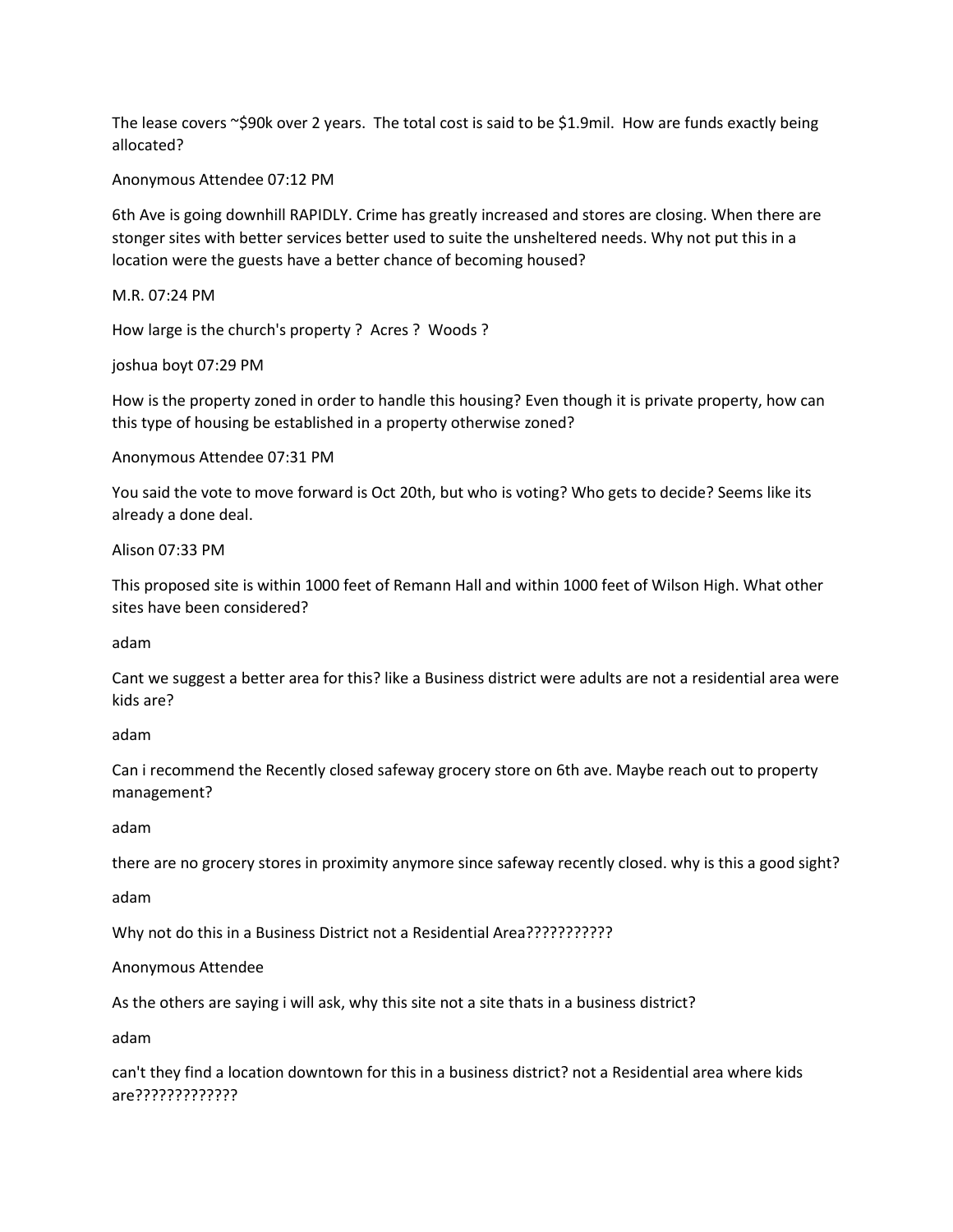The lease covers  $\sim$ \$90k over 2 years. The total cost is said to be \$1.9mil. How are funds exactly being allocated?

Anonymous Attendee 07:12 PM

6th Ave is going downhill RAPIDLY. Crime has greatly increased and stores are closing. When there are stonger sites with better services better used to suite the unsheltered needs. Why not put this in a location were the guests have a better chance of becoming housed?

M.R. 07:24 PM

How large is the church's property ? Acres ? Woods ?

joshua boyt 07:29 PM

How is the property zoned in order to handle this housing? Even though it is private property, how can this type of housing be established in a property otherwise zoned?

Anonymous Attendee 07:31 PM

You said the vote to move forward is Oct 20th, but who is voting? Who gets to decide? Seems like its already a done deal.

Alison 07:33 PM

This proposed site is within 1000 feet of Remann Hall and within 1000 feet of Wilson High. What other sites have been considered?

adam

Cant we suggest a better area for this? like a Business district were adults are not a residential area were kids are?

adam

Can i recommend the Recently closed safeway grocery store on 6th ave. Maybe reach out to property management?

adam

there are no grocery stores in proximity anymore since safeway recently closed. why is this a good sight?

adam

Why not do this in a Business District not a Residential Area???????????

Anonymous Attendee

As the others are saying i will ask, why this site not a site thats in a business district?

adam

can't they find a location downtown for this in a business district? not a Residential area where kids are?????????????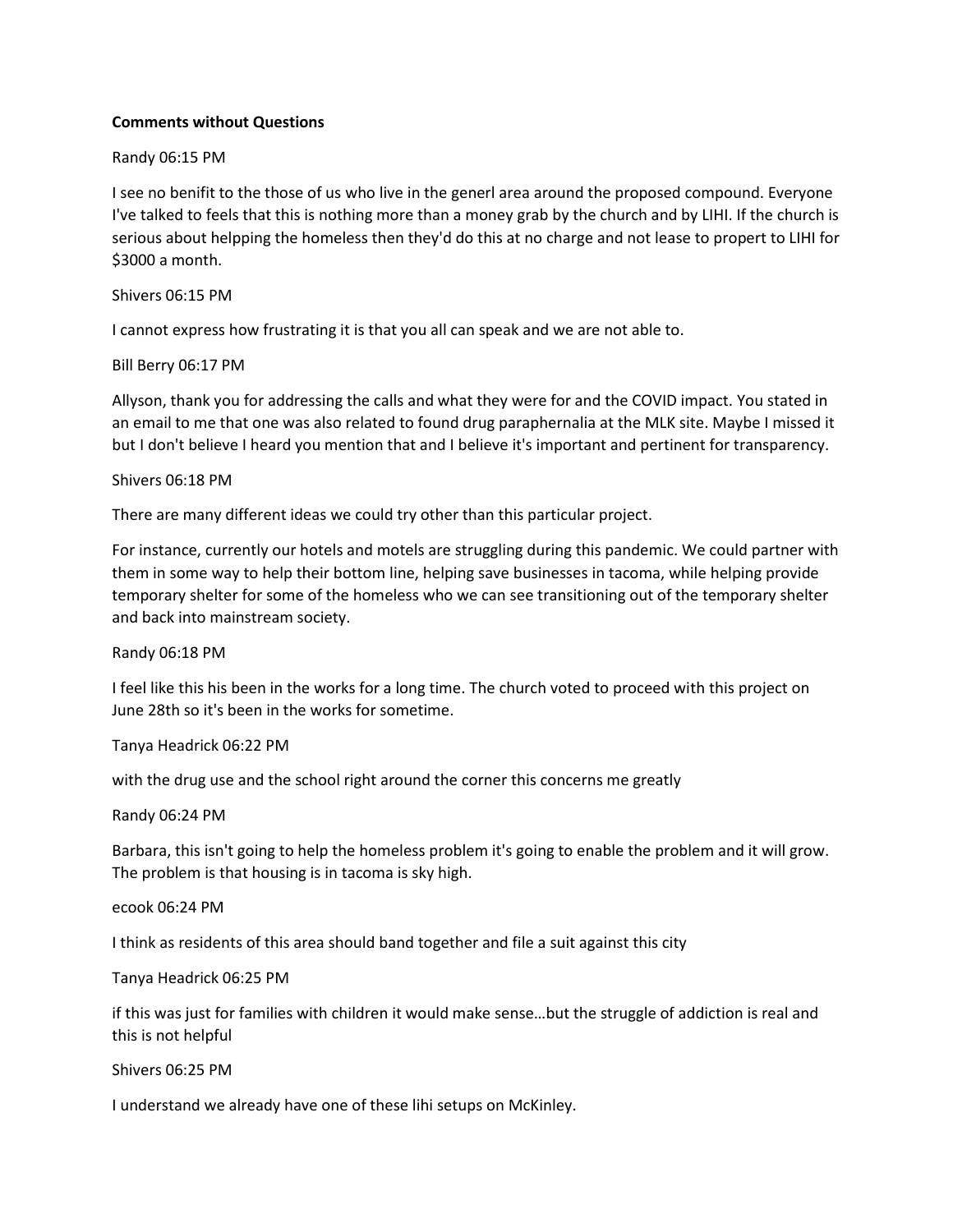# **Comments without Questions**

### Randy 06:15 PM

I see no benifit to the those of us who live in the generl area around the proposed compound. Everyone I've talked to feels that this is nothing more than a money grab by the church and by LIHI. If the church is serious about helpping the homeless then they'd do this at no charge and not lease to propert to LIHI for \$3000 a month.

### Shivers 06:15 PM

I cannot express how frustrating it is that you all can speak and we are not able to.

### Bill Berry 06:17 PM

Allyson, thank you for addressing the calls and what they were for and the COVID impact. You stated in an email to me that one was also related to found drug paraphernalia at the MLK site. Maybe I missed it but I don't believe I heard you mention that and I believe it's important and pertinent for transparency.

# Shivers 06:18 PM

There are many different ideas we could try other than this particular project.

For instance, currently our hotels and motels are struggling during this pandemic. We could partner with them in some way to help their bottom line, helping save businesses in tacoma, while helping provide temporary shelter for some of the homeless who we can see transitioning out of the temporary shelter and back into mainstream society.

Randy 06:18 PM

I feel like this his been in the works for a long time. The church voted to proceed with this project on June 28th so it's been in the works for sometime.

Tanya Headrick 06:22 PM

with the drug use and the school right around the corner this concerns me greatly

Randy 06:24 PM

Barbara, this isn't going to help the homeless problem it's going to enable the problem and it will grow. The problem is that housing is in tacoma is sky high.

ecook 06:24 PM

I think as residents of this area should band together and file a suit against this city

Tanya Headrick 06:25 PM

if this was just for families with children it would make sense…but the struggle of addiction is real and this is not helpful

Shivers 06:25 PM

I understand we already have one of these lihi setups on McKinley.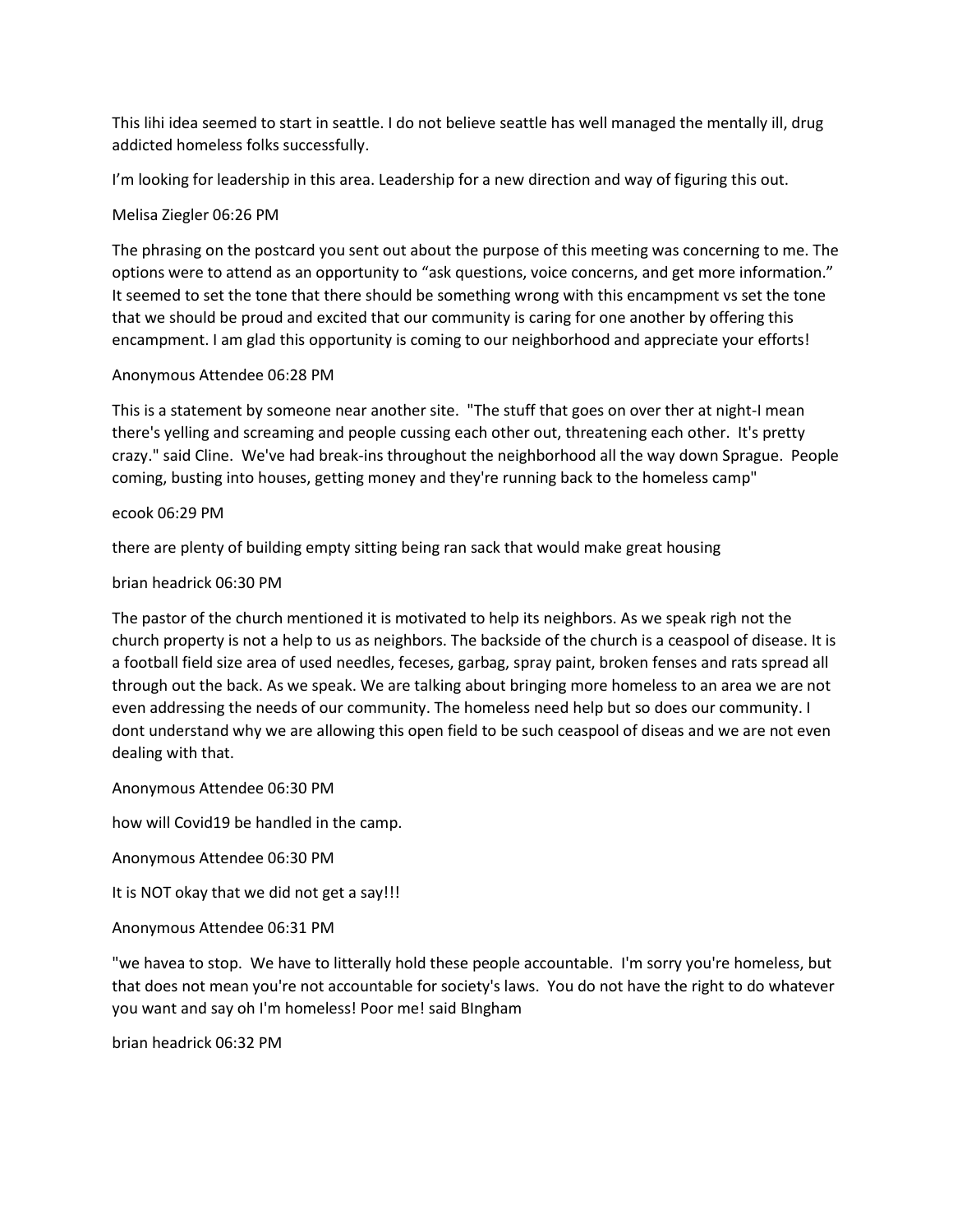This lihi idea seemed to start in seattle. I do not believe seattle has well managed the mentally ill, drug addicted homeless folks successfully.

I'm looking for leadership in this area. Leadership for a new direction and way of figuring this out.

# Melisa Ziegler 06:26 PM

The phrasing on the postcard you sent out about the purpose of this meeting was concerning to me. The options were to attend as an opportunity to "ask questions, voice concerns, and get more information." It seemed to set the tone that there should be something wrong with this encampment vs set the tone that we should be proud and excited that our community is caring for one another by offering this encampment. I am glad this opportunity is coming to our neighborhood and appreciate your efforts!

# Anonymous Attendee 06:28 PM

This is a statement by someone near another site. "The stuff that goes on over ther at night-I mean there's yelling and screaming and people cussing each other out, threatening each other. It's pretty crazy." said Cline. We've had break-ins throughout the neighborhood all the way down Sprague. People coming, busting into houses, getting money and they're running back to the homeless camp"

# ecook 06:29 PM

there are plenty of building empty sitting being ran sack that would make great housing

# brian headrick 06:30 PM

The pastor of the church mentioned it is motivated to help its neighbors. As we speak righ not the church property is not a help to us as neighbors. The backside of the church is a ceaspool of disease. It is a football field size area of used needles, feceses, garbag, spray paint, broken fenses and rats spread all through out the back. As we speak. We are talking about bringing more homeless to an area we are not even addressing the needs of our community. The homeless need help but so does our community. I dont understand why we are allowing this open field to be such ceaspool of diseas and we are not even dealing with that.

# Anonymous Attendee 06:30 PM

how will Covid19 be handled in the camp.

Anonymous Attendee 06:30 PM

It is NOT okay that we did not get a say!!!

Anonymous Attendee 06:31 PM

"we havea to stop. We have to litterally hold these people accountable. I'm sorry you're homeless, but that does not mean you're not accountable for society's laws. You do not have the right to do whatever you want and say oh I'm homeless! Poor me! said BIngham

brian headrick 06:32 PM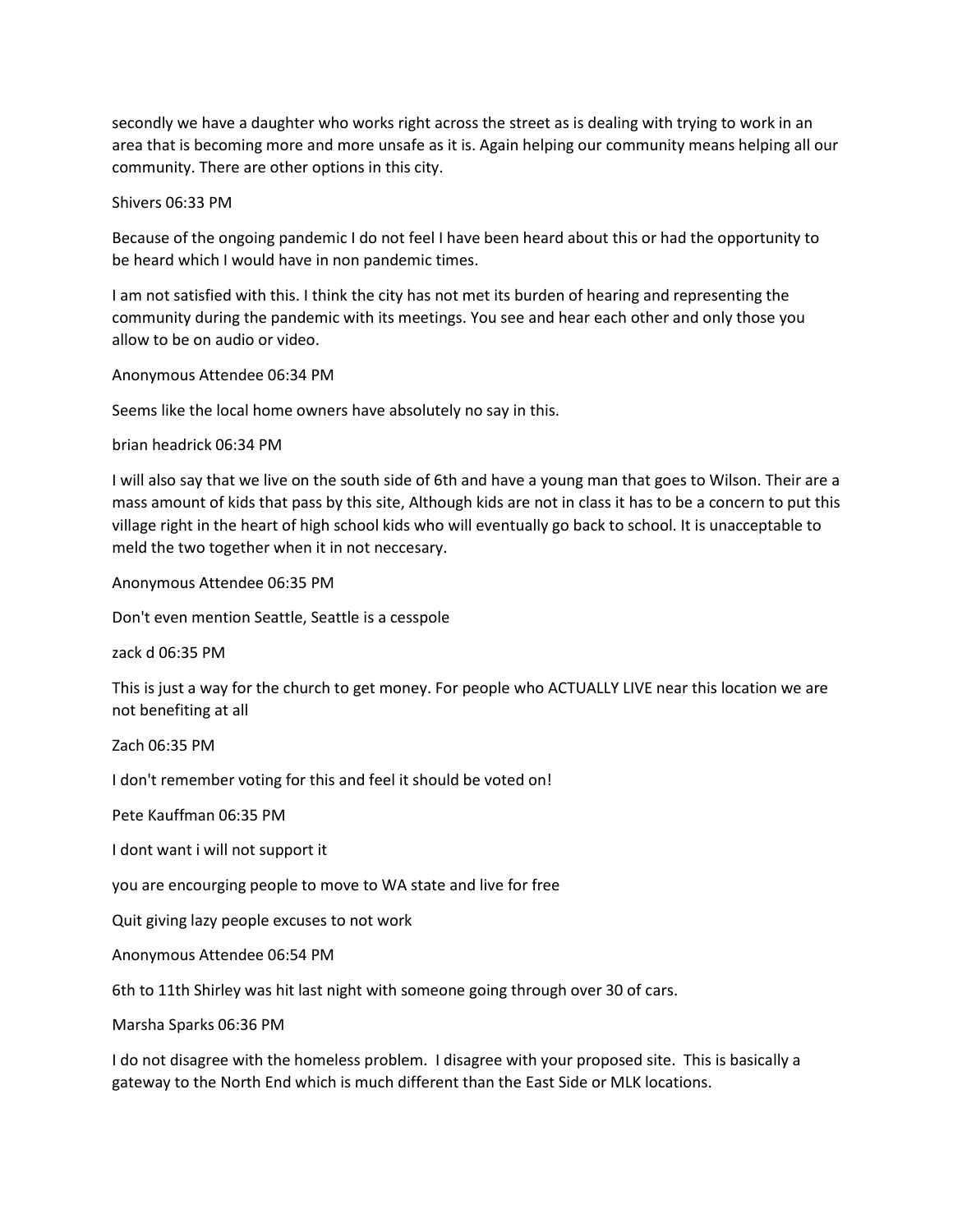secondly we have a daughter who works right across the street as is dealing with trying to work in an area that is becoming more and more unsafe as it is. Again helping our community means helping all our community. There are other options in this city.

Shivers 06:33 PM

Because of the ongoing pandemic I do not feel I have been heard about this or had the opportunity to be heard which I would have in non pandemic times.

I am not satisfied with this. I think the city has not met its burden of hearing and representing the community during the pandemic with its meetings. You see and hear each other and only those you allow to be on audio or video.

Anonymous Attendee 06:34 PM

Seems like the local home owners have absolutely no say in this.

brian headrick 06:34 PM

I will also say that we live on the south side of 6th and have a young man that goes to Wilson. Their are a mass amount of kids that pass by this site, Although kids are not in class it has to be a concern to put this village right in the heart of high school kids who will eventually go back to school. It is unacceptable to meld the two together when it in not neccesary.

Anonymous Attendee 06:35 PM

Don't even mention Seattle, Seattle is a cesspole

zack d 06:35 PM

This is just a way for the church to get money. For people who ACTUALLY LIVE near this location we are not benefiting at all

Zach 06:35 PM

I don't remember voting for this and feel it should be voted on!

Pete Kauffman 06:35 PM

I dont want i will not support it

you are encourging people to move to WA state and live for free

Quit giving lazy people excuses to not work

Anonymous Attendee 06:54 PM

6th to 11th Shirley was hit last night with someone going through over 30 of cars.

Marsha Sparks 06:36 PM

I do not disagree with the homeless problem. I disagree with your proposed site. This is basically a gateway to the North End which is much different than the East Side or MLK locations.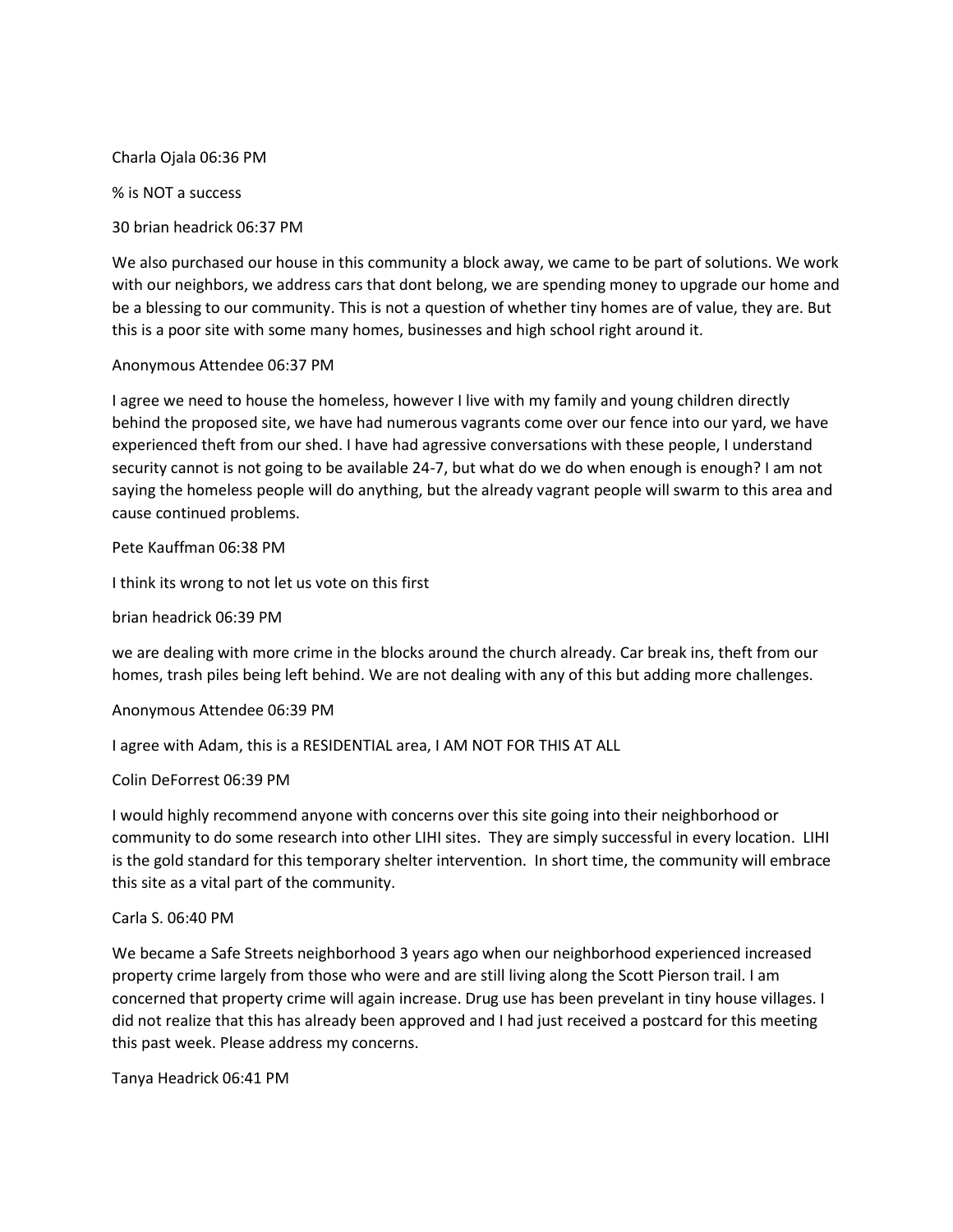Charla Ojala 06:36 PM

% is NOT a success

30 brian headrick 06:37 PM

We also purchased our house in this community a block away, we came to be part of solutions. We work with our neighbors, we address cars that dont belong, we are spending money to upgrade our home and be a blessing to our community. This is not a question of whether tiny homes are of value, they are. But this is a poor site with some many homes, businesses and high school right around it.

Anonymous Attendee 06:37 PM

I agree we need to house the homeless, however I live with my family and young children directly behind the proposed site, we have had numerous vagrants come over our fence into our yard, we have experienced theft from our shed. I have had agressive conversations with these people, I understand security cannot is not going to be available 24-7, but what do we do when enough is enough? I am not saying the homeless people will do anything, but the already vagrant people will swarm to this area and cause continued problems.

Pete Kauffman 06:38 PM

I think its wrong to not let us vote on this first

brian headrick 06:39 PM

we are dealing with more crime in the blocks around the church already. Car break ins, theft from our homes, trash piles being left behind. We are not dealing with any of this but adding more challenges.

Anonymous Attendee 06:39 PM

I agree with Adam, this is a RESIDENTIAL area, I AM NOT FOR THIS AT ALL

Colin DeForrest 06:39 PM

I would highly recommend anyone with concerns over this site going into their neighborhood or community to do some research into other LIHI sites. They are simply successful in every location. LIHI is the gold standard for this temporary shelter intervention. In short time, the community will embrace this site as a vital part of the community.

#### Carla S. 06:40 PM

We became a Safe Streets neighborhood 3 years ago when our neighborhood experienced increased property crime largely from those who were and are still living along the Scott Pierson trail. I am concerned that property crime will again increase. Drug use has been prevelant in tiny house villages. I did not realize that this has already been approved and I had just received a postcard for this meeting this past week. Please address my concerns.

Tanya Headrick 06:41 PM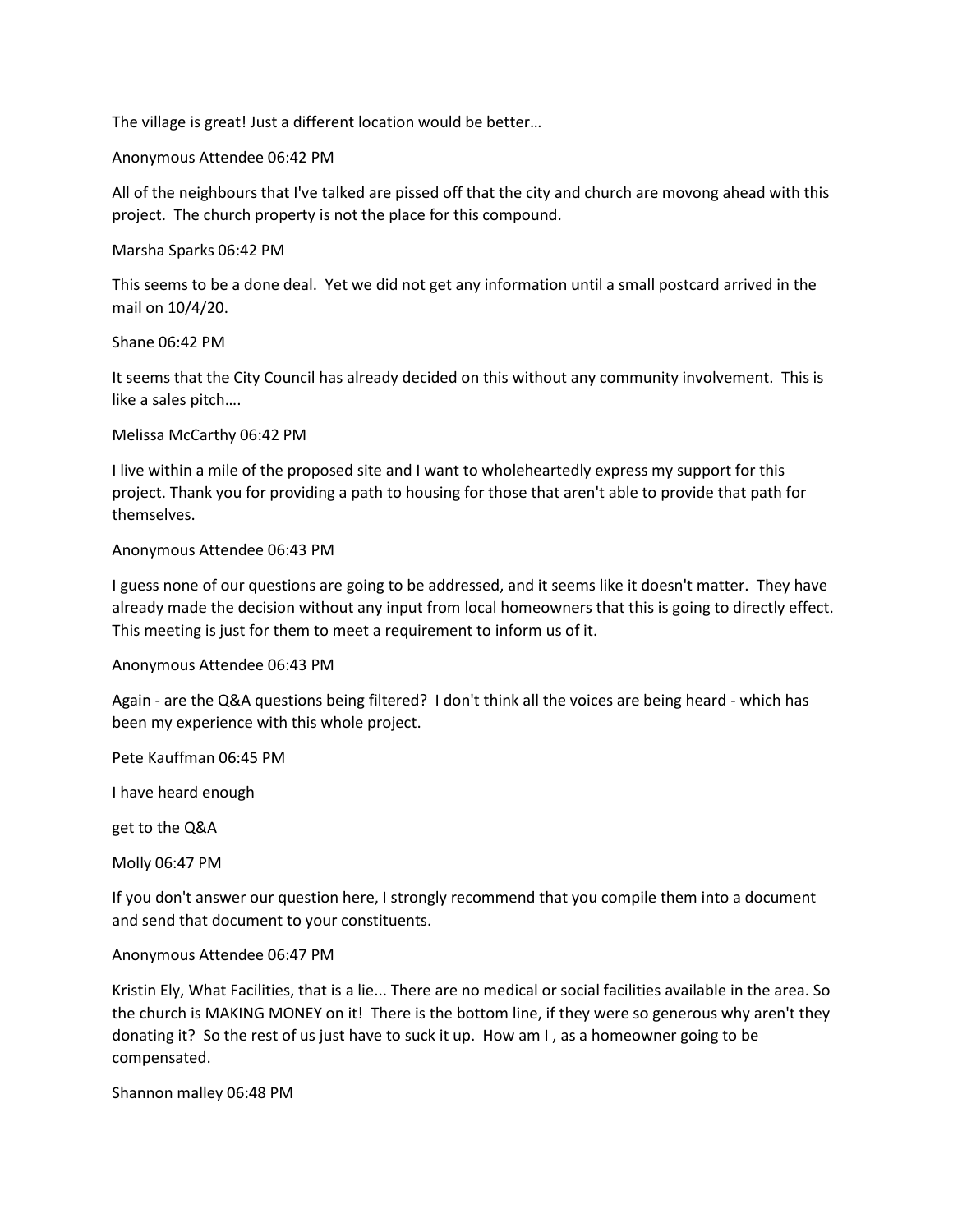The village is great! Just a different location would be better…

Anonymous Attendee 06:42 PM

All of the neighbours that I've talked are pissed off that the city and church are movong ahead with this project. The church property is not the place for this compound.

Marsha Sparks 06:42 PM

This seems to be a done deal. Yet we did not get any information until a small postcard arrived in the mail on 10/4/20.

Shane 06:42 PM

It seems that the City Council has already decided on this without any community involvement. This is like a sales pitch….

Melissa McCarthy 06:42 PM

I live within a mile of the proposed site and I want to wholeheartedly express my support for this project. Thank you for providing a path to housing for those that aren't able to provide that path for themselves.

### Anonymous Attendee 06:43 PM

I guess none of our questions are going to be addressed, and it seems like it doesn't matter. They have already made the decision without any input from local homeowners that this is going to directly effect. This meeting is just for them to meet a requirement to inform us of it.

Anonymous Attendee 06:43 PM

Again - are the Q&A questions being filtered? I don't think all the voices are being heard - which has been my experience with this whole project.

Pete Kauffman 06:45 PM

I have heard enough

get to the Q&A

Molly 06:47 PM

If you don't answer our question here, I strongly recommend that you compile them into a document and send that document to your constituents.

Anonymous Attendee 06:47 PM

Kristin Ely, What Facilities, that is a lie... There are no medical or social facilities available in the area. So the church is MAKING MONEY on it! There is the bottom line, if they were so generous why aren't they donating it? So the rest of us just have to suck it up. How am I , as a homeowner going to be compensated.

Shannon malley 06:48 PM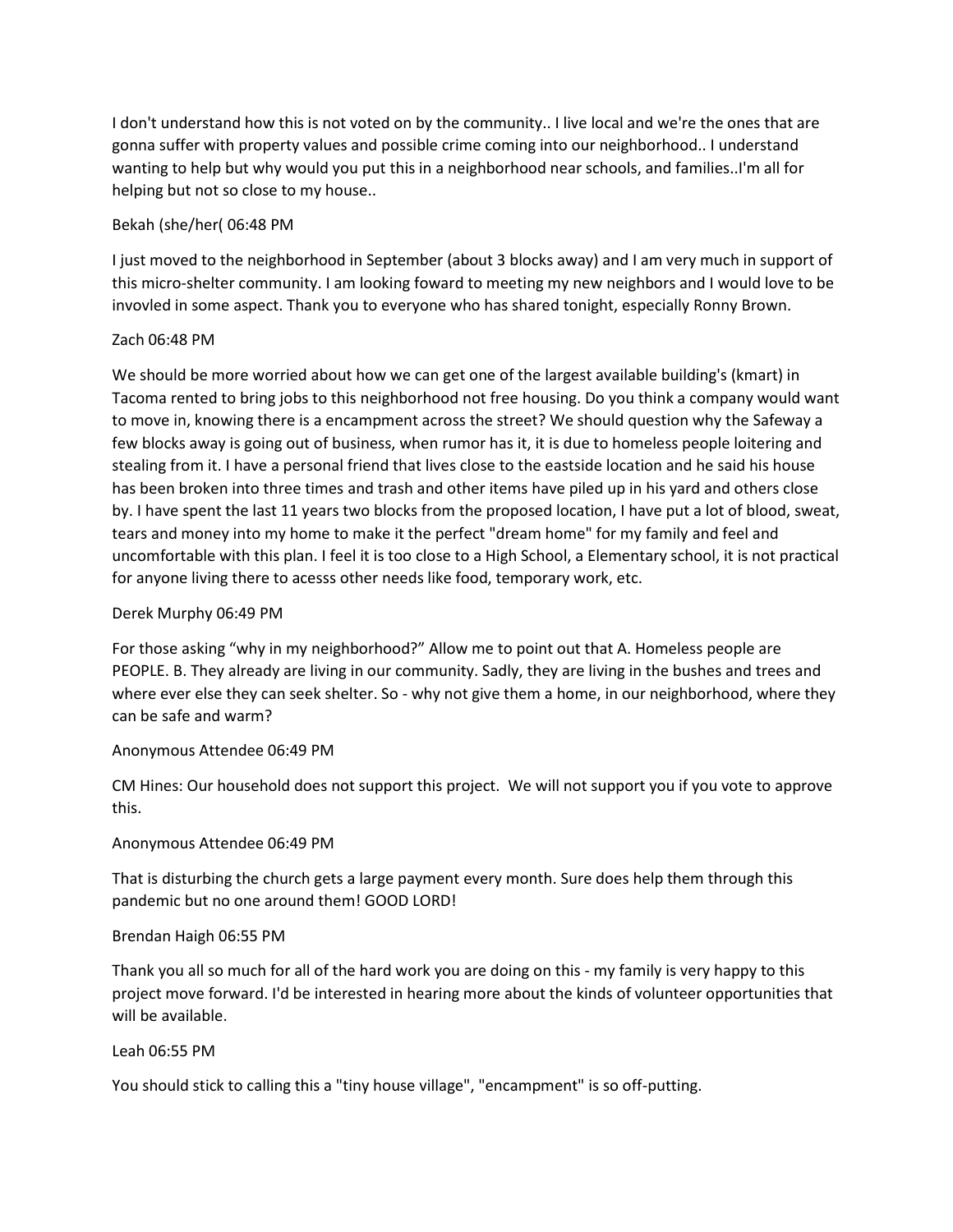I don't understand how this is not voted on by the community.. I live local and we're the ones that are gonna suffer with property values and possible crime coming into our neighborhood.. I understand wanting to help but why would you put this in a neighborhood near schools, and families..I'm all for helping but not so close to my house..

# Bekah (she/her( 06:48 PM

I just moved to the neighborhood in September (about 3 blocks away) and I am very much in support of this micro-shelter community. I am looking foward to meeting my new neighbors and I would love to be invovled in some aspect. Thank you to everyone who has shared tonight, especially Ronny Brown.

# Zach 06:48 PM

We should be more worried about how we can get one of the largest available building's (kmart) in Tacoma rented to bring jobs to this neighborhood not free housing. Do you think a company would want to move in, knowing there is a encampment across the street? We should question why the Safeway a few blocks away is going out of business, when rumor has it, it is due to homeless people loitering and stealing from it. I have a personal friend that lives close to the eastside location and he said his house has been broken into three times and trash and other items have piled up in his yard and others close by. I have spent the last 11 years two blocks from the proposed location, I have put a lot of blood, sweat, tears and money into my home to make it the perfect "dream home" for my family and feel and uncomfortable with this plan. I feel it is too close to a High School, a Elementary school, it is not practical for anyone living there to acesss other needs like food, temporary work, etc.

# Derek Murphy 06:49 PM

For those asking "why in my neighborhood?" Allow me to point out that A. Homeless people are PEOPLE. B. They already are living in our community. Sadly, they are living in the bushes and trees and where ever else they can seek shelter. So - why not give them a home, in our neighborhood, where they can be safe and warm?

### Anonymous Attendee 06:49 PM

CM Hines: Our household does not support this project. We will not support you if you vote to approve this.

### Anonymous Attendee 06:49 PM

That is disturbing the church gets a large payment every month. Sure does help them through this pandemic but no one around them! GOOD LORD!

### Brendan Haigh 06:55 PM

Thank you all so much for all of the hard work you are doing on this - my family is very happy to this project move forward. I'd be interested in hearing more about the kinds of volunteer opportunities that will be available.

### Leah 06:55 PM

You should stick to calling this a "tiny house village", "encampment" is so off-putting.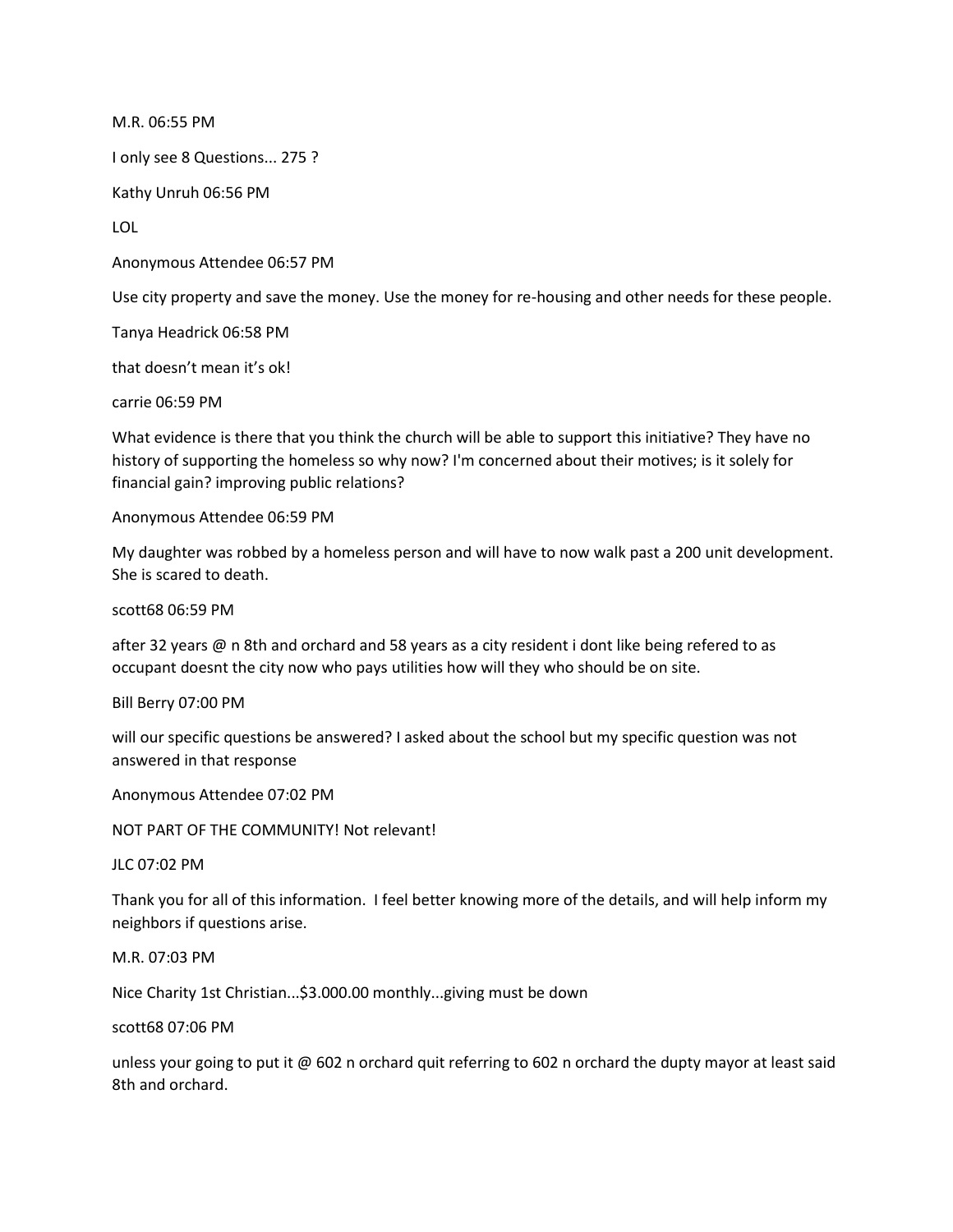M.R. 06:55 PM I only see 8 Questions... 275 ? Kathy Unruh 06:56 PM LOL Anonymous Attendee 06:57 PM Use city property and save the money. Use the money for re-housing and other needs for these people. Tanya Headrick 06:58 PM that doesn't mean it's ok!

carrie 06:59 PM

What evidence is there that you think the church will be able to support this initiative? They have no history of supporting the homeless so why now? I'm concerned about their motives; is it solely for financial gain? improving public relations?

Anonymous Attendee 06:59 PM

My daughter was robbed by a homeless person and will have to now walk past a 200 unit development. She is scared to death.

scott68 06:59 PM

after 32 years @ n 8th and orchard and 58 years as a city resident i dont like being refered to as occupant doesnt the city now who pays utilities how will they who should be on site.

Bill Berry 07:00 PM

will our specific questions be answered? I asked about the school but my specific question was not answered in that response

Anonymous Attendee 07:02 PM

NOT PART OF THE COMMUNITY! Not relevant!

JLC 07:02 PM

Thank you for all of this information. I feel better knowing more of the details, and will help inform my neighbors if questions arise.

M.R. 07:03 PM

Nice Charity 1st Christian...\$3.000.00 monthly...giving must be down

scott68 07:06 PM

unless your going to put it @ 602 n orchard quit referring to 602 n orchard the dupty mayor at least said 8th and orchard.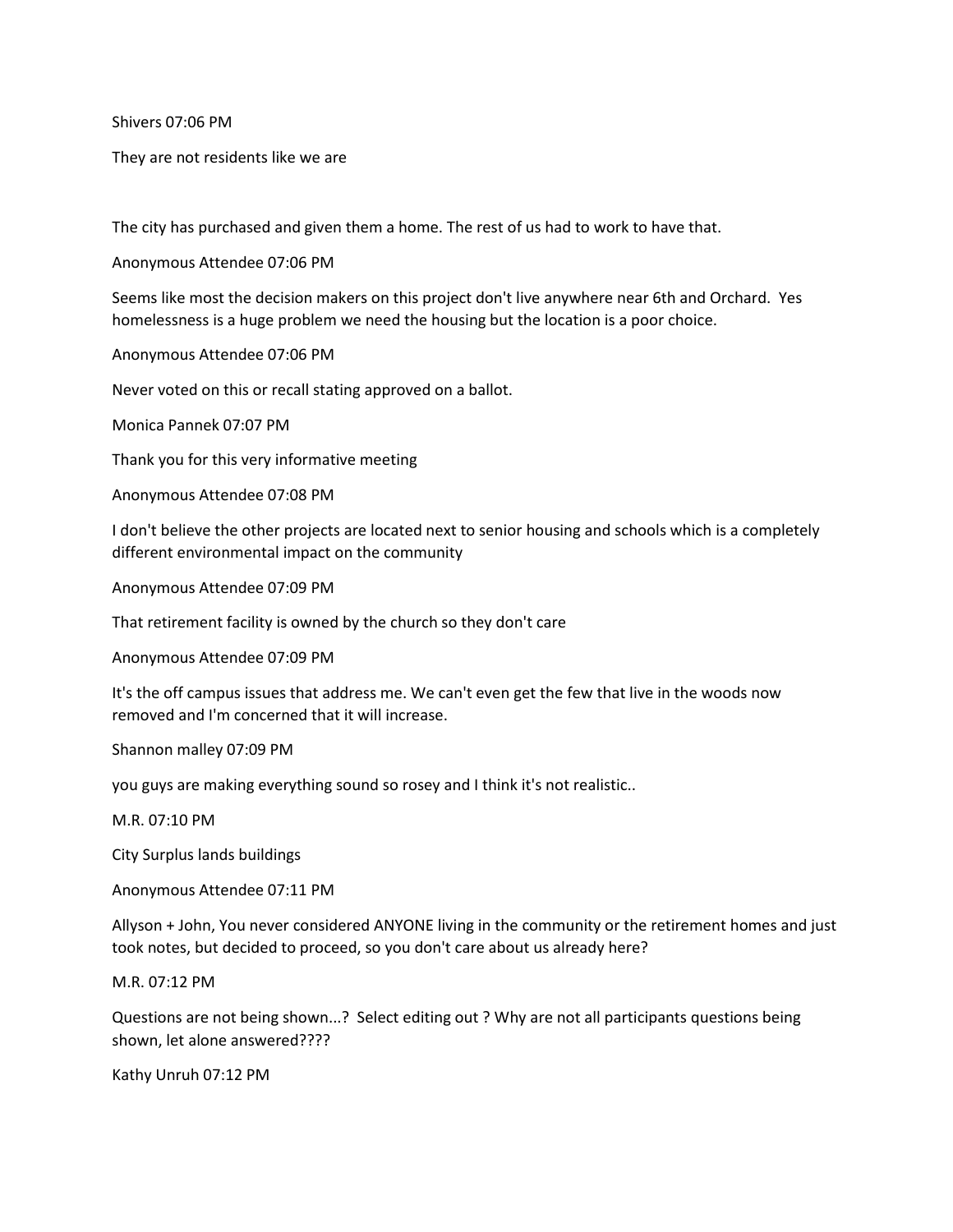Shivers 07:06 PM

They are not residents like we are

The city has purchased and given them a home. The rest of us had to work to have that.

Anonymous Attendee 07:06 PM

Seems like most the decision makers on this project don't live anywhere near 6th and Orchard. Yes homelessness is a huge problem we need the housing but the location is a poor choice.

Anonymous Attendee 07:06 PM

Never voted on this or recall stating approved on a ballot.

Monica Pannek 07:07 PM

Thank you for this very informative meeting

Anonymous Attendee 07:08 PM

I don't believe the other projects are located next to senior housing and schools which is a completely different environmental impact on the community

Anonymous Attendee 07:09 PM

That retirement facility is owned by the church so they don't care

Anonymous Attendee 07:09 PM

It's the off campus issues that address me. We can't even get the few that live in the woods now removed and I'm concerned that it will increase.

Shannon malley 07:09 PM

you guys are making everything sound so rosey and I think it's not realistic..

M.R. 07:10 PM

City Surplus lands buildings

Anonymous Attendee 07:11 PM

Allyson + John, You never considered ANYONE living in the community or the retirement homes and just took notes, but decided to proceed, so you don't care about us already here?

M.R. 07:12 PM

Questions are not being shown...? Select editing out ? Why are not all participants questions being shown, let alone answered????

Kathy Unruh 07:12 PM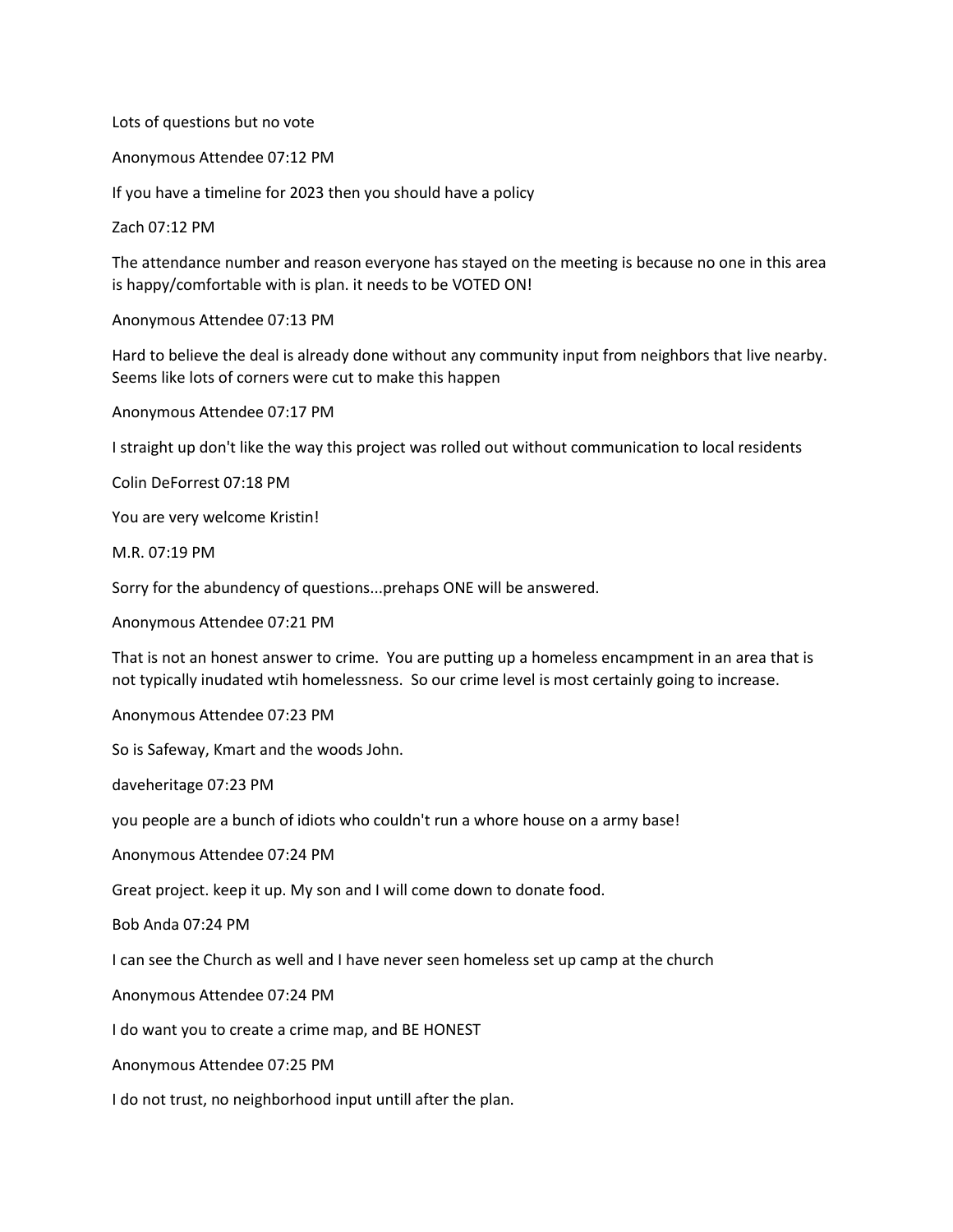Lots of questions but no vote

Anonymous Attendee 07:12 PM

If you have a timeline for 2023 then you should have a policy

Zach 07:12 PM

The attendance number and reason everyone has stayed on the meeting is because no one in this area is happy/comfortable with is plan. it needs to be VOTED ON!

Anonymous Attendee 07:13 PM

Hard to believe the deal is already done without any community input from neighbors that live nearby. Seems like lots of corners were cut to make this happen

Anonymous Attendee 07:17 PM

I straight up don't like the way this project was rolled out without communication to local residents

Colin DeForrest 07:18 PM

You are very welcome Kristin!

M.R. 07:19 PM

Sorry for the abundency of questions...prehaps ONE will be answered.

Anonymous Attendee 07:21 PM

That is not an honest answer to crime. You are putting up a homeless encampment in an area that is not typically inudated wtih homelessness. So our crime level is most certainly going to increase.

Anonymous Attendee 07:23 PM

So is Safeway, Kmart and the woods John.

daveheritage 07:23 PM

you people are a bunch of idiots who couldn't run a whore house on a army base!

Anonymous Attendee 07:24 PM

Great project. keep it up. My son and I will come down to donate food.

Bob Anda 07:24 PM

I can see the Church as well and I have never seen homeless set up camp at the church

Anonymous Attendee 07:24 PM

I do want you to create a crime map, and BE HONEST

Anonymous Attendee 07:25 PM

I do not trust, no neighborhood input untill after the plan.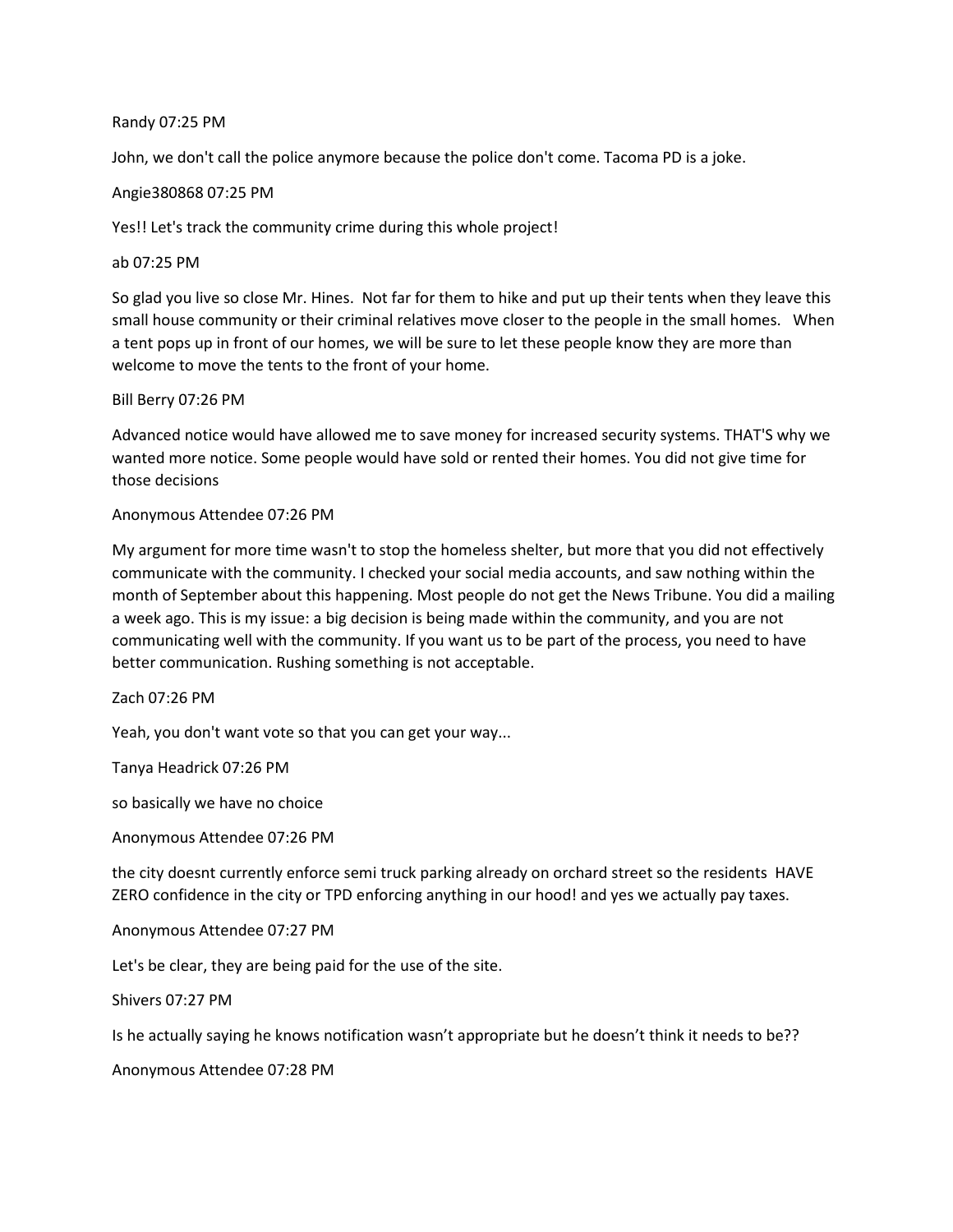### Randy 07:25 PM

John, we don't call the police anymore because the police don't come. Tacoma PD is a joke.

# Angie380868 07:25 PM

Yes!! Let's track the community crime during this whole project!

### ab 07:25 PM

So glad you live so close Mr. Hines. Not far for them to hike and put up their tents when they leave this small house community or their criminal relatives move closer to the people in the small homes. When a tent pops up in front of our homes, we will be sure to let these people know they are more than welcome to move the tents to the front of your home.

# Bill Berry 07:26 PM

Advanced notice would have allowed me to save money for increased security systems. THAT'S why we wanted more notice. Some people would have sold or rented their homes. You did not give time for those decisions

# Anonymous Attendee 07:26 PM

My argument for more time wasn't to stop the homeless shelter, but more that you did not effectively communicate with the community. I checked your social media accounts, and saw nothing within the month of September about this happening. Most people do not get the News Tribune. You did a mailing a week ago. This is my issue: a big decision is being made within the community, and you are not communicating well with the community. If you want us to be part of the process, you need to have better communication. Rushing something is not acceptable.

Zach 07:26 PM

Yeah, you don't want vote so that you can get your way...

Tanya Headrick 07:26 PM

so basically we have no choice

Anonymous Attendee 07:26 PM

the city doesnt currently enforce semi truck parking already on orchard street so the residents HAVE ZERO confidence in the city or TPD enforcing anything in our hood! and yes we actually pay taxes.

Anonymous Attendee 07:27 PM

Let's be clear, they are being paid for the use of the site.

Shivers 07:27 PM

Is he actually saying he knows notification wasn't appropriate but he doesn't think it needs to be??

Anonymous Attendee 07:28 PM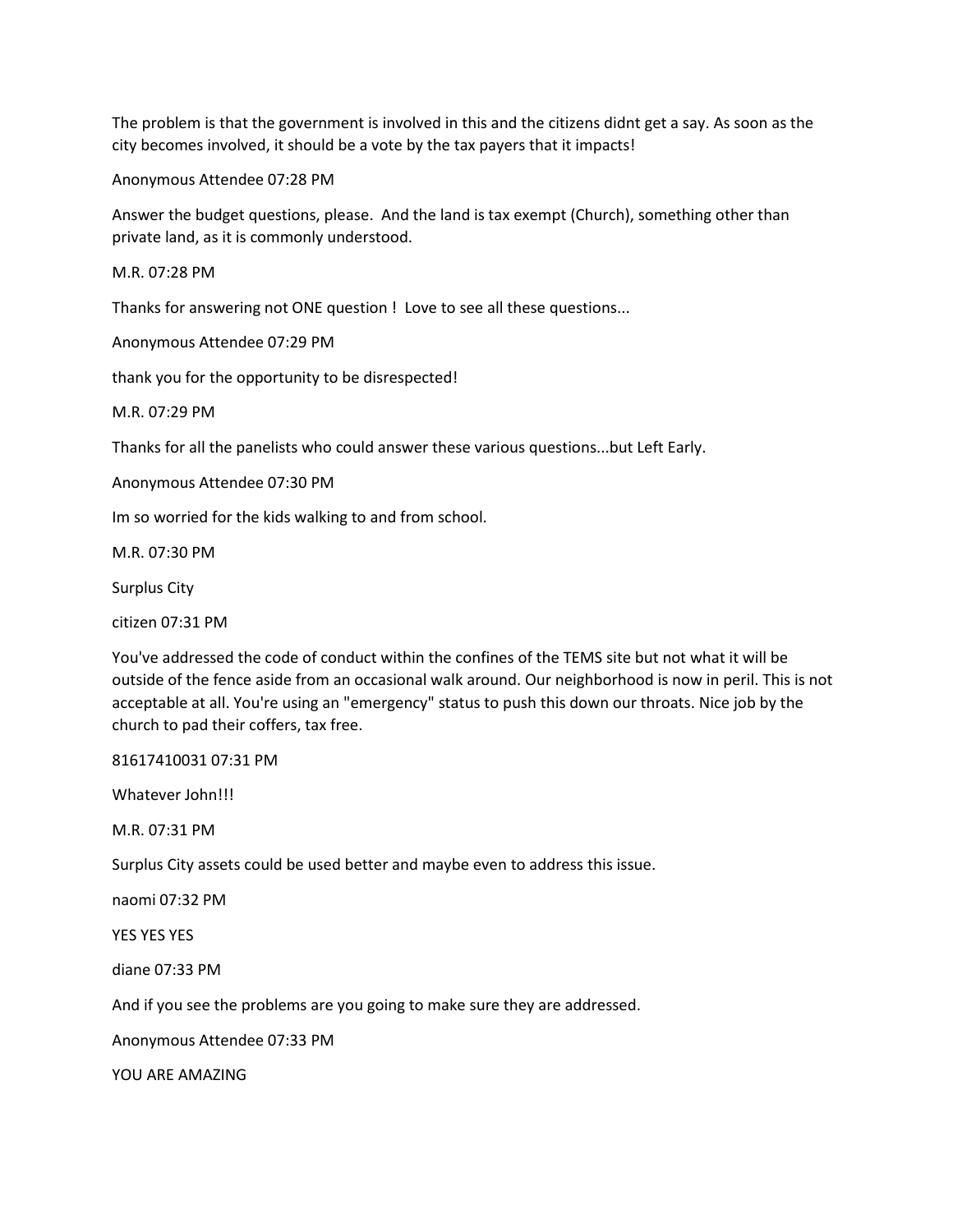The problem is that the government is involved in this and the citizens didnt get a say. As soon as the city becomes involved, it should be a vote by the tax payers that it impacts!

Anonymous Attendee 07:28 PM

Answer the budget questions, please. And the land is tax exempt (Church), something other than private land, as it is commonly understood.

M.R. 07:28 PM

Thanks for answering not ONE question ! Love to see all these questions...

Anonymous Attendee 07:29 PM

thank you for the opportunity to be disrespected!

M.R. 07:29 PM

Thanks for all the panelists who could answer these various questions...but Left Early.

Anonymous Attendee 07:30 PM

Im so worried for the kids walking to and from school.

M.R. 07:30 PM

Surplus City

citizen 07:31 PM

You've addressed the code of conduct within the confines of the TEMS site but not what it will be outside of the fence aside from an occasional walk around. Our neighborhood is now in peril. This is not acceptable at all. You're using an "emergency" status to push this down our throats. Nice job by the church to pad their coffers, tax free.

81617410031 07:31 PM

Whatever John!!!

M.R. 07:31 PM

Surplus City assets could be used better and maybe even to address this issue.

naomi 07:32 PM

YES YES YES

diane 07:33 PM

And if you see the problems are you going to make sure they are addressed.

Anonymous Attendee 07:33 PM

YOU ARE AMAZING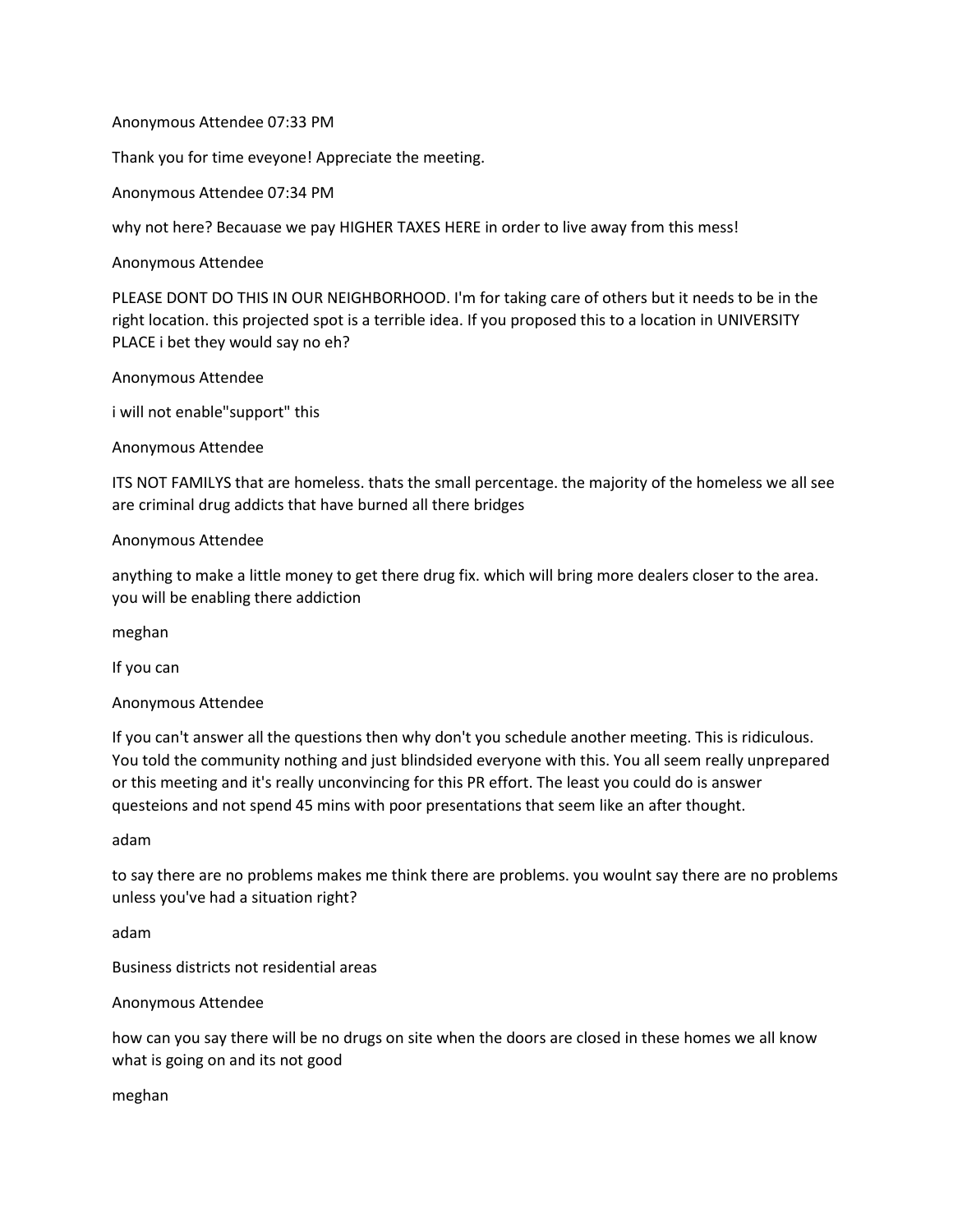# Anonymous Attendee 07:33 PM

Thank you for time eveyone! Appreciate the meeting.

Anonymous Attendee 07:34 PM

why not here? Becauase we pay HIGHER TAXES HERE in order to live away from this mess!

Anonymous Attendee

PLEASE DONT DO THIS IN OUR NEIGHBORHOOD. I'm for taking care of others but it needs to be in the right location. this projected spot is a terrible idea. If you proposed this to a location in UNIVERSITY PLACE i bet they would say no eh?

Anonymous Attendee

i will not enable"support" this

Anonymous Attendee

ITS NOT FAMILYS that are homeless. thats the small percentage. the majority of the homeless we all see are criminal drug addicts that have burned all there bridges

# Anonymous Attendee

anything to make a little money to get there drug fix. which will bring more dealers closer to the area. you will be enabling there addiction

meghan

If you can

Anonymous Attendee

If you can't answer all the questions then why don't you schedule another meeting. This is ridiculous. You told the community nothing and just blindsided everyone with this. You all seem really unprepared or this meeting and it's really unconvincing for this PR effort. The least you could do is answer questeions and not spend 45 mins with poor presentations that seem like an after thought.

adam

to say there are no problems makes me think there are problems. you woulnt say there are no problems unless you've had a situation right?

adam

Business districts not residential areas

Anonymous Attendee

how can you say there will be no drugs on site when the doors are closed in these homes we all know what is going on and its not good

meghan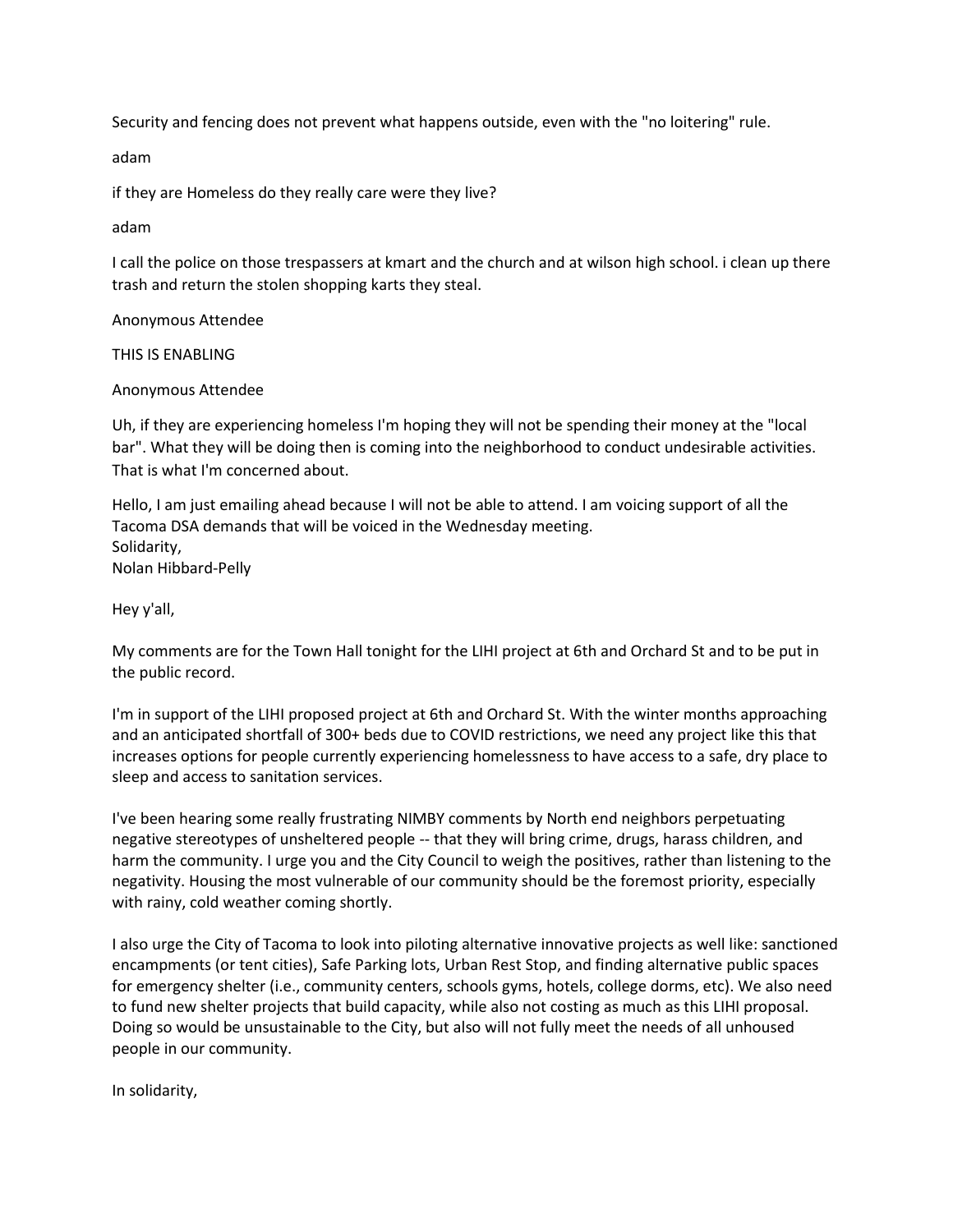Security and fencing does not prevent what happens outside, even with the "no loitering" rule.

adam

if they are Homeless do they really care were they live?

adam

I call the police on those trespassers at kmart and the church and at wilson high school. i clean up there trash and return the stolen shopping karts they steal.

Anonymous Attendee

THIS IS ENABLING

Anonymous Attendee

Uh, if they are experiencing homeless I'm hoping they will not be spending their money at the "local bar". What they will be doing then is coming into the neighborhood to conduct undesirable activities. That is what I'm concerned about.

Hello, I am just emailing ahead because I will not be able to attend. I am voicing support of all the Tacoma DSA demands that will be voiced in the Wednesday meeting. Solidarity, Nolan Hibbard-Pelly

Hey y'all,

My comments are for the Town Hall tonight for the LIHI project at 6th and Orchard St and to be put in the public record.

I'm in support of the LIHI proposed project at 6th and Orchard St. With the winter months approaching and an anticipated shortfall of 300+ beds due to COVID restrictions, we need any project like this that increases options for people currently experiencing homelessness to have access to a safe, dry place to sleep and access to sanitation services.

I've been hearing some really frustrating NIMBY comments by North end neighbors perpetuating negative stereotypes of unsheltered people -- that they will bring crime, drugs, harass children, and harm the community. I urge you and the City Council to weigh the positives, rather than listening to the negativity. Housing the most vulnerable of our community should be the foremost priority, especially with rainy, cold weather coming shortly.

I also urge the City of Tacoma to look into piloting alternative innovative projects as well like: sanctioned encampments (or tent cities), Safe Parking lots, Urban Rest Stop, and finding alternative public spaces for emergency shelter (i.e., community centers, schools gyms, hotels, college dorms, etc). We also need to fund new shelter projects that build capacity, while also not costing as much as this LIHI proposal. Doing so would be unsustainable to the City, but also will not fully meet the needs of all unhoused people in our community.

In solidarity,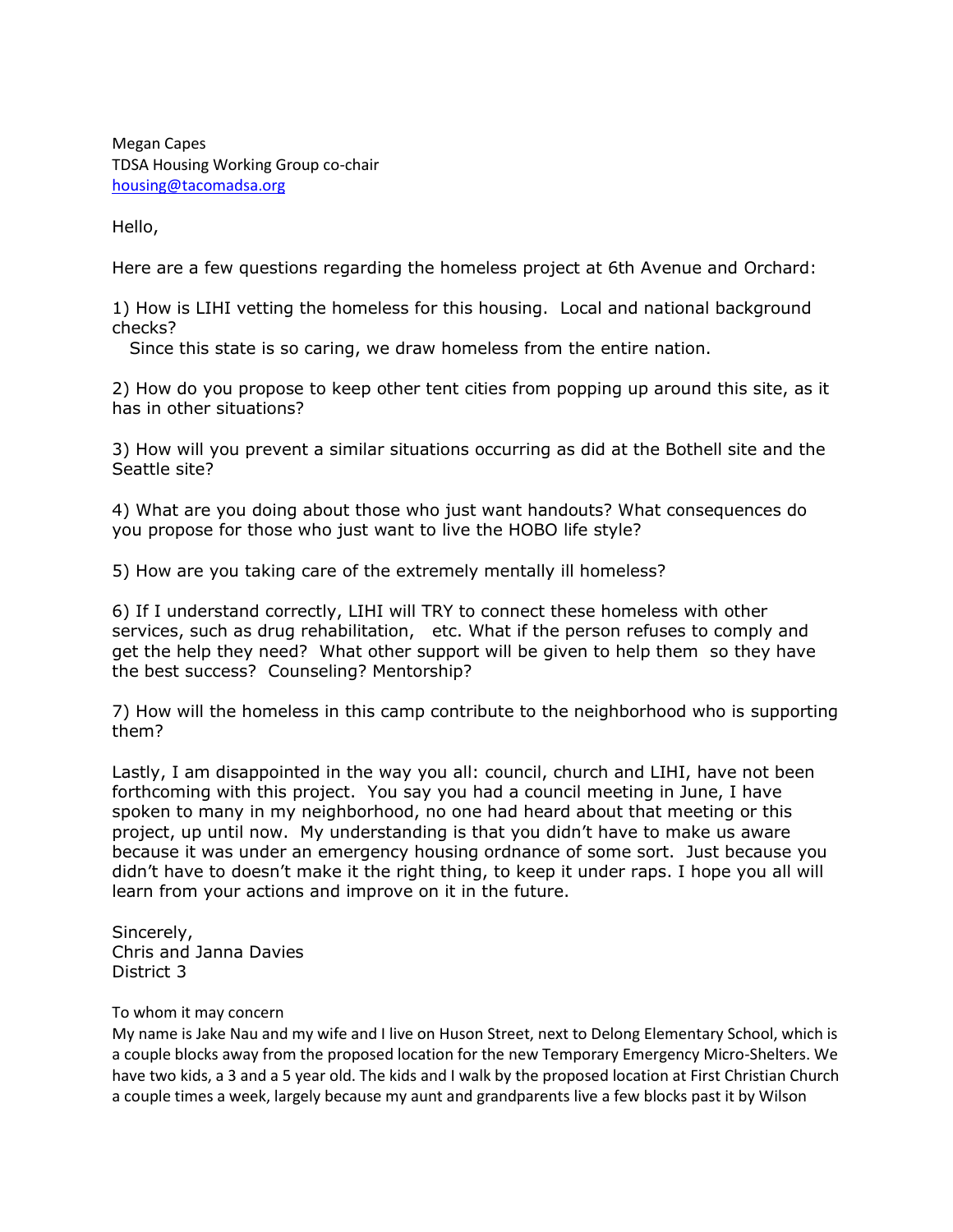Megan Capes TDSA Housing Working Group co-chair [housing@tacomadsa.org](mailto:housing@tacomadsa.org)

Hello,

Here are a few questions regarding the homeless project at 6th Avenue and Orchard:

1) How is LIHI vetting the homeless for this housing. Local and national background checks?

Since this state is so caring, we draw homeless from the entire nation.

2) How do you propose to keep other tent cities from popping up around this site, as it has in other situations?

3) How will you prevent a similar situations occurring as did at the Bothell site and the Seattle site?

4) What are you doing about those who just want handouts? What consequences do you propose for those who just want to live the HOBO life style?

5) How are you taking care of the extremely mentally ill homeless?

6) If I understand correctly, LIHI will TRY to connect these homeless with other services, such as drug rehabilitation, etc. What if the person refuses to comply and get the help they need? What other support will be given to help them so they have the best success? Counseling? Mentorship?

7) How will the homeless in this camp contribute to the neighborhood who is supporting them?

Lastly, I am disappointed in the way you all: council, church and LIHI, have not been forthcoming with this project. You say you had a council meeting in June, I have spoken to many in my neighborhood, no one had heard about that meeting or this project, up until now. My understanding is that you didn't have to make us aware because it was under an emergency housing ordnance of some sort. Just because you didn't have to doesn't make it the right thing, to keep it under raps. I hope you all will learn from your actions and improve on it in the future.

Sincerely, Chris and Janna Davies District 3

# To whom it may concern

My name is Jake Nau and my wife and I live on Huson Street, next to Delong Elementary School, which is a couple blocks away from the proposed location for the new Temporary Emergency Micro-Shelters. We have two kids, a 3 and a 5 year old. The kids and I walk by the proposed location at First Christian Church a couple times a week, largely because my aunt and grandparents live a few blocks past it by Wilson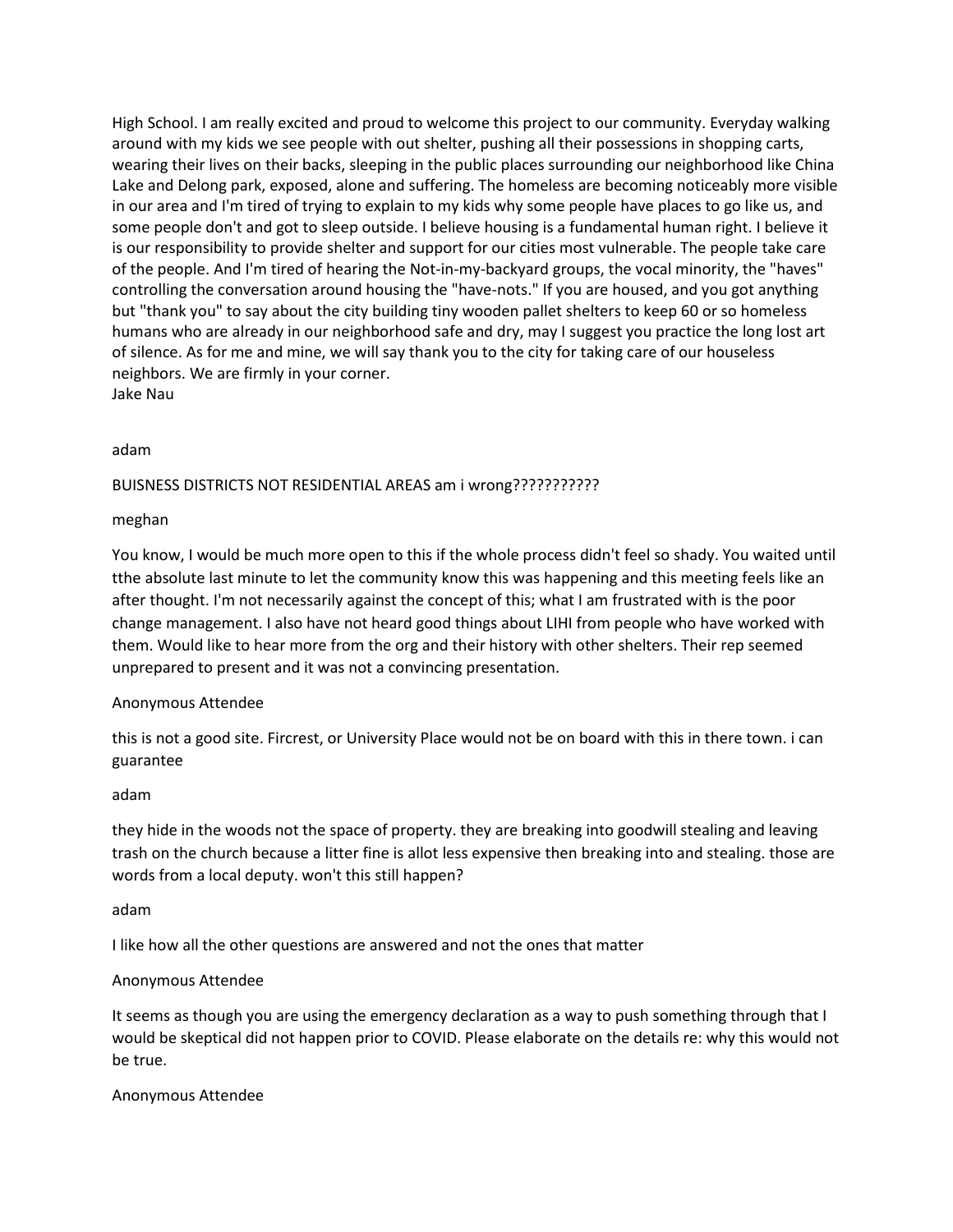High School. I am really excited and proud to welcome this project to our community. Everyday walking around with my kids we see people with out shelter, pushing all their possessions in shopping carts, wearing their lives on their backs, sleeping in the public places surrounding our neighborhood like China Lake and Delong park, exposed, alone and suffering. The homeless are becoming noticeably more visible in our area and I'm tired of trying to explain to my kids why some people have places to go like us, and some people don't and got to sleep outside. I believe housing is a fundamental human right. I believe it is our responsibility to provide shelter and support for our cities most vulnerable. The people take care of the people. And I'm tired of hearing the Not-in-my-backyard groups, the vocal minority, the "haves" controlling the conversation around housing the "have-nots." If you are housed, and you got anything but "thank you" to say about the city building tiny wooden pallet shelters to keep 60 or so homeless humans who are already in our neighborhood safe and dry, may I suggest you practice the long lost art of silence. As for me and mine, we will say thank you to the city for taking care of our houseless neighbors. We are firmly in your corner. Jake Nau

# adam

# BUISNESS DISTRICTS NOT RESIDENTIAL AREAS am i wrong???????????

### meghan

You know, I would be much more open to this if the whole process didn't feel so shady. You waited until tthe absolute last minute to let the community know this was happening and this meeting feels like an after thought. I'm not necessarily against the concept of this; what I am frustrated with is the poor change management. I also have not heard good things about LIHI from people who have worked with them. Would like to hear more from the org and their history with other shelters. Their rep seemed unprepared to present and it was not a convincing presentation.

### Anonymous Attendee

this is not a good site. Fircrest, or University Place would not be on board with this in there town. i can guarantee

### adam

they hide in the woods not the space of property. they are breaking into goodwill stealing and leaving trash on the church because a litter fine is allot less expensive then breaking into and stealing. those are words from a local deputy. won't this still happen?

### adam

I like how all the other questions are answered and not the ones that matter

### Anonymous Attendee

It seems as though you are using the emergency declaration as a way to push something through that I would be skeptical did not happen prior to COVID. Please elaborate on the details re: why this would not be true.

### Anonymous Attendee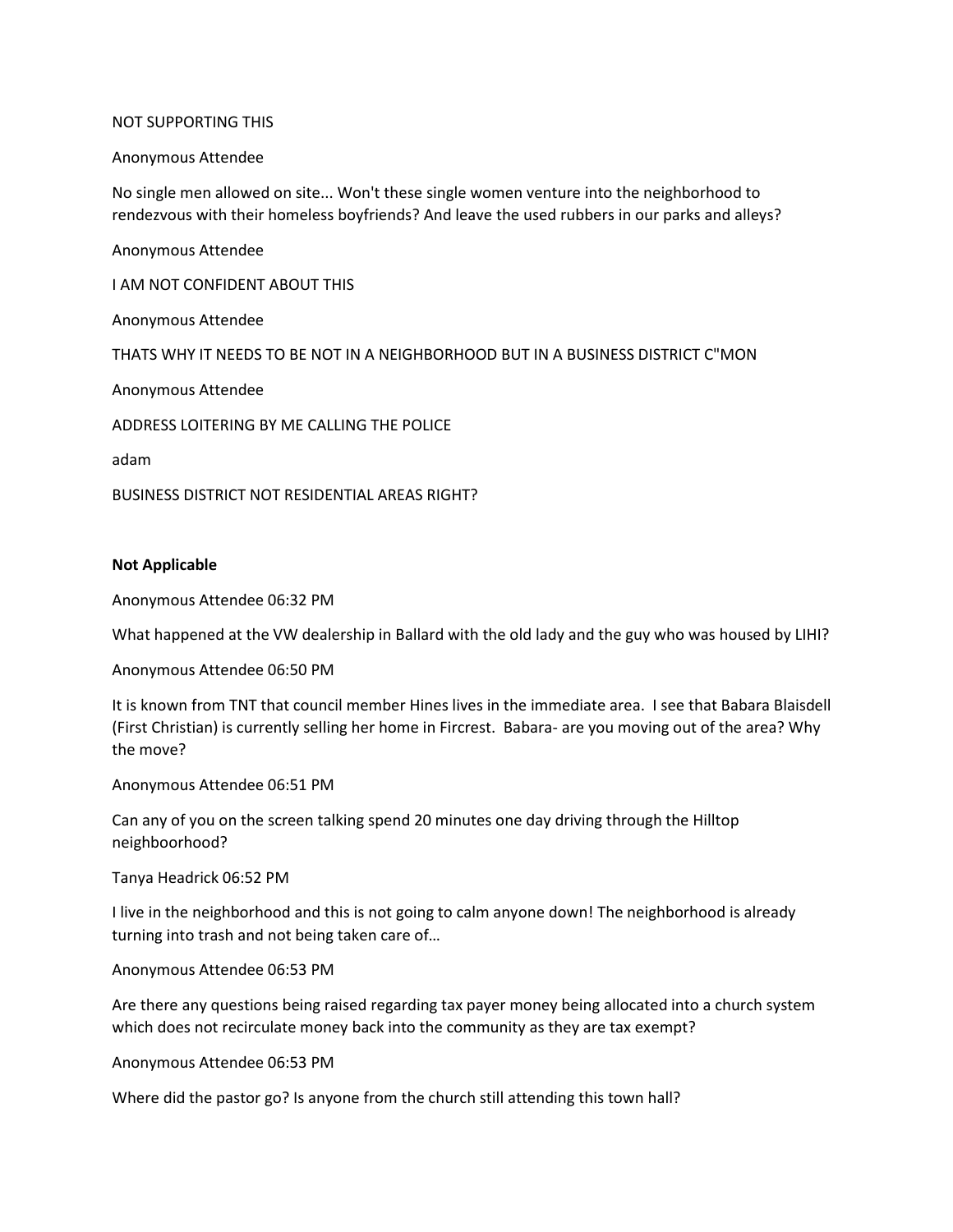#### NOT SUPPORTING THIS

#### Anonymous Attendee

No single men allowed on site... Won't these single women venture into the neighborhood to rendezvous with their homeless boyfriends? And leave the used rubbers in our parks and alleys?

Anonymous Attendee I AM NOT CONFIDENT ABOUT THIS Anonymous Attendee THATS WHY IT NEEDS TO BE NOT IN A NEIGHBORHOOD BUT IN A BUSINESS DISTRICT C"MON Anonymous Attendee ADDRESS LOITERING BY ME CALLING THE POLICE adam

BUSINESS DISTRICT NOT RESIDENTIAL AREAS RIGHT?

#### **Not Applicable**

Anonymous Attendee 06:32 PM

What happened at the VW dealership in Ballard with the old lady and the guy who was housed by LIHI?

Anonymous Attendee 06:50 PM

It is known from TNT that council member Hines lives in the immediate area. I see that Babara Blaisdell (First Christian) is currently selling her home in Fircrest. Babara- are you moving out of the area? Why the move?

Anonymous Attendee 06:51 PM

Can any of you on the screen talking spend 20 minutes one day driving through the Hilltop neighboorhood?

Tanya Headrick 06:52 PM

I live in the neighborhood and this is not going to calm anyone down! The neighborhood is already turning into trash and not being taken care of…

Anonymous Attendee 06:53 PM

Are there any questions being raised regarding tax payer money being allocated into a church system which does not recirculate money back into the community as they are tax exempt?

Anonymous Attendee 06:53 PM

Where did the pastor go? Is anyone from the church still attending this town hall?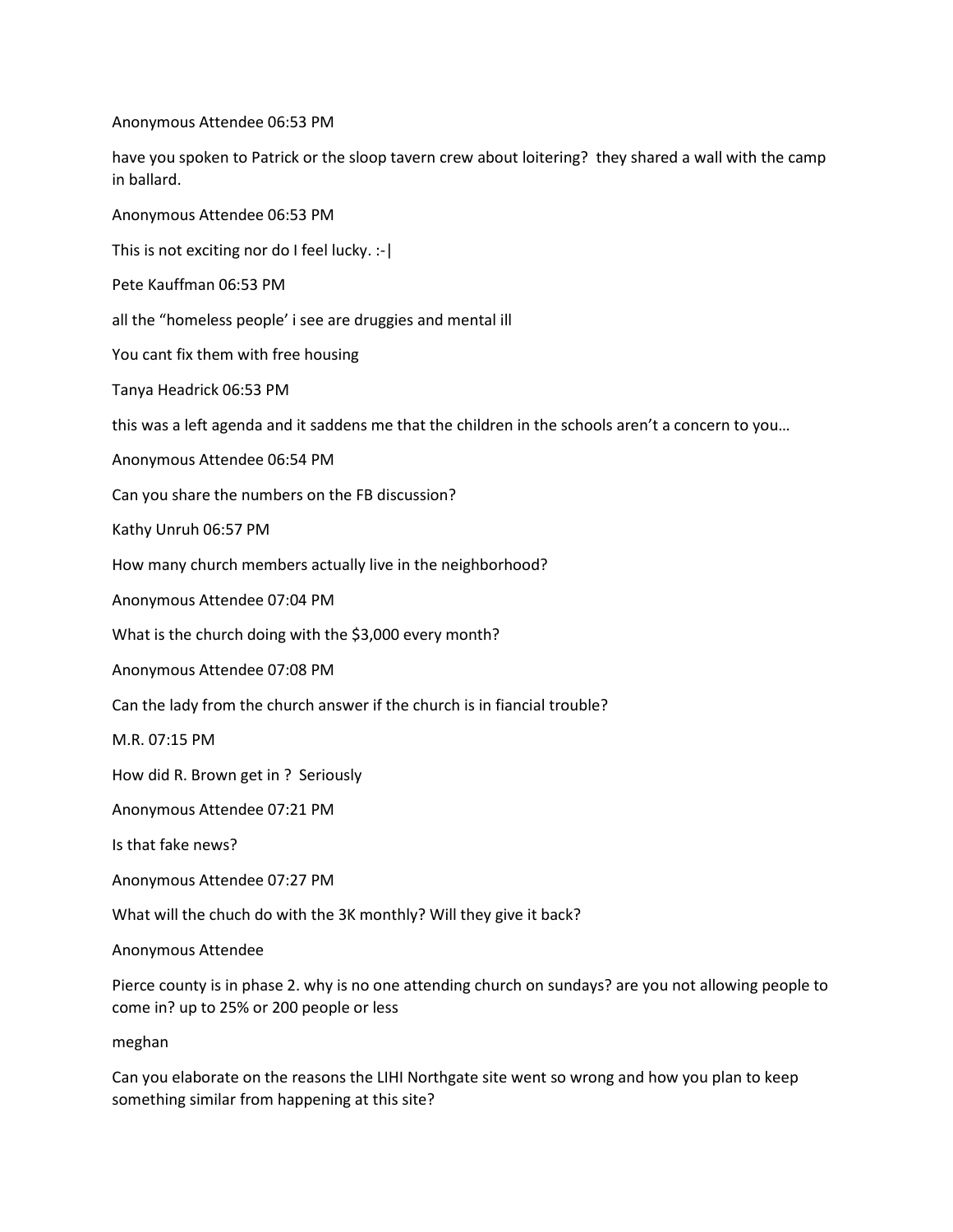Anonymous Attendee 06:53 PM

have you spoken to Patrick or the sloop tavern crew about loitering? they shared a wall with the camp in ballard.

Anonymous Attendee 06:53 PM

This is not exciting nor do I feel lucky. :-|

Pete Kauffman 06:53 PM

all the "homeless people' i see are druggies and mental ill

You cant fix them with free housing

Tanya Headrick 06:53 PM

this was a left agenda and it saddens me that the children in the schools aren't a concern to you…

Anonymous Attendee 06:54 PM

Can you share the numbers on the FB discussion?

Kathy Unruh 06:57 PM

How many church members actually live in the neighborhood?

Anonymous Attendee 07:04 PM

What is the church doing with the \$3,000 every month?

Anonymous Attendee 07:08 PM

Can the lady from the church answer if the church is in fiancial trouble?

M.R. 07:15 PM

How did R. Brown get in ? Seriously

Anonymous Attendee 07:21 PM

Is that fake news?

Anonymous Attendee 07:27 PM

What will the chuch do with the 3K monthly? Will they give it back?

Anonymous Attendee

Pierce county is in phase 2. why is no one attending church on sundays? are you not allowing people to come in? up to 25% or 200 people or less

meghan

Can you elaborate on the reasons the LIHI Northgate site went so wrong and how you plan to keep something similar from happening at this site?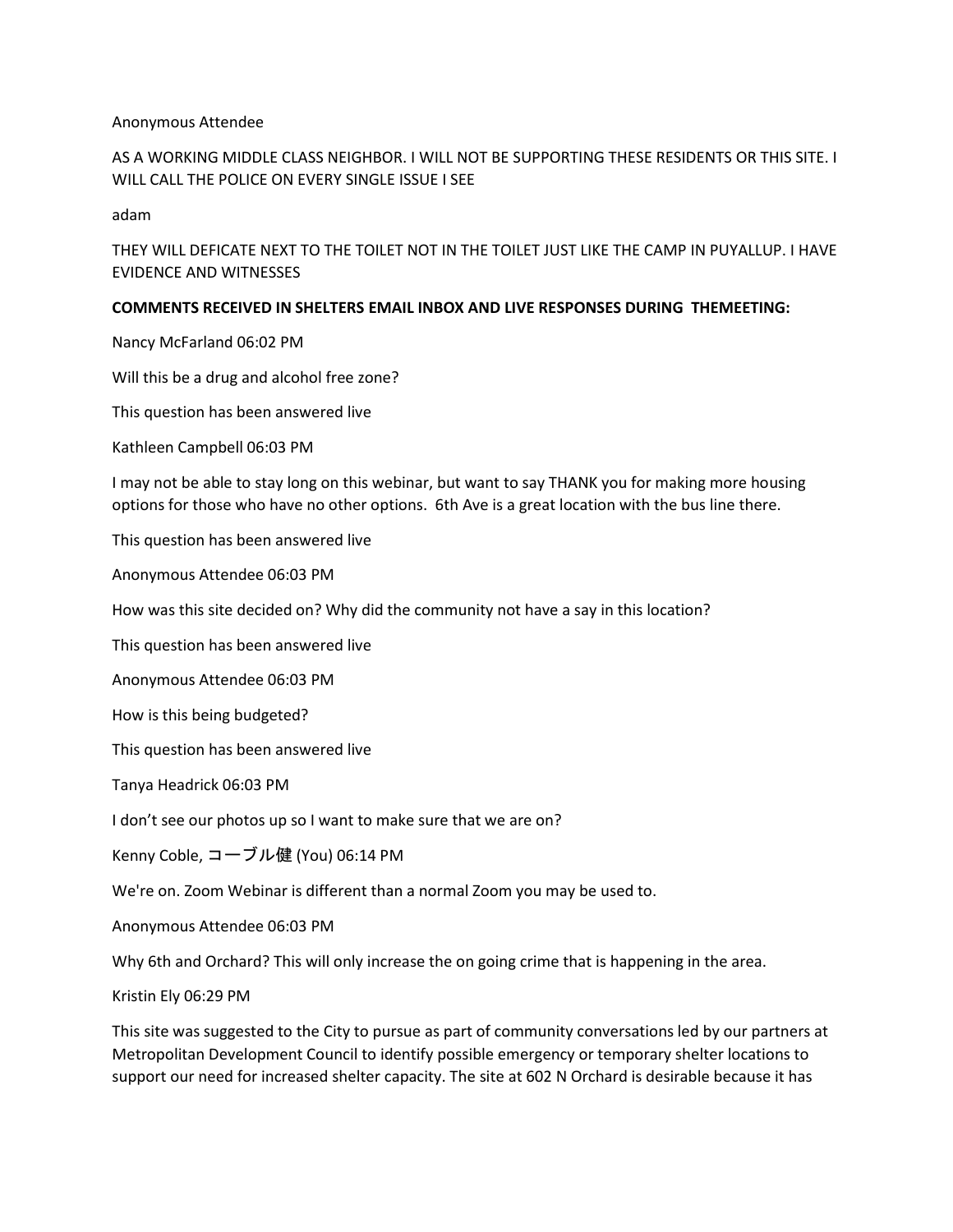### Anonymous Attendee

AS A WORKING MIDDLE CLASS NEIGHBOR. I WILL NOT BE SUPPORTING THESE RESIDENTS OR THIS SITE. I WILL CALL THE POLICE ON EVERY SINGLE ISSUE I SEE

adam

THEY WILL DEFICATE NEXT TO THE TOILET NOT IN THE TOILET JUST LIKE THE CAMP IN PUYALLUP. I HAVE EVIDENCE AND WITNESSES

# **COMMENTS RECEIVED IN SHELTERS EMAIL INBOX AND LIVE RESPONSES DURING THEMEETING:**

Nancy McFarland 06:02 PM

Will this be a drug and alcohol free zone?

This question has been answered live

Kathleen Campbell 06:03 PM

I may not be able to stay long on this webinar, but want to say THANK you for making more housing options for those who have no other options. 6th Ave is a great location with the bus line there.

This question has been answered live

Anonymous Attendee 06:03 PM

How was this site decided on? Why did the community not have a say in this location?

This question has been answered live

Anonymous Attendee 06:03 PM

How is this being budgeted?

This question has been answered live

Tanya Headrick 06:03 PM

I don't see our photos up so I want to make sure that we are on?

Kenny Coble, コーブル健 (You) 06:14 PM

We're on. Zoom Webinar is different than a normal Zoom you may be used to.

Anonymous Attendee 06:03 PM

Why 6th and Orchard? This will only increase the on going crime that is happening in the area.

Kristin Ely 06:29 PM

This site was suggested to the City to pursue as part of community conversations led by our partners at Metropolitan Development Council to identify possible emergency or temporary shelter locations to support our need for increased shelter capacity. The site at 602 N Orchard is desirable because it has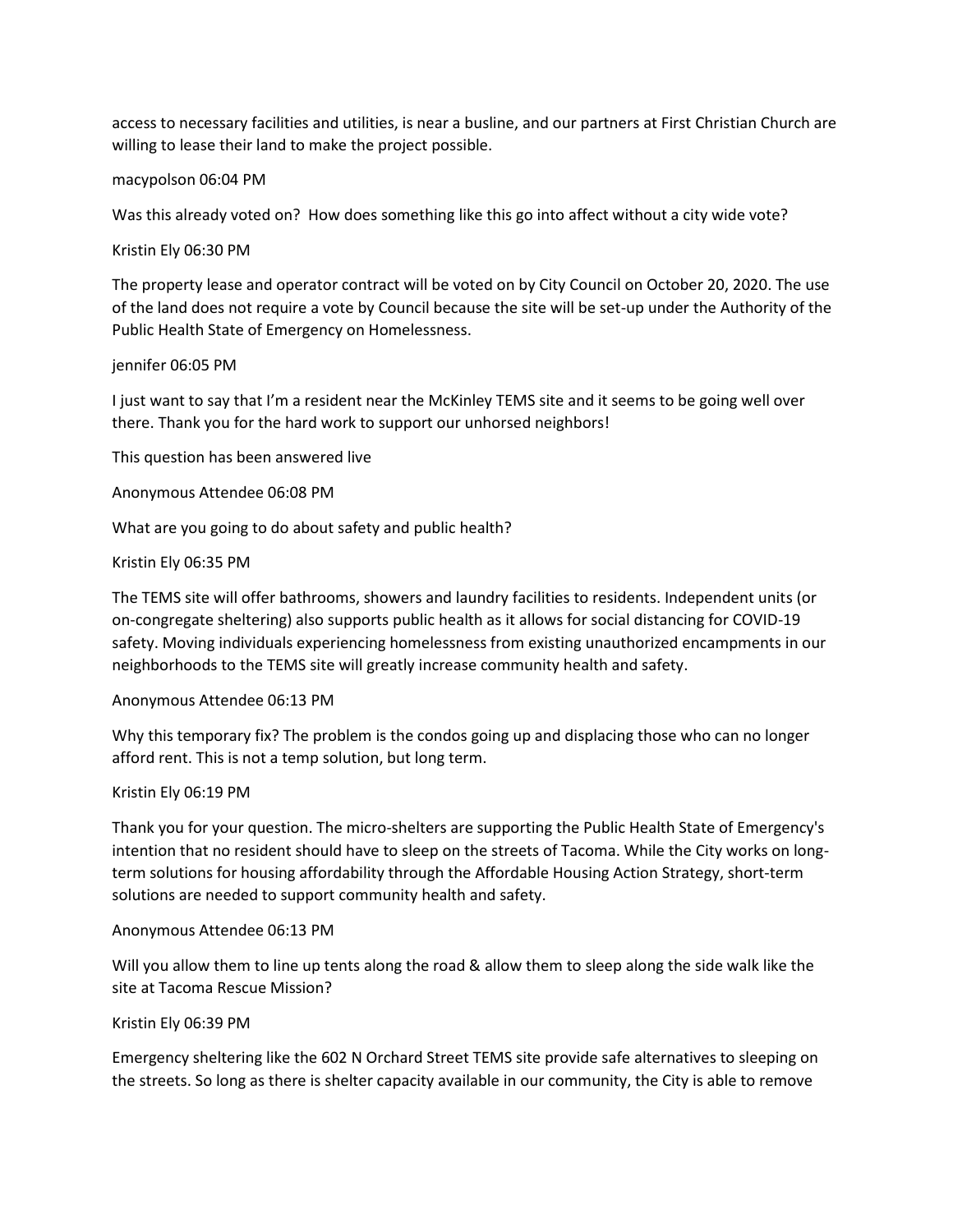access to necessary facilities and utilities, is near a busline, and our partners at First Christian Church are willing to lease their land to make the project possible.

#### macypolson 06:04 PM

Was this already voted on? How does something like this go into affect without a city wide vote?

#### Kristin Ely 06:30 PM

The property lease and operator contract will be voted on by City Council on October 20, 2020. The use of the land does not require a vote by Council because the site will be set-up under the Authority of the Public Health State of Emergency on Homelessness.

#### jennifer 06:05 PM

I just want to say that I'm a resident near the McKinley TEMS site and it seems to be going well over there. Thank you for the hard work to support our unhorsed neighbors!

This question has been answered live

Anonymous Attendee 06:08 PM

What are you going to do about safety and public health?

#### Kristin Ely 06:35 PM

The TEMS site will offer bathrooms, showers and laundry facilities to residents. Independent units (or on-congregate sheltering) also supports public health as it allows for social distancing for COVID-19 safety. Moving individuals experiencing homelessness from existing unauthorized encampments in our neighborhoods to the TEMS site will greatly increase community health and safety.

#### Anonymous Attendee 06:13 PM

Why this temporary fix? The problem is the condos going up and displacing those who can no longer afford rent. This is not a temp solution, but long term.

#### Kristin Ely 06:19 PM

Thank you for your question. The micro-shelters are supporting the Public Health State of Emergency's intention that no resident should have to sleep on the streets of Tacoma. While the City works on longterm solutions for housing affordability through the Affordable Housing Action Strategy, short-term solutions are needed to support community health and safety.

#### Anonymous Attendee 06:13 PM

Will you allow them to line up tents along the road & allow them to sleep along the side walk like the site at Tacoma Rescue Mission?

### Kristin Ely 06:39 PM

Emergency sheltering like the 602 N Orchard Street TEMS site provide safe alternatives to sleeping on the streets. So long as there is shelter capacity available in our community, the City is able to remove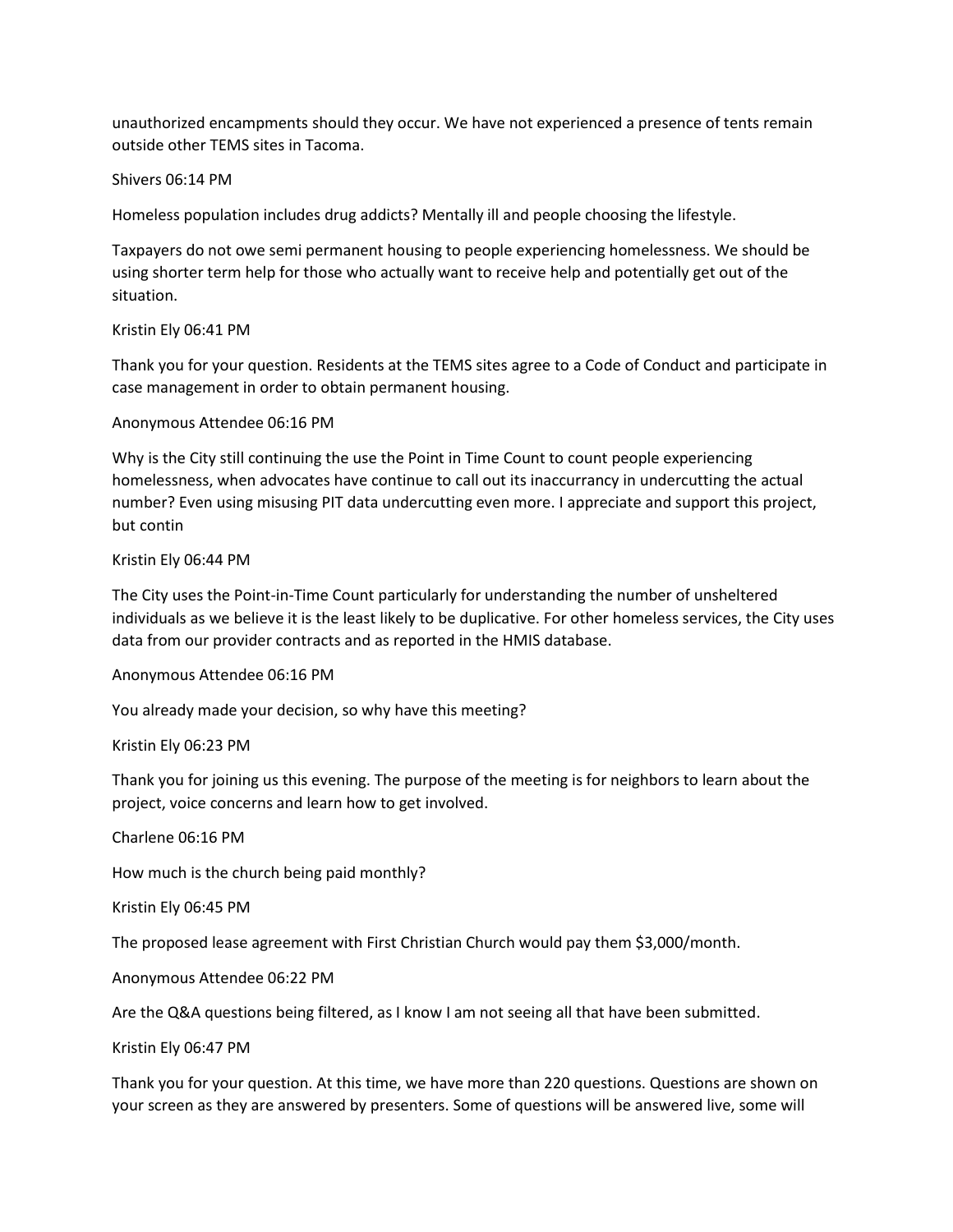unauthorized encampments should they occur. We have not experienced a presence of tents remain outside other TEMS sites in Tacoma.

# Shivers 06:14 PM

Homeless population includes drug addicts? Mentally ill and people choosing the lifestyle.

Taxpayers do not owe semi permanent housing to people experiencing homelessness. We should be using shorter term help for those who actually want to receive help and potentially get out of the situation.

# Kristin Ely 06:41 PM

Thank you for your question. Residents at the TEMS sites agree to a Code of Conduct and participate in case management in order to obtain permanent housing.

# Anonymous Attendee 06:16 PM

Why is the City still continuing the use the Point in Time Count to count people experiencing homelessness, when advocates have continue to call out its inaccurrancy in undercutting the actual number? Even using misusing PIT data undercutting even more. I appreciate and support this project, but contin

# Kristin Ely 06:44 PM

The City uses the Point-in-Time Count particularly for understanding the number of unsheltered individuals as we believe it is the least likely to be duplicative. For other homeless services, the City uses data from our provider contracts and as reported in the HMIS database.

### Anonymous Attendee 06:16 PM

You already made your decision, so why have this meeting?

### Kristin Ely 06:23 PM

Thank you for joining us this evening. The purpose of the meeting is for neighbors to learn about the project, voice concerns and learn how to get involved.

### Charlene 06:16 PM

How much is the church being paid monthly?

Kristin Ely 06:45 PM

The proposed lease agreement with First Christian Church would pay them \$3,000/month.

Anonymous Attendee 06:22 PM

Are the Q&A questions being filtered, as I know I am not seeing all that have been submitted.

### Kristin Ely 06:47 PM

Thank you for your question. At this time, we have more than 220 questions. Questions are shown on your screen as they are answered by presenters. Some of questions will be answered live, some will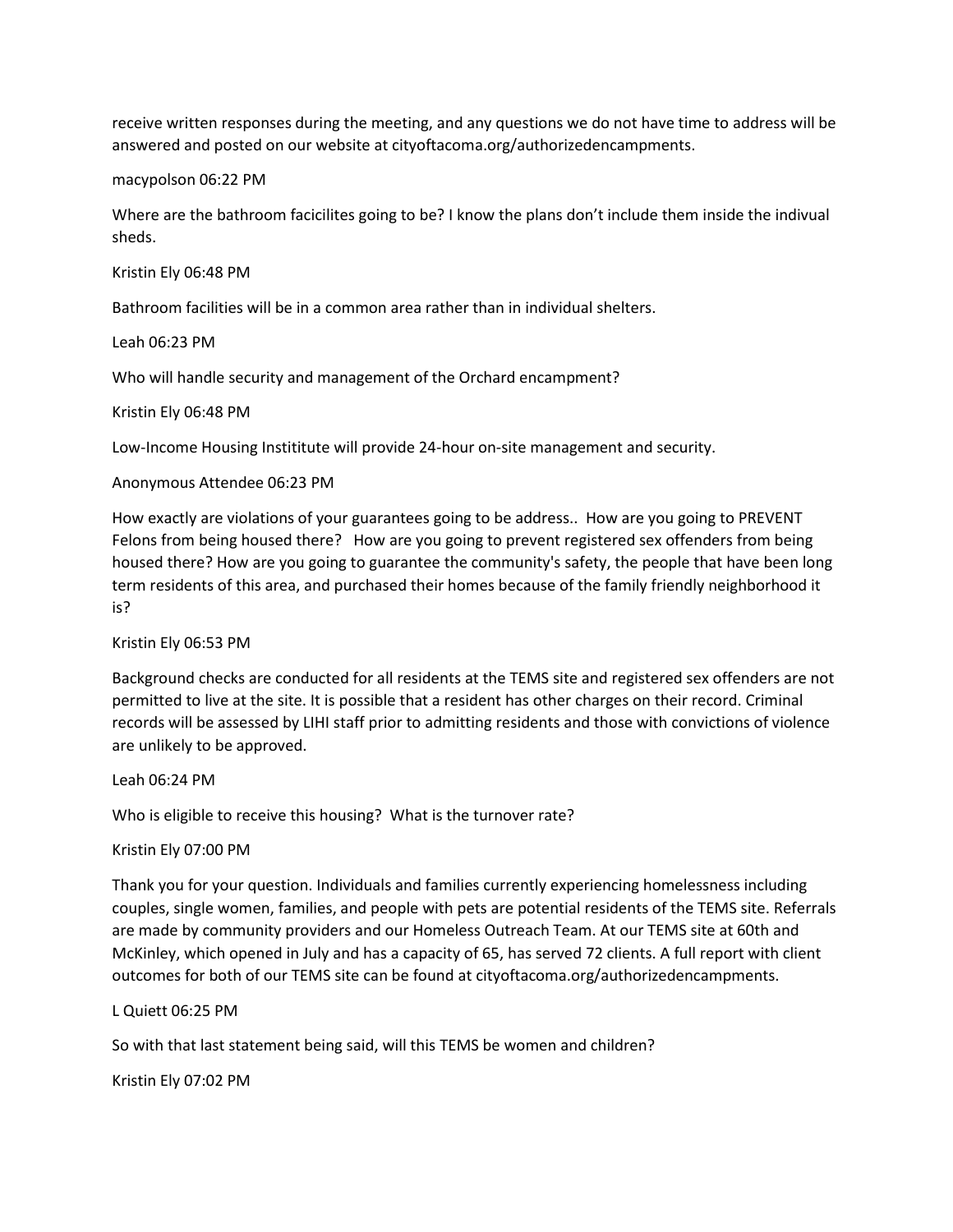receive written responses during the meeting, and any questions we do not have time to address will be answered and posted on our website at cityoftacoma.org/authorizedencampments.

macypolson 06:22 PM

Where are the bathroom facicilites going to be? I know the plans don't include them inside the indivual sheds.

Kristin Ely 06:48 PM

Bathroom facilities will be in a common area rather than in individual shelters.

Leah 06:23 PM

Who will handle security and management of the Orchard encampment?

Kristin Ely 06:48 PM

Low-Income Housing Instititute will provide 24-hour on-site management and security.

#### Anonymous Attendee 06:23 PM

How exactly are violations of your guarantees going to be address.. How are you going to PREVENT Felons from being housed there? How are you going to prevent registered sex offenders from being housed there? How are you going to guarantee the community's safety, the people that have been long term residents of this area, and purchased their homes because of the family friendly neighborhood it is?

Kristin Ely 06:53 PM

Background checks are conducted for all residents at the TEMS site and registered sex offenders are not permitted to live at the site. It is possible that a resident has other charges on their record. Criminal records will be assessed by LIHI staff prior to admitting residents and those with convictions of violence are unlikely to be approved.

Leah 06:24 PM

Who is eligible to receive this housing? What is the turnover rate?

### Kristin Ely 07:00 PM

Thank you for your question. Individuals and families currently experiencing homelessness including couples, single women, families, and people with pets are potential residents of the TEMS site. Referrals are made by community providers and our Homeless Outreach Team. At our TEMS site at 60th and McKinley, which opened in July and has a capacity of 65, has served 72 clients. A full report with client outcomes for both of our TEMS site can be found at cityoftacoma.org/authorizedencampments.

L Quiett 06:25 PM

So with that last statement being said, will this TEMS be women and children?

Kristin Ely 07:02 PM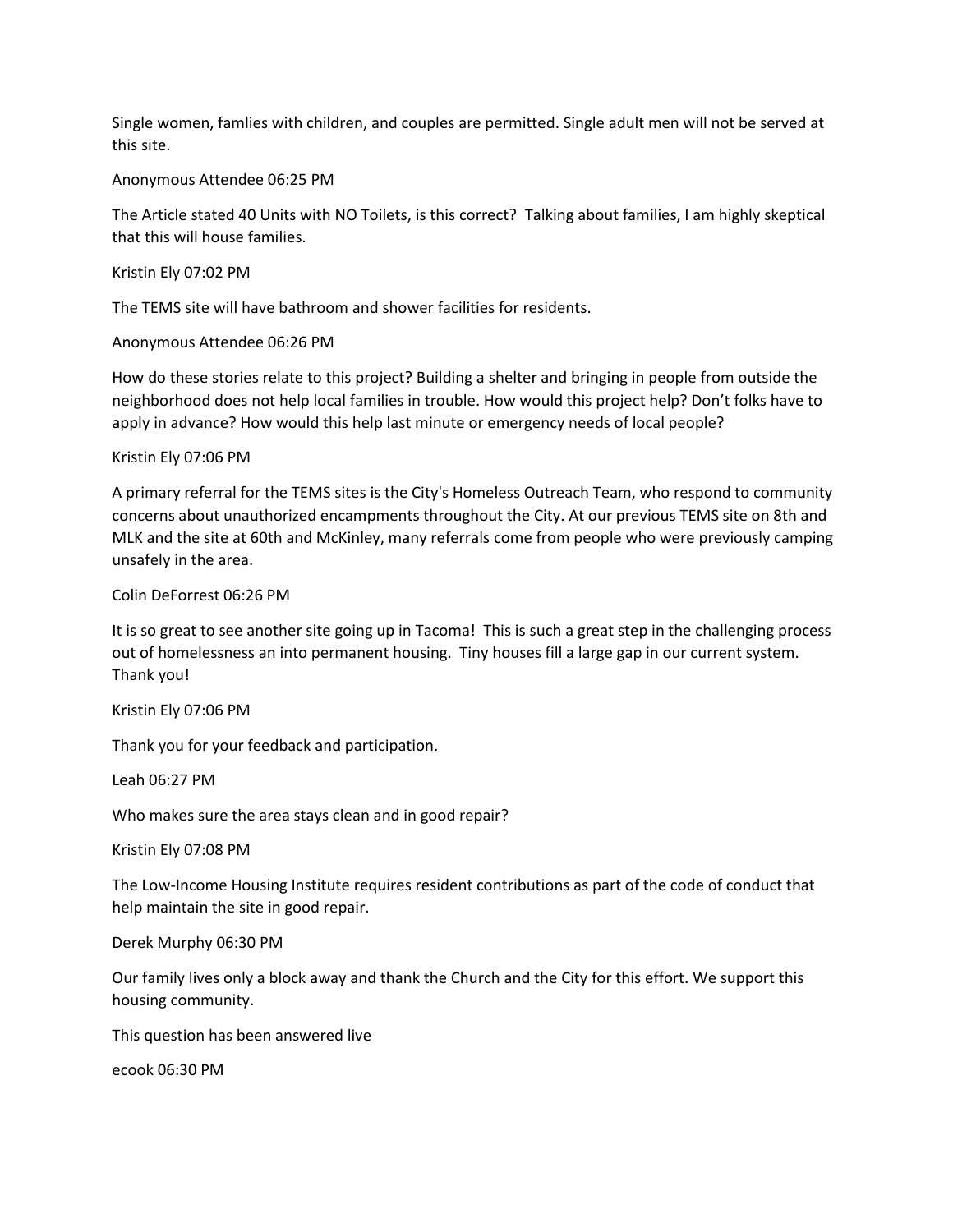Single women, famlies with children, and couples are permitted. Single adult men will not be served at this site.

### Anonymous Attendee 06:25 PM

The Article stated 40 Units with NO Toilets, is this correct? Talking about families, I am highly skeptical that this will house families.

Kristin Ely 07:02 PM

The TEMS site will have bathroom and shower facilities for residents.

Anonymous Attendee 06:26 PM

How do these stories relate to this project? Building a shelter and bringing in people from outside the neighborhood does not help local families in trouble. How would this project help? Don't folks have to apply in advance? How would this help last minute or emergency needs of local people?

Kristin Ely 07:06 PM

A primary referral for the TEMS sites is the City's Homeless Outreach Team, who respond to community concerns about unauthorized encampments throughout the City. At our previous TEMS site on 8th and MLK and the site at 60th and McKinley, many referrals come from people who were previously camping unsafely in the area.

Colin DeForrest 06:26 PM

It is so great to see another site going up in Tacoma! This is such a great step in the challenging process out of homelessness an into permanent housing. Tiny houses fill a large gap in our current system. Thank you!

Kristin Ely 07:06 PM

Thank you for your feedback and participation.

Leah 06:27 PM

Who makes sure the area stays clean and in good repair?

Kristin Ely 07:08 PM

The Low-Income Housing Institute requires resident contributions as part of the code of conduct that help maintain the site in good repair.

Derek Murphy 06:30 PM

Our family lives only a block away and thank the Church and the City for this effort. We support this housing community.

This question has been answered live

ecook 06:30 PM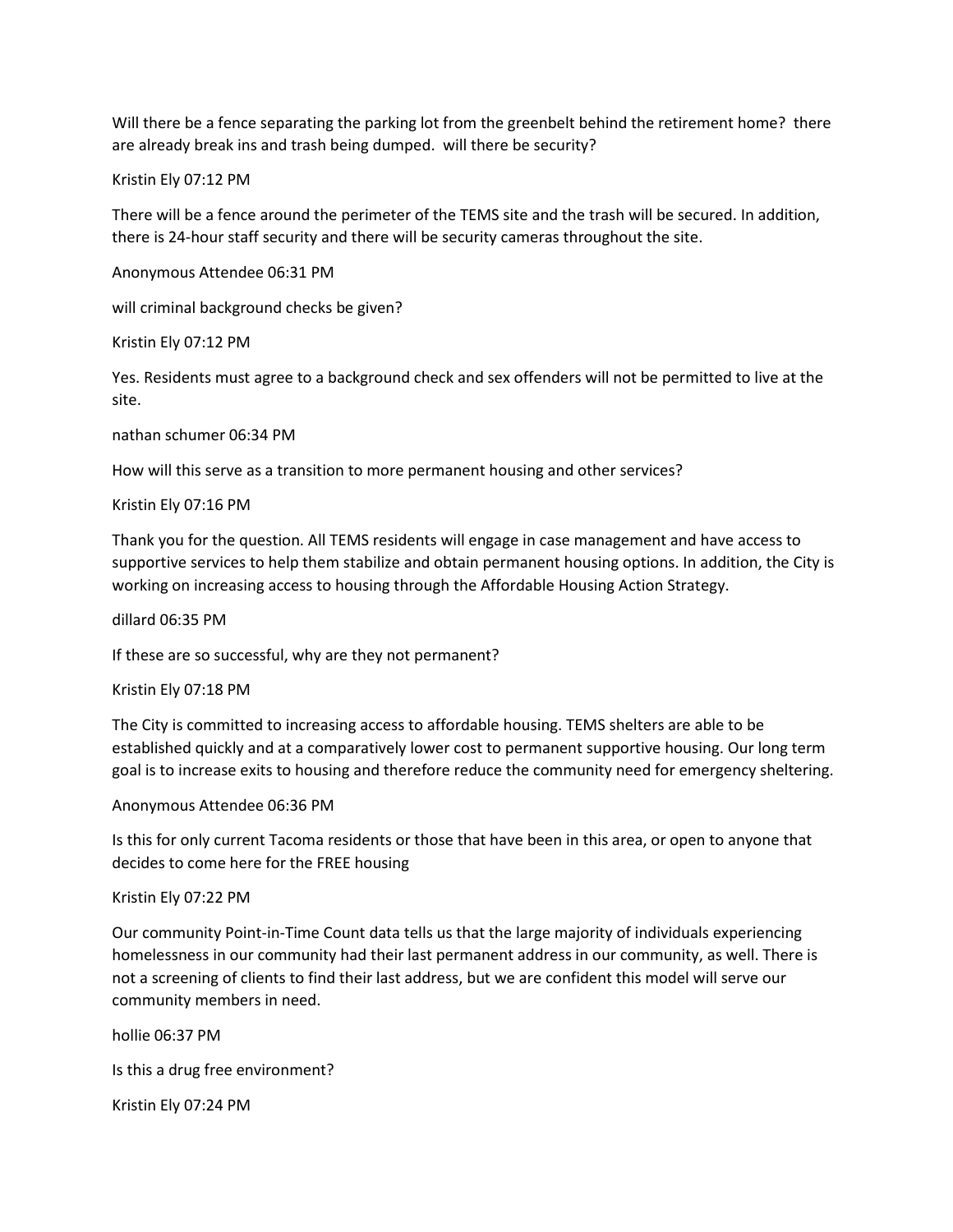Will there be a fence separating the parking lot from the greenbelt behind the retirement home? there are already break ins and trash being dumped. will there be security?

Kristin Ely 07:12 PM

There will be a fence around the perimeter of the TEMS site and the trash will be secured. In addition, there is 24-hour staff security and there will be security cameras throughout the site.

Anonymous Attendee 06:31 PM

will criminal background checks be given?

Kristin Ely 07:12 PM

Yes. Residents must agree to a background check and sex offenders will not be permitted to live at the site.

nathan schumer 06:34 PM

How will this serve as a transition to more permanent housing and other services?

Kristin Ely 07:16 PM

Thank you for the question. All TEMS residents will engage in case management and have access to supportive services to help them stabilize and obtain permanent housing options. In addition, the City is working on increasing access to housing through the Affordable Housing Action Strategy.

dillard 06:35 PM

If these are so successful, why are they not permanent?

Kristin Ely 07:18 PM

The City is committed to increasing access to affordable housing. TEMS shelters are able to be established quickly and at a comparatively lower cost to permanent supportive housing. Our long term goal is to increase exits to housing and therefore reduce the community need for emergency sheltering.

Anonymous Attendee 06:36 PM

Is this for only current Tacoma residents or those that have been in this area, or open to anyone that decides to come here for the FREE housing

Kristin Ely 07:22 PM

Our community Point-in-Time Count data tells us that the large majority of individuals experiencing homelessness in our community had their last permanent address in our community, as well. There is not a screening of clients to find their last address, but we are confident this model will serve our community members in need.

hollie 06:37 PM Is this a drug free environment? Kristin Ely 07:24 PM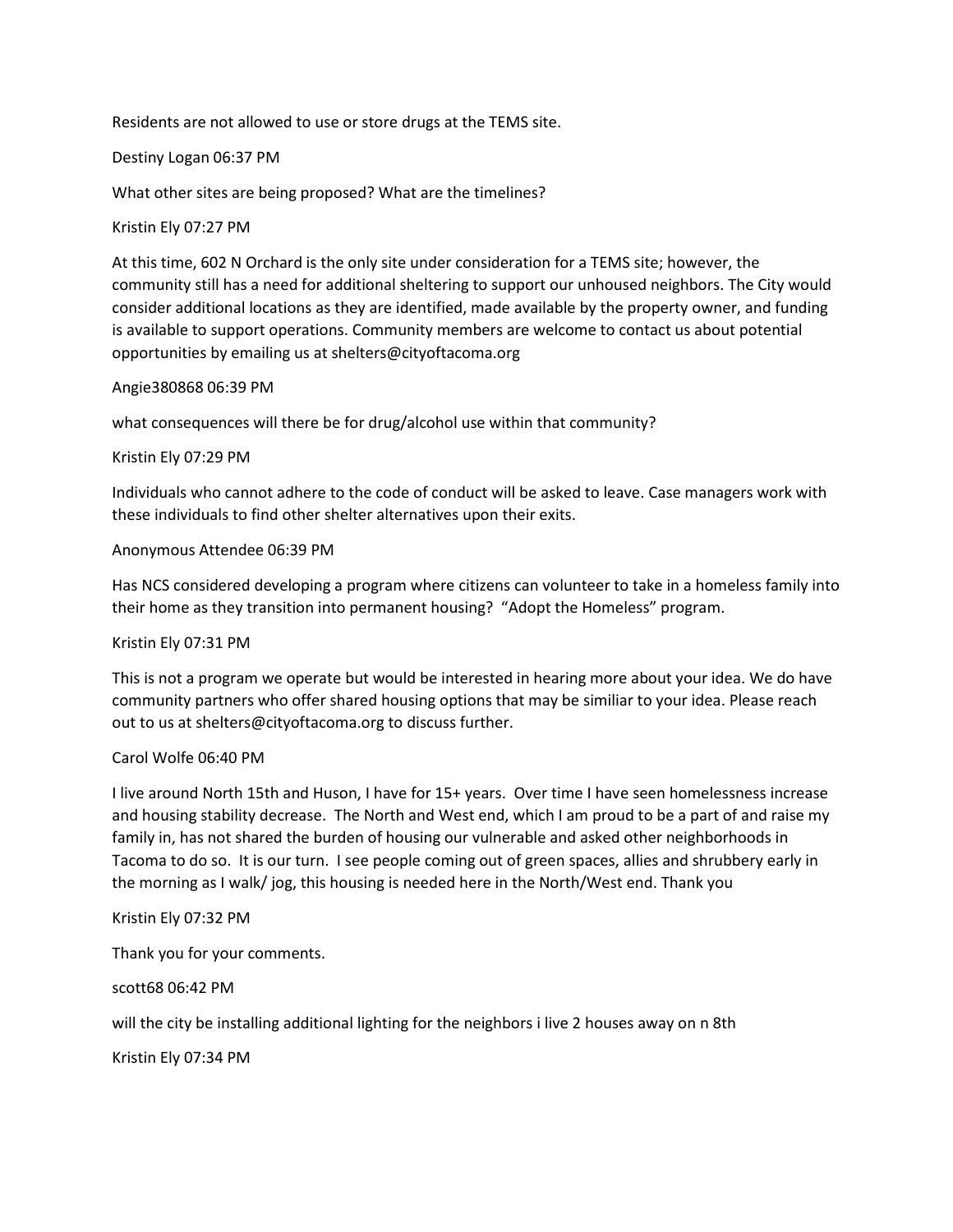Residents are not allowed to use or store drugs at the TEMS site.

### Destiny Logan 06:37 PM

What other sites are being proposed? What are the timelines?

# Kristin Ely 07:27 PM

At this time, 602 N Orchard is the only site under consideration for a TEMS site; however, the community still has a need for additional sheltering to support our unhoused neighbors. The City would consider additional locations as they are identified, made available by the property owner, and funding is available to support operations. Community members are welcome to contact us about potential opportunities by emailing us at shelters@cityoftacoma.org

### Angie380868 06:39 PM

what consequences will there be for drug/alcohol use within that community?

# Kristin Ely 07:29 PM

Individuals who cannot adhere to the code of conduct will be asked to leave. Case managers work with these individuals to find other shelter alternatives upon their exits.

# Anonymous Attendee 06:39 PM

Has NCS considered developing a program where citizens can volunteer to take in a homeless family into their home as they transition into permanent housing? "Adopt the Homeless" program.

### Kristin Ely 07:31 PM

This is not a program we operate but would be interested in hearing more about your idea. We do have community partners who offer shared housing options that may be similiar to your idea. Please reach out to us at shelters@cityoftacoma.org to discuss further.

### Carol Wolfe 06:40 PM

I live around North 15th and Huson, I have for 15+ years. Over time I have seen homelessness increase and housing stability decrease. The North and West end, which I am proud to be a part of and raise my family in, has not shared the burden of housing our vulnerable and asked other neighborhoods in Tacoma to do so. It is our turn. I see people coming out of green spaces, allies and shrubbery early in the morning as I walk/ jog, this housing is needed here in the North/West end. Thank you

### Kristin Ely 07:32 PM

Thank you for your comments.

scott68 06:42 PM

will the city be installing additional lighting for the neighbors i live 2 houses away on n 8th

Kristin Ely 07:34 PM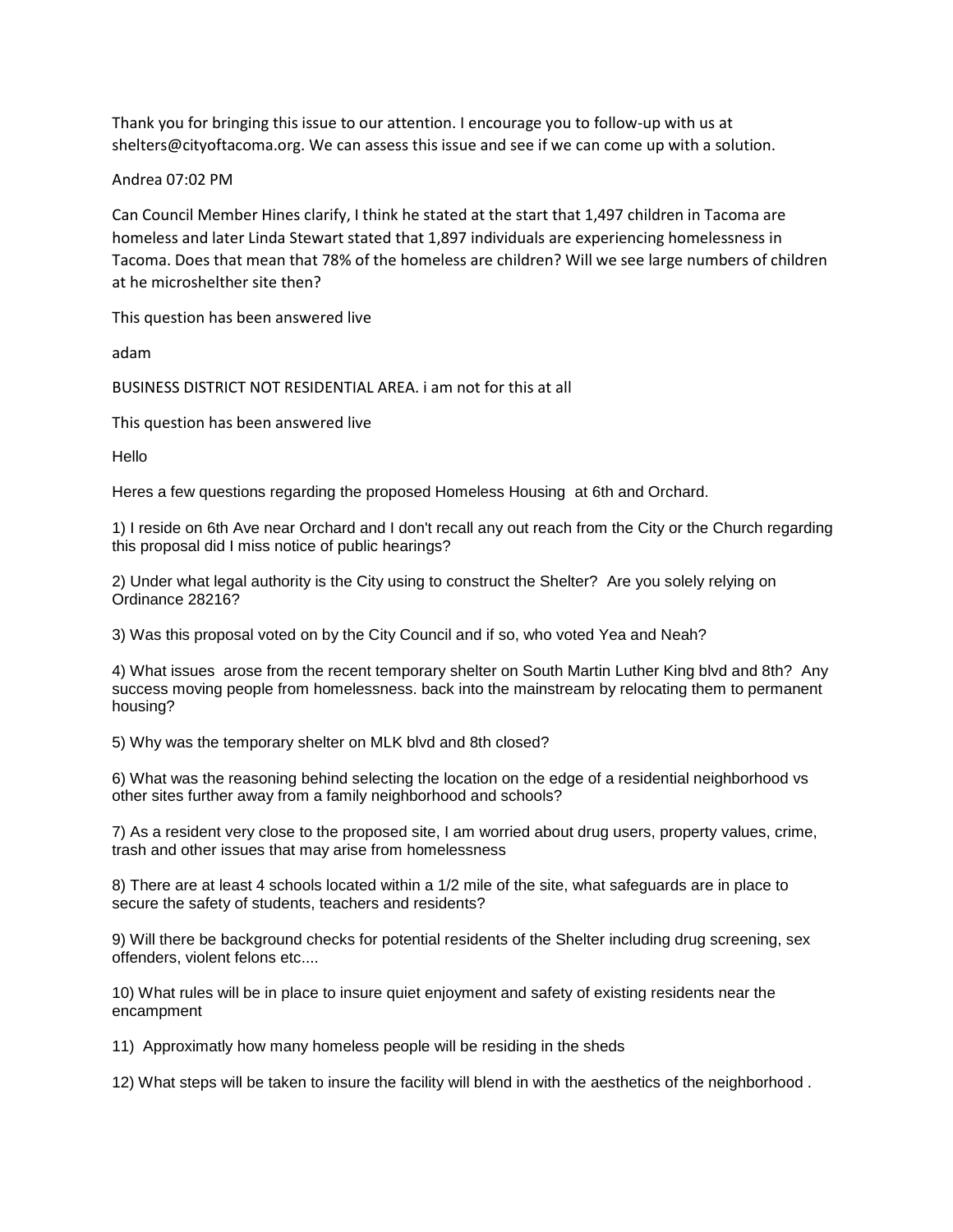Thank you for bringing this issue to our attention. I encourage you to follow-up with us at shelters@cityoftacoma.org. We can assess this issue and see if we can come up with a solution.

### Andrea 07:02 PM

Can Council Member Hines clarify, I think he stated at the start that 1,497 children in Tacoma are homeless and later Linda Stewart stated that 1,897 individuals are experiencing homelessness in Tacoma. Does that mean that 78% of the homeless are children? Will we see large numbers of children at he microshelther site then?

This question has been answered live

adam

BUSINESS DISTRICT NOT RESIDENTIAL AREA. i am not for this at all

This question has been answered live

Hello

Heres a few questions regarding the proposed Homeless Housing at 6th and Orchard.

1) I reside on 6th Ave near Orchard and I don't recall any out reach from the City or the Church regarding this proposal did I miss notice of public hearings?

2) Under what legal authority is the City using to construct the Shelter? Are you solely relying on Ordinance 28216?

3) Was this proposal voted on by the City Council and if so, who voted Yea and Neah?

4) What issues arose from the recent temporary shelter on South Martin Luther King blvd and 8th? Any success moving people from homelessness. back into the mainstream by relocating them to permanent housing?

5) Why was the temporary shelter on MLK blvd and 8th closed?

6) What was the reasoning behind selecting the location on the edge of a residential neighborhood vs other sites further away from a family neighborhood and schools?

7) As a resident very close to the proposed site, I am worried about drug users, property values, crime, trash and other issues that may arise from homelessness

8) There are at least 4 schools located within a 1/2 mile of the site, what safeguards are in place to secure the safety of students, teachers and residents?

9) Will there be background checks for potential residents of the Shelter including drug screening, sex offenders, violent felons etc....

10) What rules will be in place to insure quiet enjoyment and safety of existing residents near the encampment

11) Approximatly how many homeless people will be residing in the sheds

12) What steps will be taken to insure the facility will blend in with the aesthetics of the neighborhood .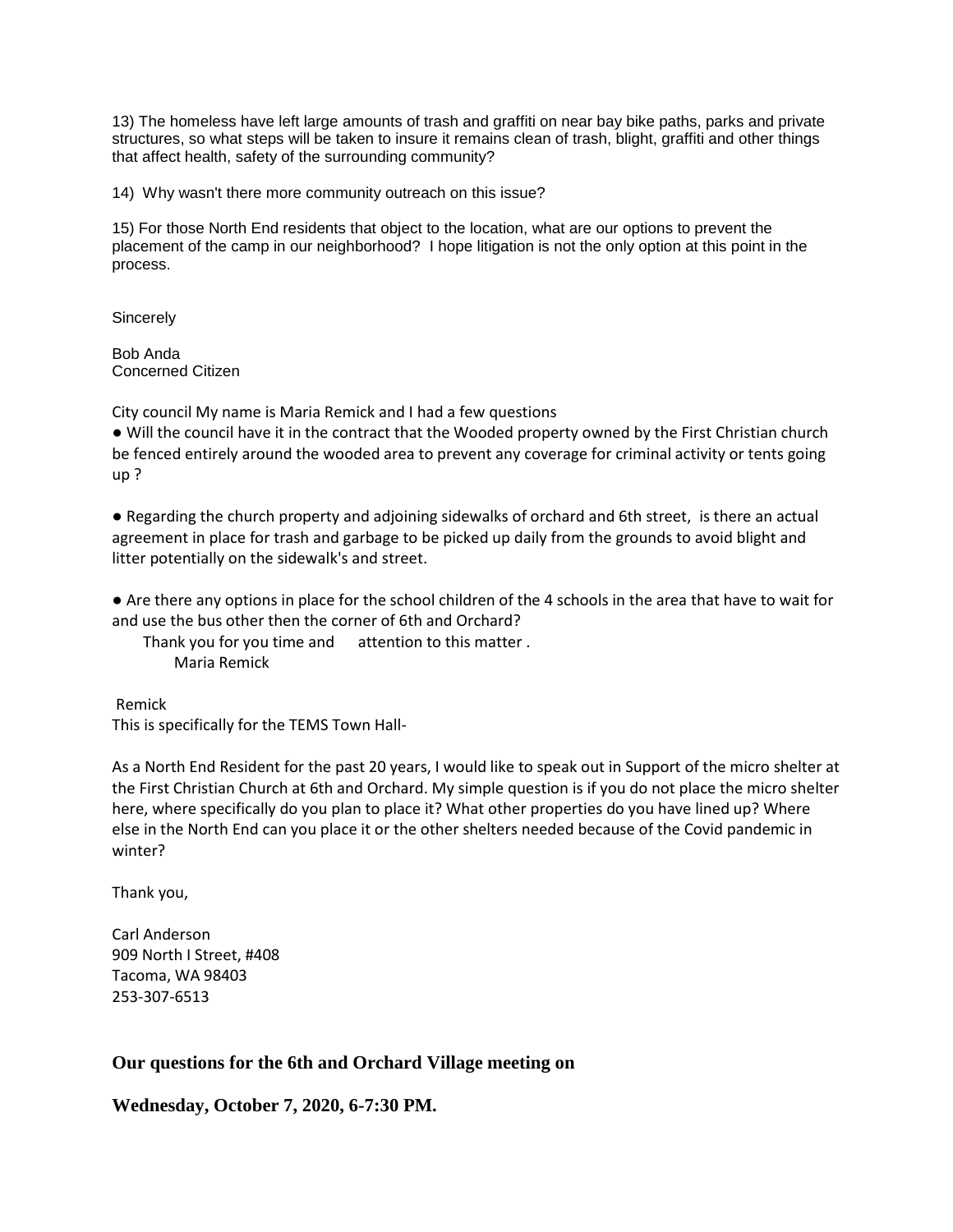13) The homeless have left large amounts of trash and graffiti on near bay bike paths, parks and private structures, so what steps will be taken to insure it remains clean of trash, blight, graffiti and other things that affect health, safety of the surrounding community?

14) Why wasn't there more community outreach on this issue?

15) For those North End residents that object to the location, what are our options to prevent the placement of the camp in our neighborhood? I hope litigation is not the only option at this point in the process.

**Sincerely** 

Bob Anda Concerned Citizen

City council My name is Maria Remick and I had a few questions

● Will the council have it in the contract that the Wooded property owned by the First Christian church be fenced entirely around the wooded area to prevent any coverage for criminal activity or tents going up ?

● Regarding the church property and adjoining sidewalks of orchard and 6th street, is there an actual agreement in place for trash and garbage to be picked up daily from the grounds to avoid blight and litter potentially on the sidewalk's and street.

● Are there any options in place for the school children of the 4 schools in the area that have to wait for and use the bus other then the corner of 6th and Orchard?

Thank you for you time and attention to this matter . Maria Remick

Remick This is specifically for the TEMS Town Hall-

As a North End Resident for the past 20 years, I would like to speak out in Support of the micro shelter at the First Christian Church at 6th and Orchard. My simple question is if you do not place the micro shelter here, where specifically do you plan to place it? What other properties do you have lined up? Where else in the North End can you place it or the other shelters needed because of the Covid pandemic in winter?

Thank you,

Carl Anderson 909 North I Street, #408 Tacoma, WA 98403 253-307-6513

# **Our questions for the 6th and Orchard Village meeting on**

**Wednesday, October 7, 2020, 6-7:30 PM.**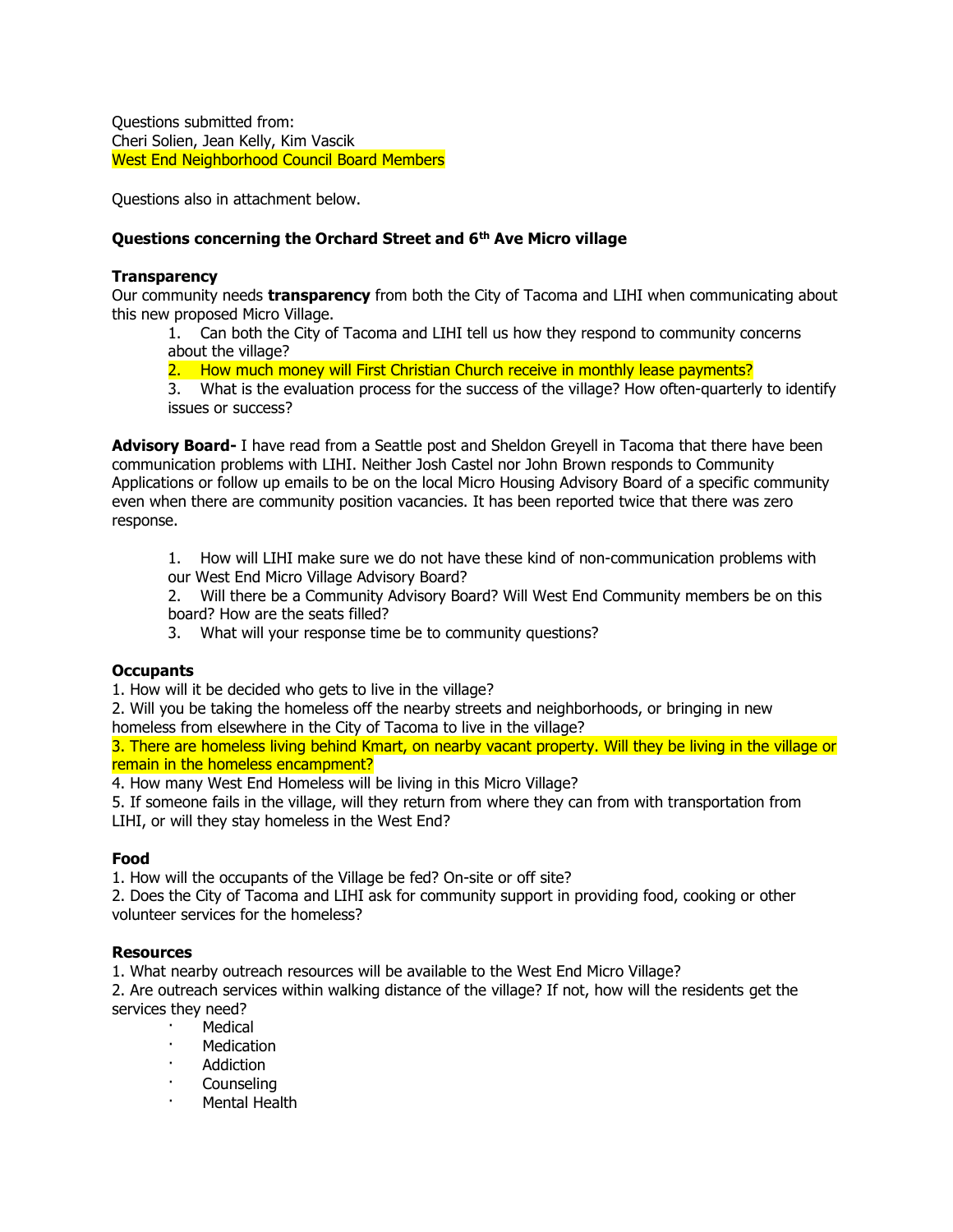Questions submitted from: Cheri Solien, Jean Kelly, Kim Vascik West End Neighborhood Council Board Members

Questions also in attachment below.

# **Questions concerning the Orchard Street and 6th Ave Micro village**

### **Transparency**

Our community needs **transparency** from both the City of Tacoma and LIHI when communicating about this new proposed Micro Village.

1. Can both the City of Tacoma and LIHI tell us how they respond to community concerns about the village?

2. How much money will First Christian Church receive in monthly lease payments?

3. What is the evaluation process for the success of the village? How often-quarterly to identify issues or success?

**Advisory Board-** I have read from a Seattle post and Sheldon Greyell in Tacoma that there have been communication problems with LIHI. Neither Josh Castel nor John Brown responds to Community Applications or follow up emails to be on the local Micro Housing Advisory Board of a specific community even when there are community position vacancies. It has been reported twice that there was zero response.

1. How will LIHI make sure we do not have these kind of non-communication problems with our West End Micro Village Advisory Board?

2. Will there be a Community Advisory Board? Will West End Community members be on this board? How are the seats filled?

3. What will your response time be to community questions?

### **Occupants**

1. How will it be decided who gets to live in the village?

2. Will you be taking the homeless off the nearby streets and neighborhoods, or bringing in new homeless from elsewhere in the City of Tacoma to live in the village?

3. There are homeless living behind Kmart, on nearby vacant property. Will they be living in the village or remain in the homeless encampment?

4. How many West End Homeless will be living in this Micro Village?

5. If someone fails in the village, will they return from where they can from with transportation from LIHI, or will they stay homeless in the West End?

# **Food**

1. How will the occupants of the Village be fed? On-site or off site?

2. Does the City of Tacoma and LIHI ask for community support in providing food, cooking or other volunteer services for the homeless?

### **Resources**

1. What nearby outreach resources will be available to the West End Micro Village?

2. Are outreach services within walking distance of the village? If not, how will the residents get the services they need?

- **Medical**
- **Medication**
- **Addiction**
- · Counseling
- · Mental Health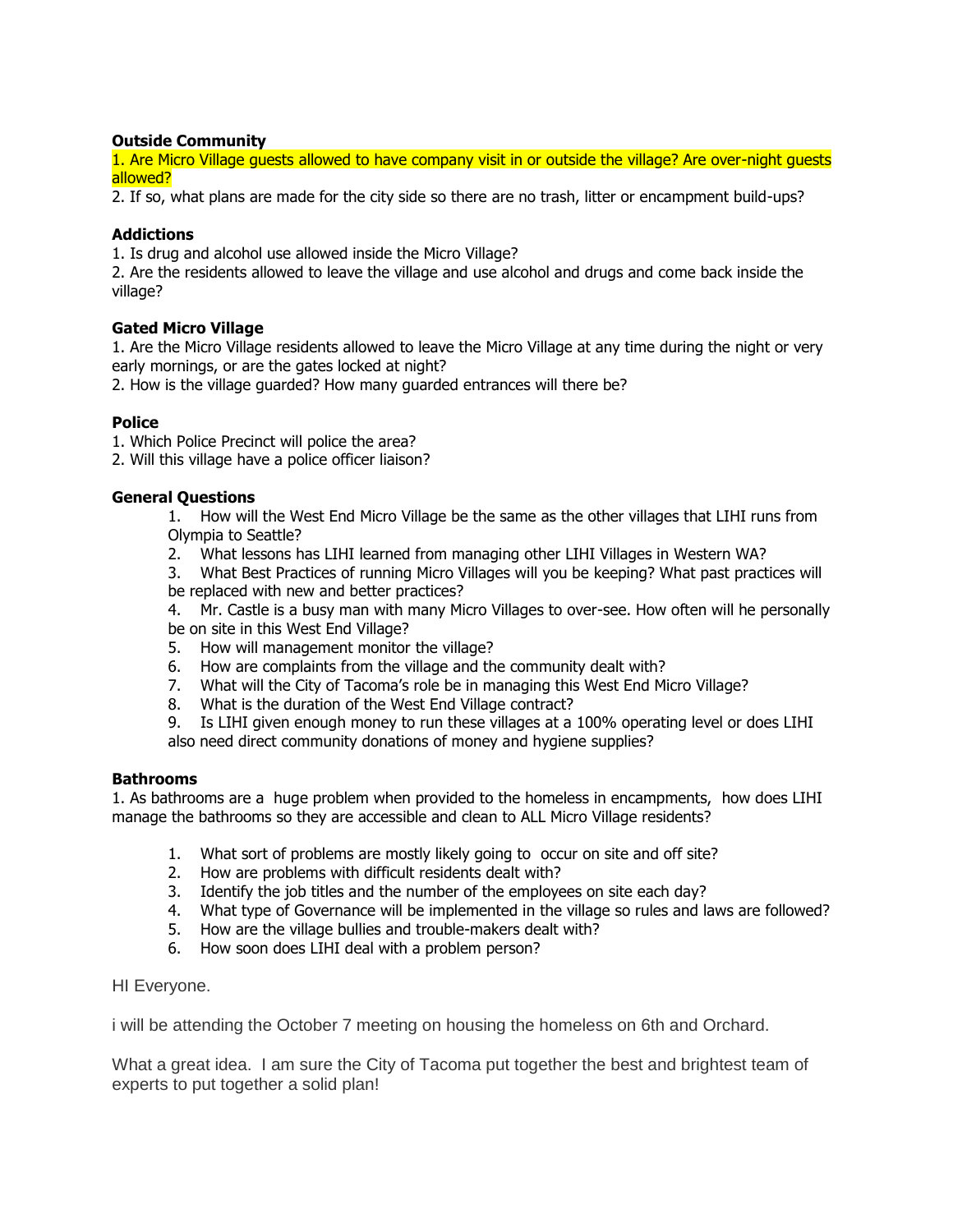# **Outside Community**

1. Are Micro Village guests allowed to have company visit in or outside the village? Are over-night guests allowed?

2. If so, what plans are made for the city side so there are no trash, litter or encampment build-ups?

# **Addictions**

1. Is drug and alcohol use allowed inside the Micro Village?

2. Are the residents allowed to leave the village and use alcohol and drugs and come back inside the village?

# **Gated Micro Village**

1. Are the Micro Village residents allowed to leave the Micro Village at any time during the night or very early mornings, or are the gates locked at night?

2. How is the village guarded? How many guarded entrances will there be?

# **Police**

1. Which Police Precinct will police the area?

2. Will this village have a police officer liaison?

# **General Questions**

1. How will the West End Micro Village be the same as the other villages that LIHI runs from Olympia to Seattle?

- 2. What lessons has LIHI learned from managing other LIHI Villages in Western WA?
- 3. What Best Practices of running Micro Villages will you be keeping? What past practices will be replaced with new and better practices?

4. Mr. Castle is a busy man with many Micro Villages to over-see. How often will he personally be on site in this West End Village?

- 5. How will management monitor the village?
- 6. How are complaints from the village and the community dealt with?
- 7. What will the City of Tacoma's role be in managing this West End Micro Village?
- 8. What is the duration of the West End Village contract?

9. Is LIHI given enough money to run these villages at a 100% operating level or does LIHI also need direct community donations of money and hygiene supplies?

### **Bathrooms**

1. As bathrooms are a huge problem when provided to the homeless in encampments, how does LIHI manage the bathrooms so they are accessible and clean to ALL Micro Village residents?

- 1. What sort of problems are mostly likely going to occur on site and off site?
- 2. How are problems with difficult residents dealt with?
- 3. Identify the job titles and the number of the employees on site each day?
- 4. What type of Governance will be implemented in the village so rules and laws are followed?
- 5. How are the village bullies and trouble-makers dealt with?
- 6. How soon does LIHI deal with a problem person?

HI Everyone.

i will be attending the October 7 meeting on housing the homeless on 6th and Orchard.

What a great idea. I am sure the City of Tacoma put together the best and brightest team of experts to put together a solid plan!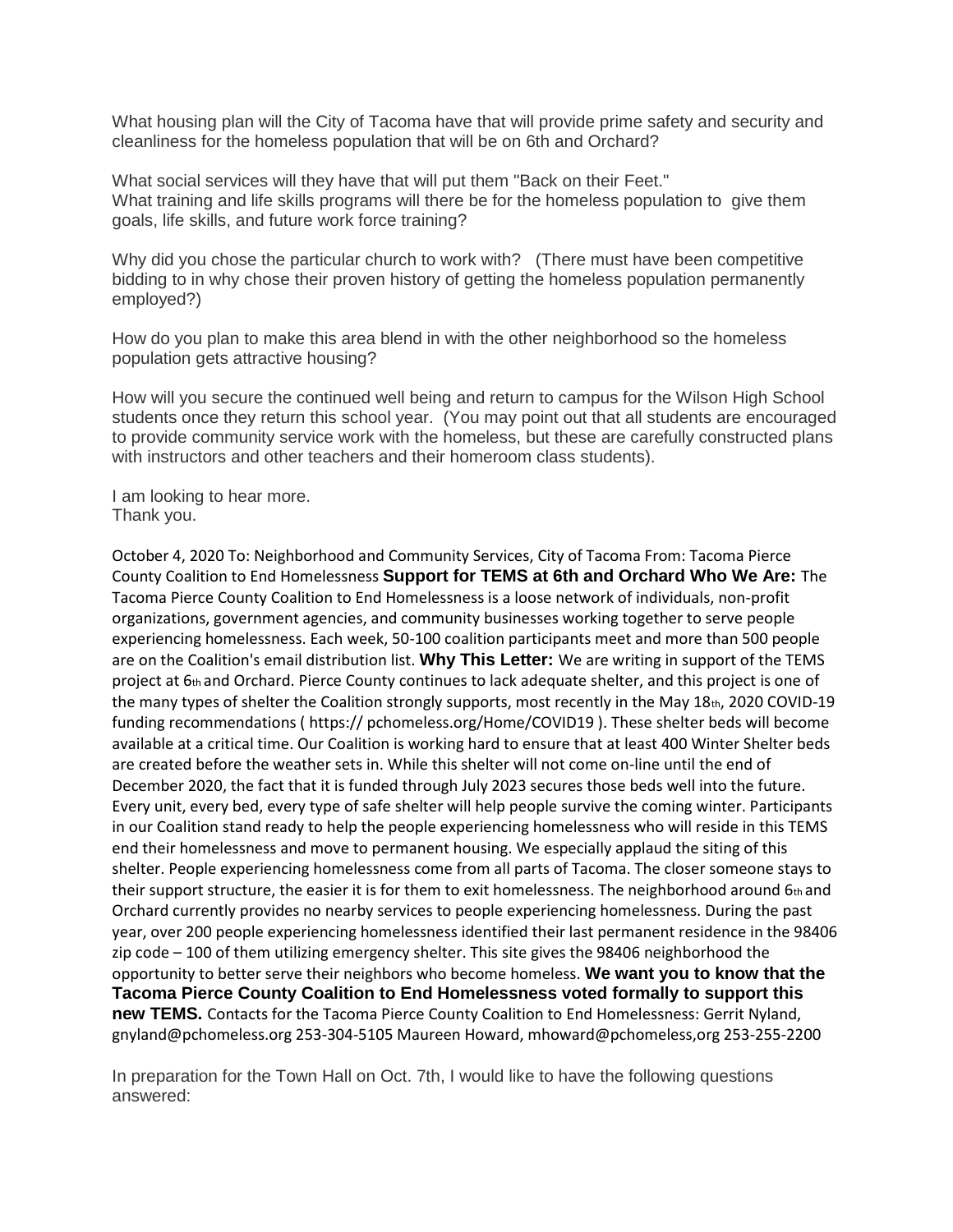What housing plan will the City of Tacoma have that will provide prime safety and security and cleanliness for the homeless population that will be on 6th and Orchard?

What social services will they have that will put them "Back on their Feet." What training and life skills programs will there be for the homeless population to give them goals, life skills, and future work force training?

Why did you chose the particular church to work with? (There must have been competitive bidding to in why chose their proven history of getting the homeless population permanently employed?)

How do you plan to make this area blend in with the other neighborhood so the homeless population gets attractive housing?

How will you secure the continued well being and return to campus for the Wilson High School students once they return this school year. (You may point out that all students are encouraged to provide community service work with the homeless, but these are carefully constructed plans with instructors and other teachers and their homeroom class students).

I am looking to hear more. Thank you.

October 4, 2020 To: Neighborhood and Community Services, City of Tacoma From: Tacoma Pierce County Coalition to End Homelessness **Support for TEMS at 6th and Orchard Who We Are:** The Tacoma Pierce County Coalition to End Homelessness is a loose network of individuals, non-profit organizations, government agencies, and community businesses working together to serve people experiencing homelessness. Each week, 50-100 coalition participants meet and more than 500 people are on the Coalition's email distribution list. **Why This Letter:** We are writing in support of the TEMS project at 6th and Orchard. Pierce County continues to lack adequate shelter, and this project is one of the many types of shelter the Coalition strongly supports, most recently in the May 18th, 2020 COVID-19 funding recommendations ( https:// pchomeless.org/Home/COVID19 ). These shelter beds will become available at a critical time. Our Coalition is working hard to ensure that at least 400 Winter Shelter beds are created before the weather sets in. While this shelter will not come on-line until the end of December 2020, the fact that it is funded through July 2023 secures those beds well into the future. Every unit, every bed, every type of safe shelter will help people survive the coming winter. Participants in our Coalition stand ready to help the people experiencing homelessness who will reside in this TEMS end their homelessness and move to permanent housing. We especially applaud the siting of this shelter. People experiencing homelessness come from all parts of Tacoma. The closer someone stays to their support structure, the easier it is for them to exit homelessness. The neighborhood around 6th and Orchard currently provides no nearby services to people experiencing homelessness. During the past year, over 200 people experiencing homelessness identified their last permanent residence in the 98406 zip code – 100 of them utilizing emergency shelter. This site gives the 98406 neighborhood the opportunity to better serve their neighbors who become homeless. **We want you to know that the Tacoma Pierce County Coalition to End Homelessness voted formally to support this new TEMS.** Contacts for the Tacoma Pierce County Coalition to End Homelessness: Gerrit Nyland, gnyland@pchomeless.org 253-304-5105 Maureen Howard, mhoward@pchomeless,org 253-255-2200

In preparation for the Town Hall on Oct. 7th, I would like to have the following questions answered: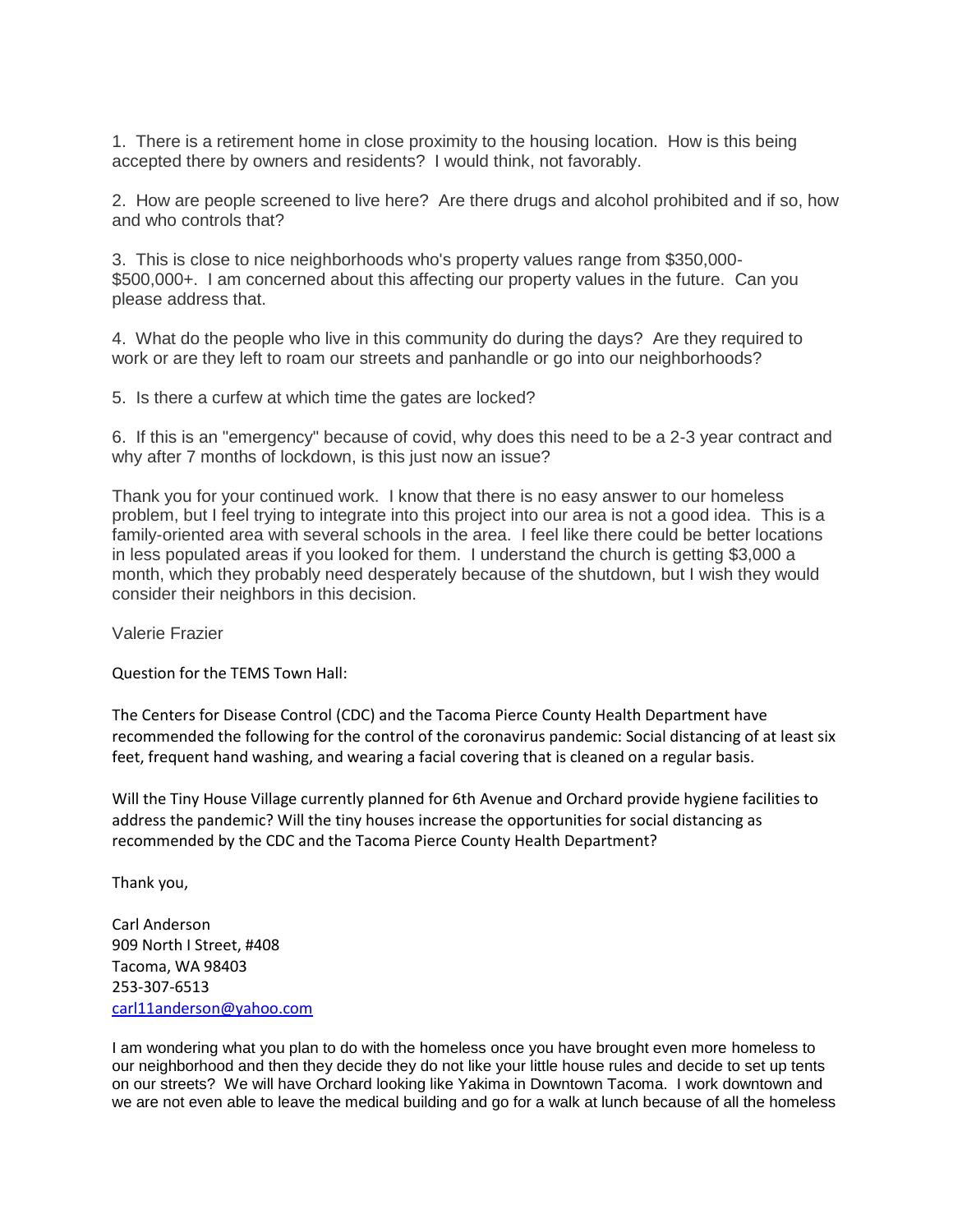1. There is a retirement home in close proximity to the housing location. How is this being accepted there by owners and residents? I would think, not favorably.

2. How are people screened to live here? Are there drugs and alcohol prohibited and if so, how and who controls that?

3. This is close to nice neighborhoods who's property values range from \$350,000- \$500,000+. I am concerned about this affecting our property values in the future. Can you please address that.

4. What do the people who live in this community do during the days? Are they required to work or are they left to roam our streets and panhandle or go into our neighborhoods?

5. Is there a curfew at which time the gates are locked?

6. If this is an "emergency" because of covid, why does this need to be a 2-3 year contract and why after 7 months of lockdown, is this just now an issue?

Thank you for your continued work. I know that there is no easy answer to our homeless problem, but I feel trying to integrate into this project into our area is not a good idea. This is a family-oriented area with several schools in the area. I feel like there could be better locations in less populated areas if you looked for them. I understand the church is getting \$3,000 a month, which they probably need desperately because of the shutdown, but I wish they would consider their neighbors in this decision.

Valerie Frazier

Question for the TEMS Town Hall:

The Centers for Disease Control (CDC) and the Tacoma Pierce County Health Department have recommended the following for the control of the coronavirus pandemic: Social distancing of at least six feet, frequent hand washing, and wearing a facial covering that is cleaned on a regular basis.

Will the Tiny House Village currently planned for 6th Avenue and Orchard provide hygiene facilities to address the pandemic? Will the tiny houses increase the opportunities for social distancing as recommended by the CDC and the Tacoma Pierce County Health Department?

Thank you,

Carl Anderson 909 North I Street, #408 Tacoma, WA 98403 253-307-6513 [carl11anderson@yahoo.com](mailto:carl11anderson@yahoo.com)

I am wondering what you plan to do with the homeless once you have brought even more homeless to our neighborhood and then they decide they do not like your little house rules and decide to set up tents on our streets? We will have Orchard looking like Yakima in Downtown Tacoma. I work downtown and we are not even able to leave the medical building and go for a walk at lunch because of all the homeless